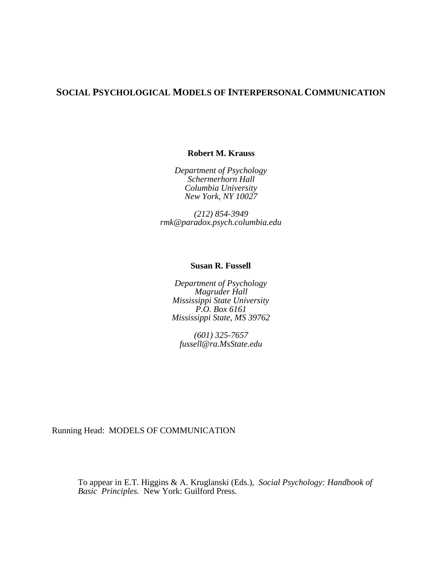# **SOCIAL PSYCHOLOGICAL MODELS OF INTERPERSONAL COMMUNICATION**

#### **Robert M. Krauss**

*Department of Psychology Schermerhorn Hall Columbia University New York, NY 10027*

*(212) 854-3949 rmk@paradox.psych.columbia.edu*

## **Susan R. Fussell**

*Department of Psychology Magruder Hall Mississippi State University P.O. Box 6161 Mississippi State, MS 39762*

*(601) 325-7657 fussell@ra.MsState.edu*

Running Head: MODELS OF COMMUNICATION

To appear in E.T. Higgins & A. Kruglanski (Eds.), *Social Psychology: Handbook of Basic Principles.* New York: Guilford Press.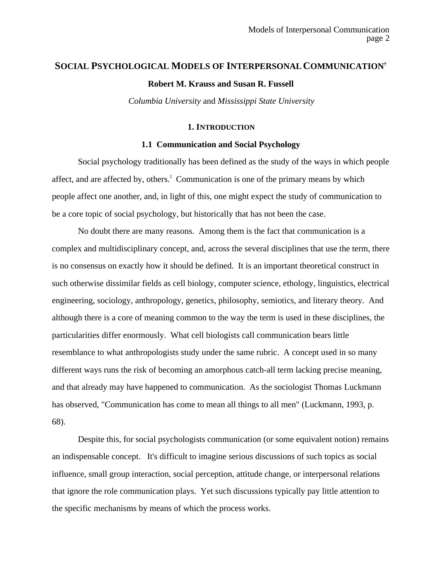# **SOCIAL PSYCHOLOGICAL MODELS OF INTERPERSONAL COMMUNICATION†**

# **Robert M. Krauss and Susan R. Fussell**

*Columbia University* and *Mississippi State University*

# **1. INTRODUCTION**

# **1.1 Communication and Social Psychology**

Social psychology traditionally has been defined as the study of the ways in which people affect, and are affected by, others.<sup>1</sup> Communication is one of the primary means by which people affect one another, and, in light of this, one might expect the study of communication to be a core topic of social psychology, but historically that has not been the case.

No doubt there are many reasons. Among them is the fact that communication is a complex and multidisciplinary concept, and, across the several disciplines that use the term, there is no consensus on exactly how it should be defined. It is an important theoretical construct in such otherwise dissimilar fields as cell biology, computer science, ethology, linguistics, electrical engineering, sociology, anthropology, genetics, philosophy, semiotics, and literary theory. And although there is a core of meaning common to the way the term is used in these disciplines, the particularities differ enormously. What cell biologists call communication bears little resemblance to what anthropologists study under the same rubric. A concept used in so many different ways runs the risk of becoming an amorphous catch-all term lacking precise meaning, and that already may have happened to communication. As the sociologist Thomas Luckmann has observed, "Communication has come to mean all things to all men" (Luckmann, 1993, p. 68).

Despite this, for social psychologists communication (or some equivalent notion) remains an indispensable concept. It's difficult to imagine serious discussions of such topics as social influence, small group interaction, social perception, attitude change, or interpersonal relations that ignore the role communication plays. Yet such discussions typically pay little attention to the specific mechanisms by means of which the process works.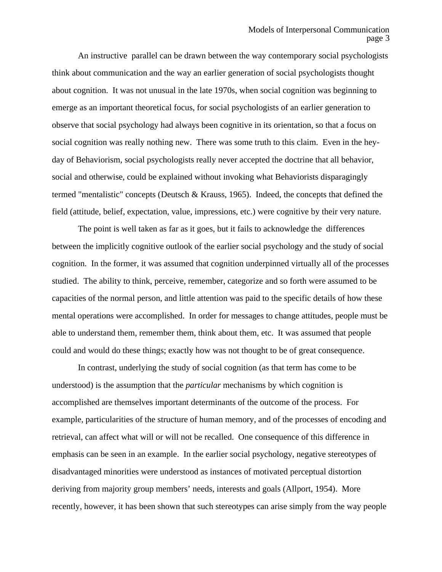An instructive parallel can be drawn between the way contemporary social psychologists think about communication and the way an earlier generation of social psychologists thought about cognition. It was not unusual in the late 1970s, when social cognition was beginning to emerge as an important theoretical focus, for social psychologists of an earlier generation to observe that social psychology had always been cognitive in its orientation, so that a focus on social cognition was really nothing new. There was some truth to this claim. Even in the heyday of Behaviorism, social psychologists really never accepted the doctrine that all behavior, social and otherwise, could be explained without invoking what Behaviorists disparagingly termed "mentalistic" concepts (Deutsch & Krauss, 1965). Indeed, the concepts that defined the field (attitude, belief, expectation, value, impressions, etc.) were cognitive by their very nature.

The point is well taken as far as it goes, but it fails to acknowledge the differences between the implicitly cognitive outlook of the earlier social psychology and the study of social cognition. In the former, it was assumed that cognition underpinned virtually all of the processes studied. The ability to think, perceive, remember, categorize and so forth were assumed to be capacities of the normal person, and little attention was paid to the specific details of how these mental operations were accomplished. In order for messages to change attitudes, people must be able to understand them, remember them, think about them, etc. It was assumed that people could and would do these things; exactly how was not thought to be of great consequence.

In contrast, underlying the study of social cognition (as that term has come to be understood) is the assumption that the *particular* mechanisms by which cognition is accomplished are themselves important determinants of the outcome of the process. For example, particularities of the structure of human memory, and of the processes of encoding and retrieval, can affect what will or will not be recalled. One consequence of this difference in emphasis can be seen in an example. In the earlier social psychology, negative stereotypes of disadvantaged minorities were understood as instances of motivated perceptual distortion deriving from majority group members' needs, interests and goals (Allport, 1954). More recently, however, it has been shown that such stereotypes can arise simply from the way people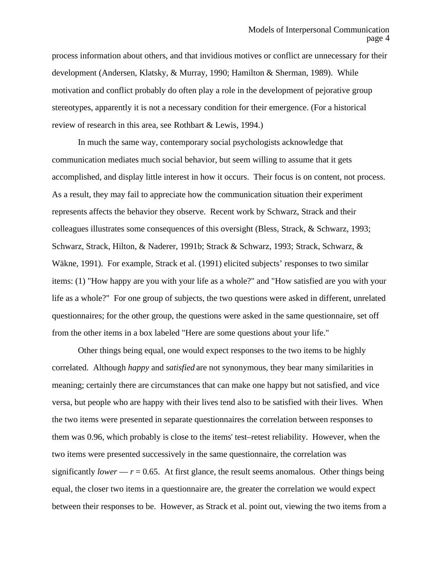process information about others, and that invidious motives or conflict are unnecessary for their development (Andersen, Klatsky, & Murray, 1990; Hamilton & Sherman, 1989). While motivation and conflict probably do often play a role in the development of pejorative group stereotypes, apparently it is not a necessary condition for their emergence. (For a historical review of research in this area, see Rothbart & Lewis, 1994.)

In much the same way, contemporary social psychologists acknowledge that communication mediates much social behavior, but seem willing to assume that it gets accomplished, and display little interest in how it occurs. Their focus is on content, not process. As a result, they may fail to appreciate how the communication situation their experiment represents affects the behavior they observe. Recent work by Schwarz, Strack and their colleagues illustrates some consequences of this oversight (Bless, Strack, & Schwarz, 1993; Schwarz, Strack, Hilton, & Naderer, 1991b; Strack & Schwarz, 1993; Strack, Schwarz, & Wäkne, 1991). For example, Strack et al. (1991) elicited subjects' responses to two similar items: (1) "How happy are you with your life as a whole?" and "How satisfied are you with your life as a whole?" For one group of subjects, the two questions were asked in different, unrelated questionnaires; for the other group, the questions were asked in the same questionnaire, set off from the other items in a box labeled "Here are some questions about your life."

Other things being equal, one would expect responses to the two items to be highly correlated. Although *happy* and *satisfied* are not synonymous, they bear many similarities in meaning; certainly there are circumstances that can make one happy but not satisfied, and vice versa, but people who are happy with their lives tend also to be satisfied with their lives. When the two items were presented in separate questionnaires the correlation between responses to them was 0.96, which probably is close to the items' test–retest reliability. However, when the two items were presented successively in the same questionnaire, the correlation was significantly *lower*  $-r = 0.65$ . At first glance, the result seems anomalous. Other things being equal, the closer two items in a questionnaire are, the greater the correlation we would expect between their responses to be. However, as Strack et al. point out, viewing the two items from a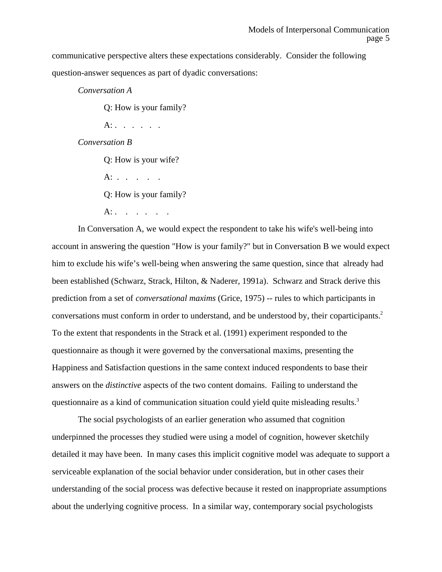communicative perspective alters these expectations considerably. Consider the following question-answer sequences as part of dyadic conversations:

*Conversation A*

Q: How is your family?

A: . . . . . .

*Conversation B*

Q: How is your wife?

A: . . . . .

Q: How is your family?

A: . . . . . .

In Conversation A, we would expect the respondent to take his wife's well-being into account in answering the question "How is your family?" but in Conversation B we would expect him to exclude his wife's well-being when answering the same question, since that already had been established (Schwarz, Strack, Hilton, & Naderer, 1991a). Schwarz and Strack derive this prediction from a set of *conversational maxims* (Grice, 1975) -- rules to which participants in conversations must conform in order to understand, and be understood by, their coparticipants.2 To the extent that respondents in the Strack et al. (1991) experiment responded to the questionnaire as though it were governed by the conversational maxims, presenting the Happiness and Satisfaction questions in the same context induced respondents to base their answers on the *distinctive* aspects of the two content domains. Failing to understand the questionnaire as a kind of communication situation could yield quite misleading results.<sup>3</sup>

The social psychologists of an earlier generation who assumed that cognition underpinned the processes they studied were using a model of cognition, however sketchily detailed it may have been. In many cases this implicit cognitive model was adequate to support a serviceable explanation of the social behavior under consideration, but in other cases their understanding of the social process was defective because it rested on inappropriate assumptions about the underlying cognitive process. In a similar way, contemporary social psychologists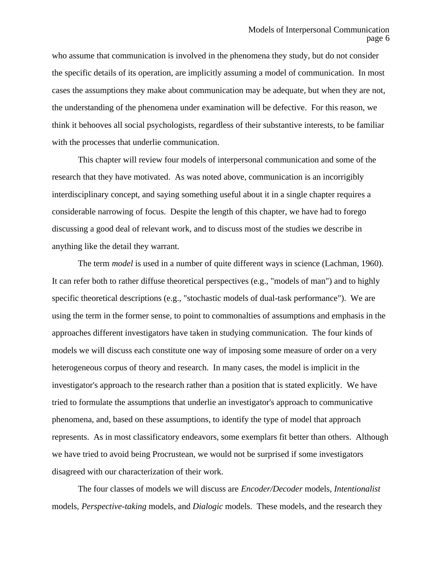who assume that communication is involved in the phenomena they study, but do not consider the specific details of its operation, are implicitly assuming a model of communication. In most cases the assumptions they make about communication may be adequate, but when they are not, the understanding of the phenomena under examination will be defective. For this reason, we think it behooves all social psychologists, regardless of their substantive interests, to be familiar with the processes that underlie communication.

This chapter will review four models of interpersonal communication and some of the research that they have motivated. As was noted above, communication is an incorrigibly interdisciplinary concept, and saying something useful about it in a single chapter requires a considerable narrowing of focus. Despite the length of this chapter, we have had to forego discussing a good deal of relevant work, and to discuss most of the studies we describe in anything like the detail they warrant.

The term *model* is used in a number of quite different ways in science (Lachman, 1960). It can refer both to rather diffuse theoretical perspectives (e.g., "models of man") and to highly specific theoretical descriptions (e.g., "stochastic models of dual-task performance"). We are using the term in the former sense, to point to commonalties of assumptions and emphasis in the approaches different investigators have taken in studying communication. The four kinds of models we will discuss each constitute one way of imposing some measure of order on a very heterogeneous corpus of theory and research. In many cases, the model is implicit in the investigator's approach to the research rather than a position that is stated explicitly. We have tried to formulate the assumptions that underlie an investigator's approach to communicative phenomena, and, based on these assumptions, to identify the type of model that approach represents. As in most classificatory endeavors, some exemplars fit better than others. Although we have tried to avoid being Procrustean, we would not be surprised if some investigators disagreed with our characterization of their work.

The four classes of models we will discuss are *Encoder/Decoder* models, *Intentionalist* models, *Perspective-taking* models, and *Dialogic* models. These models, and the research they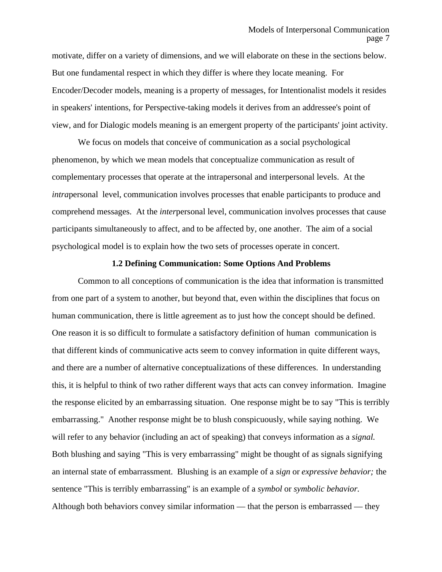motivate, differ on a variety of dimensions, and we will elaborate on these in the sections below. But one fundamental respect in which they differ is where they locate meaning. For Encoder/Decoder models, meaning is a property of messages, for Intentionalist models it resides in speakers' intentions, for Perspective-taking models it derives from an addressee's point of view, and for Dialogic models meaning is an emergent property of the participants' joint activity.

We focus on models that conceive of communication as a social psychological phenomenon, by which we mean models that conceptualize communication as result of complementary processes that operate at the intrapersonal and interpersonal levels. At the *intrapersonal* level, communication involves processes that enable participants to produce and comprehend messages. At the *inter*personal level, communication involves processes that cause participants simultaneously to affect, and to be affected by, one another. The aim of a social psychological model is to explain how the two sets of processes operate in concert.

## **1.2 Defining Communication: Some Options And Problems**

Common to all conceptions of communication is the idea that information is transmitted from one part of a system to another, but beyond that, even within the disciplines that focus on human communication, there is little agreement as to just how the concept should be defined. One reason it is so difficult to formulate a satisfactory definition of human communication is that different kinds of communicative acts seem to convey information in quite different ways, and there are a number of alternative conceptualizations of these differences. In understanding this, it is helpful to think of two rather different ways that acts can convey information. Imagine the response elicited by an embarrassing situation. One response might be to say "This is terribly embarrassing." Another response might be to blush conspicuously, while saying nothing. We will refer to any behavior (including an act of speaking) that conveys information as a *signal.* Both blushing and saying "This is very embarrassing" might be thought of as signals signifying an internal state of embarrassment. Blushing is an example of a *sign* or *expressive behavior;* the sentence "This is terribly embarrassing" is an example of a *symbol* or *symbolic behavior.* Although both behaviors convey similar information — that the person is embarrassed — they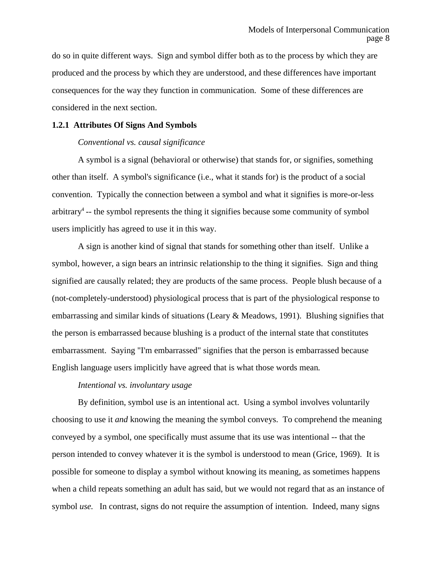do so in quite different ways. Sign and symbol differ both as to the process by which they are produced and the process by which they are understood, and these differences have important consequences for the way they function in communication. Some of these differences are considered in the next section.

# **1.2.1 Attributes Of Signs And Symbols**

# *Conventional vs. causal significance*

A symbol is a signal (behavioral or otherwise) that stands for, or signifies, something other than itself. A symbol's significance (i.e., what it stands for) is the product of a social convention. Typically the connection between a symbol and what it signifies is more-or-less arbitrary<sup>4</sup> -- the symbol represents the thing it signifies because some community of symbol users implicitly has agreed to use it in this way.

A sign is another kind of signal that stands for something other than itself. Unlike a symbol, however, a sign bears an intrinsic relationship to the thing it signifies. Sign and thing signified are causally related; they are products of the same process. People blush because of a (not-completely-understood) physiological process that is part of the physiological response to embarrassing and similar kinds of situations (Leary & Meadows, 1991). Blushing signifies that the person is embarrassed because blushing is a product of the internal state that constitutes embarrassment*.* Saying "I'm embarrassed" signifies that the person is embarrassed because English language users implicitly have agreed that is what those words mean*.*

# *Intentional vs. involuntary usage*

By definition, symbol use is an intentional act. Using a symbol involves voluntarily choosing to use it *and* knowing the meaning the symbol conveys. To comprehend the meaning conveyed by a symbol, one specifically must assume that its use was intentional -- that the person intended to convey whatever it is the symbol is understood to mean (Grice, 1969). It is possible for someone to display a symbol without knowing its meaning, as sometimes happens when a child repeats something an adult has said, but we would not regard that as an instance of symbol *use*. In contrast, signs do not require the assumption of intention. Indeed, many signs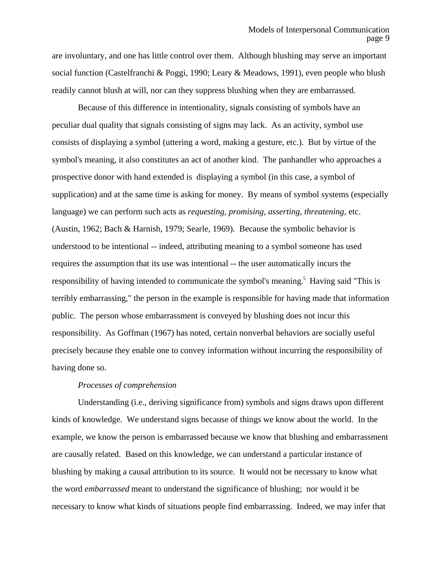are involuntary, and one has little control over them. Although blushing may serve an important social function (Castelfranchi & Poggi, 1990; Leary & Meadows, 1991), even people who blush readily cannot blush at will, nor can they suppress blushing when they are embarrassed.

Because of this difference in intentionality, signals consisting of symbols have an peculiar dual quality that signals consisting of signs may lack. As an activity, symbol use consists of displaying a symbol (uttering a word, making a gesture, etc.). But by virtue of the symbol's meaning, it also constitutes an act of another kind. The panhandler who approaches a prospective donor with hand extended is displaying a symbol (in this case, a symbol of supplication) and at the same time is asking for money. By means of symbol systems (especially language) we can perform such acts as *requesting, promising, asserting, threatening,* etc. (Austin, 1962; Bach & Harnish, 1979; Searle, 1969). Because the symbolic behavior is understood to be intentional -- indeed, attributing meaning to a symbol someone has used requires the assumption that its use was intentional -- the user automatically incurs the responsibility of having intended to communicate the symbol's meaning.<sup>5</sup> Having said "This is terribly embarrassing," the person in the example is responsible for having made that information public. The person whose embarrassment is conveyed by blushing does not incur this responsibility. As Goffman (1967) has noted, certain nonverbal behaviors are socially useful precisely because they enable one to convey information without incurring the responsibility of having done so.

# *Processes of comprehension*

Understanding (i.e., deriving significance from) symbols and signs draws upon different kinds of knowledge. We understand signs because of things we know about the world. In the example, we know the person is embarrassed because we know that blushing and embarrassment are causally related. Based on this knowledge, we can understand a particular instance of blushing by making a causal attribution to its source. It would not be necessary to know what the word *embarrassed* meant to understand the significance of blushing; nor would it be necessary to know what kinds of situations people find embarrassing. Indeed, we may infer that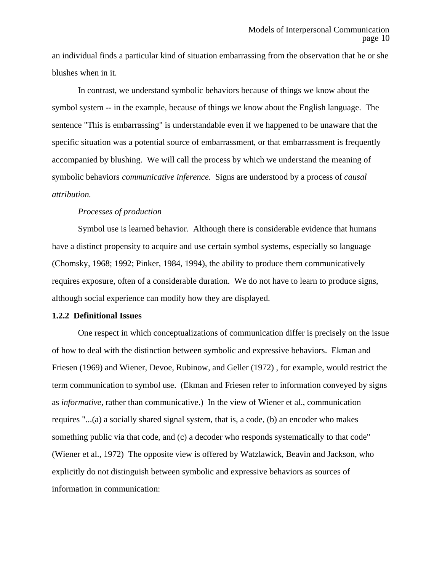an individual finds a particular kind of situation embarrassing from the observation that he or she blushes when in it.

In contrast, we understand symbolic behaviors because of things we know about the symbol system -- in the example, because of things we know about the English language. The sentence "This is embarrassing" is understandable even if we happened to be unaware that the specific situation was a potential source of embarrassment, or that embarrassment is frequently accompanied by blushing. We will call the process by which we understand the meaning of symbolic behaviors *communicative inference.* Signs are understood by a process of *causal attribution.*

## *Processes of production*

Symbol use is learned behavior. Although there is considerable evidence that humans have a distinct propensity to acquire and use certain symbol systems, especially so language (Chomsky, 1968; 1992; Pinker, 1984, 1994), the ability to produce them communicatively requires exposure, often of a considerable duration. We do not have to learn to produce signs, although social experience can modify how they are displayed.

#### **1.2.2 Definitional Issues**

One respect in which conceptualizations of communication differ is precisely on the issue of how to deal with the distinction between symbolic and expressive behaviors. Ekman and Friesen (1969) and Wiener, Devoe, Rubinow, and Geller (1972) , for example, would restrict the term communication to symbol use. (Ekman and Friesen refer to information conveyed by signs as *informative,* rather than communicative.) In the view of Wiener et al., communication requires "...(a) a socially shared signal system, that is, a code, (b) an encoder who makes something public via that code, and (c) a decoder who responds systematically to that code" (Wiener et al., 1972) The opposite view is offered by Watzlawick, Beavin and Jackson, who explicitly do not distinguish between symbolic and expressive behaviors as sources of information in communication: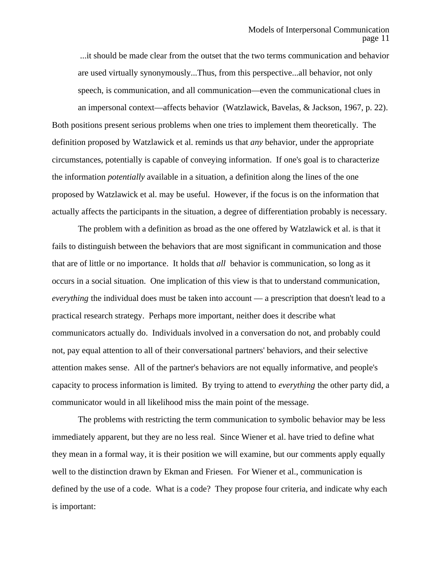...it should be made clear from the outset that the two terms communication and behavior are used virtually synonymously...Thus, from this perspective...all behavior, not only speech, is communication, and all communication—even the communicational clues in an impersonal context—affects behavior (Watzlawick, Bavelas, & Jackson, 1967, p. 22). Both positions present serious problems when one tries to implement them theoretically. The definition proposed by Watzlawick et al. reminds us that *any* behavior, under the appropriate circumstances, potentially is capable of conveying information. If one's goal is to characterize the information *potentially* available in a situation, a definition along the lines of the one proposed by Watzlawick et al. may be useful. However, if the focus is on the information that actually affects the participants in the situation, a degree of differentiation probably is necessary.

The problem with a definition as broad as the one offered by Watzlawick et al. is that it fails to distinguish between the behaviors that are most significant in communication and those that are of little or no importance. It holds that *all* behavior is communication, so long as it occurs in a social situation. One implication of this view is that to understand communication, *everything* the individual does must be taken into account — a prescription that doesn't lead to a practical research strategy. Perhaps more important, neither does it describe what communicators actually do. Individuals involved in a conversation do not, and probably could not, pay equal attention to all of their conversational partners' behaviors, and their selective attention makes sense. All of the partner's behaviors are not equally informative, and people's capacity to process information is limited. By trying to attend to *everything* the other party did, a communicator would in all likelihood miss the main point of the message.

The problems with restricting the term communication to symbolic behavior may be less immediately apparent, but they are no less real. Since Wiener et al. have tried to define what they mean in a formal way, it is their position we will examine, but our comments apply equally well to the distinction drawn by Ekman and Friesen. For Wiener et al., communication is defined by the use of a code. What is a code? They propose four criteria, and indicate why each is important: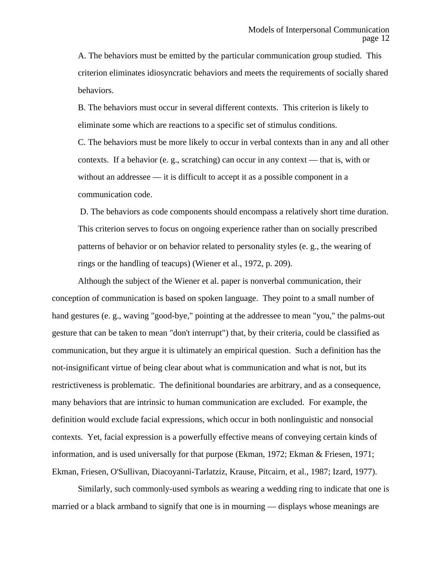A. The behaviors must be emitted by the particular communication group studied. This criterion eliminates idiosyncratic behaviors and meets the requirements of socially shared behaviors.

B. The behaviors must occur in several different contexts. This criterion is likely to eliminate some which are reactions to a specific set of stimulus conditions. C. The behaviors must be more likely to occur in verbal contexts than in any and all other contexts. If a behavior (e. g., scratching) can occur in any context –– that is, with or without an addressee  $-$  it is difficult to accept it as a possible component in a communication code.

 D. The behaviors as code components should encompass a relatively short time duration. This criterion serves to focus on ongoing experience rather than on socially prescribed patterns of behavior or on behavior related to personality styles (e. g., the wearing of rings or the handling of teacups) (Wiener et al., 1972, p. 209).

Although the subject of the Wiener et al. paper is nonverbal communication, their conception of communication is based on spoken language. They point to a small number of hand gestures (e. g., waving "good-bye," pointing at the addressee to mean "you," the palms-out gesture that can be taken to mean "don't interrupt") that, by their criteria, could be classified as communication, but they argue it is ultimately an empirical question. Such a definition has the not-insignificant virtue of being clear about what is communication and what is not, but its restrictiveness is problematic. The definitional boundaries are arbitrary, and as a consequence, many behaviors that are intrinsic to human communication are excluded. For example, the definition would exclude facial expressions, which occur in both nonlinguistic and nonsocial contexts. Yet, facial expression is a powerfully effective means of conveying certain kinds of information, and is used universally for that purpose (Ekman, 1972; Ekman & Friesen, 1971; Ekman, Friesen, O'Sullivan, Diacoyanni-Tarlatziz, Krause, Pitcairn, et al., 1987; Izard, 1977).

Similarly, such commonly-used symbols as wearing a wedding ring to indicate that one is married or a black armband to signify that one is in mourning — displays whose meanings are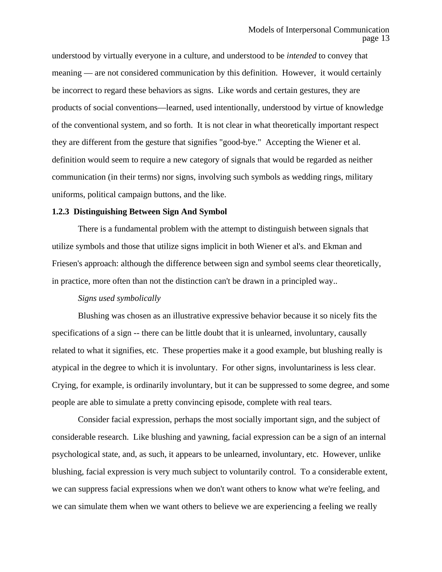understood by virtually everyone in a culture, and understood to be *intended* to convey that meaning — are not considered communication by this definition. However, it would certainly be incorrect to regard these behaviors as signs. Like words and certain gestures, they are products of social conventions—learned, used intentionally, understood by virtue of knowledge of the conventional system, and so forth. It is not clear in what theoretically important respect they are different from the gesture that signifies "good-bye." Accepting the Wiener et al. definition would seem to require a new category of signals that would be regarded as neither communication (in their terms) nor signs, involving such symbols as wedding rings, military uniforms, political campaign buttons, and the like.

## **1.2.3 Distinguishing Between Sign And Symbol**

There is a fundamental problem with the attempt to distinguish between signals that utilize symbols and those that utilize signs implicit in both Wiener et al's. and Ekman and Friesen's approach: although the difference between sign and symbol seems clear theoretically, in practice, more often than not the distinction can't be drawn in a principled way..

## *Signs used symbolically*

Blushing was chosen as an illustrative expressive behavior because it so nicely fits the specifications of a sign -- there can be little doubt that it is unlearned, involuntary, causally related to what it signifies, etc. These properties make it a good example, but blushing really is atypical in the degree to which it is involuntary. For other signs, involuntariness is less clear. Crying, for example, is ordinarily involuntary, but it can be suppressed to some degree, and some people are able to simulate a pretty convincing episode, complete with real tears.

Consider facial expression, perhaps the most socially important sign, and the subject of considerable research. Like blushing and yawning, facial expression can be a sign of an internal psychological state, and, as such, it appears to be unlearned, involuntary, etc. However, unlike blushing, facial expression is very much subject to voluntarily control. To a considerable extent, we can suppress facial expressions when we don't want others to know what we're feeling, and we can simulate them when we want others to believe we are experiencing a feeling we really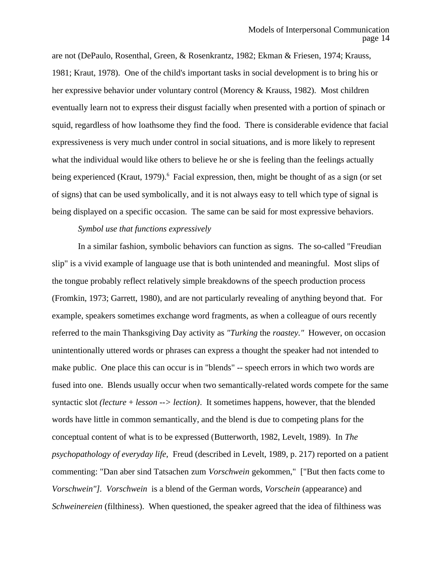are not (DePaulo, Rosenthal, Green, & Rosenkrantz, 1982; Ekman & Friesen, 1974; Krauss, 1981; Kraut, 1978). One of the child's important tasks in social development is to bring his or her expressive behavior under voluntary control (Morency & Krauss, 1982). Most children eventually learn not to express their disgust facially when presented with a portion of spinach or squid, regardless of how loathsome they find the food. There is considerable evidence that facial expressiveness is very much under control in social situations, and is more likely to represent what the individual would like others to believe he or she is feeling than the feelings actually being experienced (Kraut, 1979).<sup>6</sup> Facial expression, then, might be thought of as a sign (or set of signs) that can be used symbolically, and it is not always easy to tell which type of signal is being displayed on a specific occasion. The same can be said for most expressive behaviors.

## *Symbol use that functions expressively*

In a similar fashion, symbolic behaviors can function as signs. The so-called "Freudian slip" is a vivid example of language use that is both unintended and meaningful. Most slips of the tongue probably reflect relatively simple breakdowns of the speech production process (Fromkin, 1973; Garrett, 1980), and are not particularly revealing of anything beyond that. For example, speakers sometimes exchange word fragments, as when a colleague of ours recently referred to the main Thanksgiving Day activity as *"Turking* the *roastey."* However, on occasion unintentionally uttered words or phrases can express a thought the speaker had not intended to make public. One place this can occur is in "blends" -- speech errors in which two words are fused into one. Blends usually occur when two semantically-related words compete for the same syntactic slot *(lecture* + *lesson --> lection)*. It sometimes happens, however, that the blended words have little in common semantically, and the blend is due to competing plans for the conceptual content of what is to be expressed (Butterworth, 1982, Levelt, 1989). In *The psychopathology of everyday life,* Freud (described in Levelt, 1989, p. 217) reported on a patient commenting: "Dan aber sind Tatsachen zum *Vorschwein* gekommen," ["But then facts come to *Vorschwein"]. Vorschwein* is a blend of the German words, *Vorschein* (appearance) and *Schweinereien* (filthiness). When questioned, the speaker agreed that the idea of filthiness was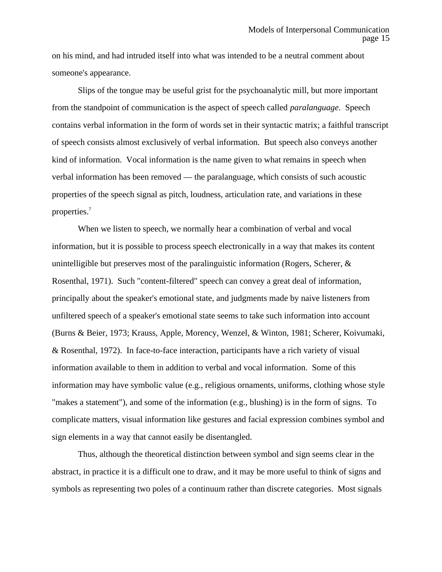on his mind, and had intruded itself into what was intended to be a neutral comment about someone's appearance.

Slips of the tongue may be useful grist for the psychoanalytic mill, but more important from the standpoint of communication is the aspect of speech called *paralanguage.* Speech contains verbal information in the form of words set in their syntactic matrix; a faithful transcript of speech consists almost exclusively of verbal information. But speech also conveys another kind of information. Vocal information is the name given to what remains in speech when verbal information has been removed — the paralanguage, which consists of such acoustic properties of the speech signal as pitch, loudness, articulation rate, and variations in these properties.7

When we listen to speech, we normally hear a combination of verbal and vocal information, but it is possible to process speech electronically in a way that makes its content unintelligible but preserves most of the paralinguistic information (Rogers, Scherer,  $\&$ Rosenthal, 1971). Such "content-filtered" speech can convey a great deal of information, principally about the speaker's emotional state, and judgments made by naive listeners from unfiltered speech of a speaker's emotional state seems to take such information into account (Burns & Beier, 1973; Krauss, Apple, Morency, Wenzel, & Winton, 1981; Scherer, Koivumaki, & Rosenthal, 1972). In face-to-face interaction, participants have a rich variety of visual information available to them in addition to verbal and vocal information. Some of this information may have symbolic value (e.g., religious ornaments, uniforms, clothing whose style "makes a statement"), and some of the information (e.g., blushing) is in the form of signs. To complicate matters, visual information like gestures and facial expression combines symbol and sign elements in a way that cannot easily be disentangled.

Thus, although the theoretical distinction between symbol and sign seems clear in the abstract, in practice it is a difficult one to draw, and it may be more useful to think of signs and symbols as representing two poles of a continuum rather than discrete categories. Most signals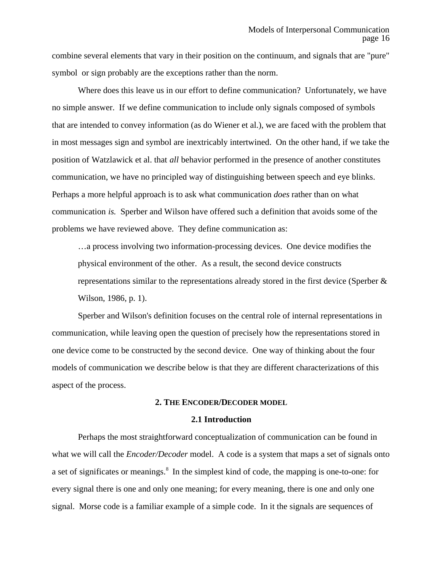combine several elements that vary in their position on the continuum, and signals that are "pure" symbol or sign probably are the exceptions rather than the norm.

Where does this leave us in our effort to define communication? Unfortunately, we have no simple answer. If we define communication to include only signals composed of symbols that are intended to convey information (as do Wiener et al.), we are faced with the problem that in most messages sign and symbol are inextricably intertwined. On the other hand, if we take the position of Watzlawick et al. that *all* behavior performed in the presence of another constitutes communication, we have no principled way of distinguishing between speech and eye blinks. Perhaps a more helpful approach is to ask what communication *does* rather than on what communication *is.* Sperber and Wilson have offered such a definition that avoids some of the problems we have reviewed above. They define communication as:

…a process involving two information-processing devices. One device modifies the physical environment of the other. As a result, the second device constructs representations similar to the representations already stored in the first device (Sperber & Wilson, 1986, p. 1).

Sperber and Wilson's definition focuses on the central role of internal representations in communication, while leaving open the question of precisely how the representations stored in one device come to be constructed by the second device. One way of thinking about the four models of communication we describe below is that they are different characterizations of this aspect of the process.

## **2. THE ENCODER/DECODER MODEL**

#### **2.1 Introduction**

Perhaps the most straightforward conceptualization of communication can be found in what we will call the *Encoder/Decoder* model. A code is a system that maps a set of signals onto a set of significates or meanings.<sup>8</sup> In the simplest kind of code, the mapping is one-to-one: for every signal there is one and only one meaning; for every meaning, there is one and only one signal. Morse code is a familiar example of a simple code. In it the signals are sequences of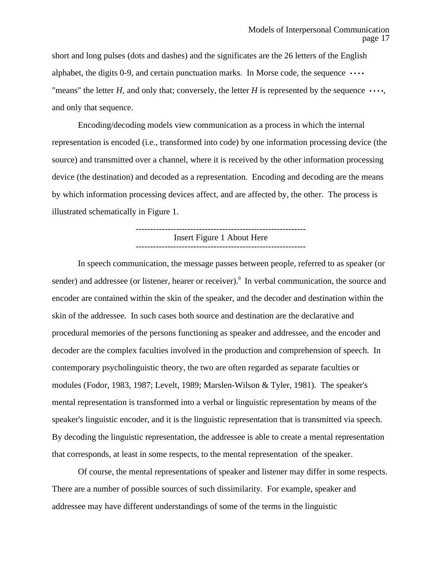short and long pulses (dots and dashes) and the significates are the 26 letters of the English alphabet, the digits 0-9, and certain punctuation marks. In Morse code, the sequence  $\cdots$ "means" the letter *H*, and only that; conversely, the letter *H* is represented by the sequence  $\cdots$ , and only that sequence.

Encoding/decoding models view communication as a process in which the internal representation is encoded (i.e., transformed into code) by one information processing device (the source) and transmitted over a channel, where it is received by the other information processing device (the destination) and decoded as a representation. Encoding and decoding are the means by which information processing devices affect, and are affected by, the other. The process is illustrated schematically in Figure 1.

> ----------------------------------------------------------- Insert Figure 1 About Here -----------------------------------------------------------

In speech communication, the message passes between people, referred to as speaker (or sender) and addressee (or listener, hearer or receiver).<sup>9</sup> In verbal communication, the source and encoder are contained within the skin of the speaker, and the decoder and destination within the skin of the addressee. In such cases both source and destination are the declarative and procedural memories of the persons functioning as speaker and addressee, and the encoder and decoder are the complex faculties involved in the production and comprehension of speech. In contemporary psycholinguistic theory, the two are often regarded as separate faculties or modules (Fodor, 1983, 1987; Levelt, 1989; Marslen-Wilson & Tyler, 1981). The speaker's mental representation is transformed into a verbal or linguistic representation by means of the speaker's linguistic encoder, and it is the linguistic representation that is transmitted via speech. By decoding the linguistic representation, the addressee is able to create a mental representation that corresponds, at least in some respects, to the mental representation of the speaker.

Of course, the mental representations of speaker and listener may differ in some respects. There are a number of possible sources of such dissimilarity. For example, speaker and addressee may have different understandings of some of the terms in the linguistic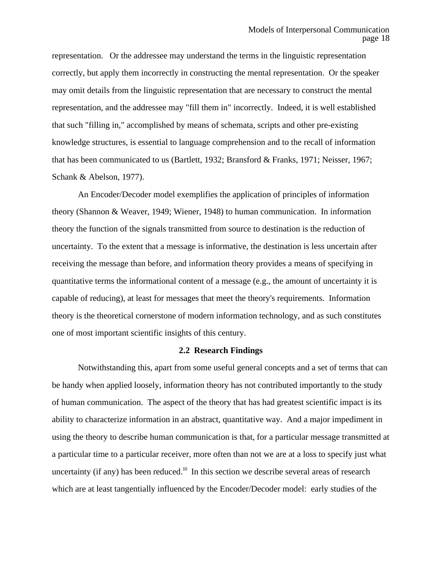representation. Or the addressee may understand the terms in the linguistic representation correctly, but apply them incorrectly in constructing the mental representation. Or the speaker may omit details from the linguistic representation that are necessary to construct the mental representation, and the addressee may "fill them in" incorrectly. Indeed, it is well established that such "filling in," accomplished by means of schemata, scripts and other pre-existing knowledge structures, is essential to language comprehension and to the recall of information that has been communicated to us (Bartlett, 1932; Bransford & Franks, 1971; Neisser, 1967; Schank & Abelson, 1977).

An Encoder/Decoder model exemplifies the application of principles of information theory (Shannon & Weaver, 1949; Wiener, 1948) to human communication. In information theory the function of the signals transmitted from source to destination is the reduction of uncertainty. To the extent that a message is informative, the destination is less uncertain after receiving the message than before, and information theory provides a means of specifying in quantitative terms the informational content of a message (e.g., the amount of uncertainty it is capable of reducing), at least for messages that meet the theory's requirements. Information theory is the theoretical cornerstone of modern information technology, and as such constitutes one of most important scientific insights of this century.

#### **2.2 Research Findings**

Notwithstanding this, apart from some useful general concepts and a set of terms that can be handy when applied loosely, information theory has not contributed importantly to the study of human communication. The aspect of the theory that has had greatest scientific impact is its ability to characterize information in an abstract, quantitative way. And a major impediment in using the theory to describe human communication is that, for a particular message transmitted at a particular time to a particular receiver, more often than not we are at a loss to specify just what uncertainty (if any) has been reduced.<sup>10</sup> In this section we describe several areas of research which are at least tangentially influenced by the Encoder/Decoder model: early studies of the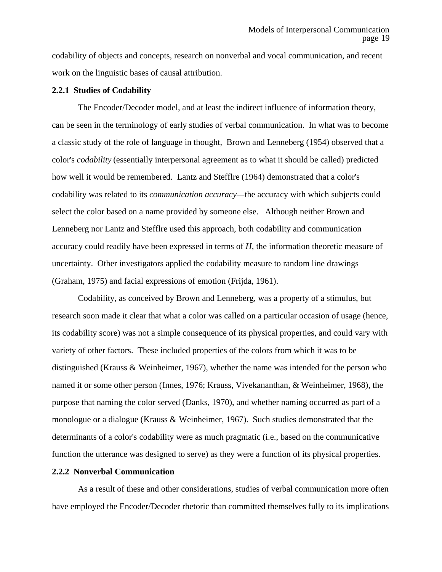codability of objects and concepts, research on nonverbal and vocal communication, and recent work on the linguistic bases of causal attribution.

#### **2.2.1 Studies of Codability**

The Encoder/Decoder model, and at least the indirect influence of information theory, can be seen in the terminology of early studies of verbal communication. In what was to become a classic study of the role of language in thought, Brown and Lenneberg (1954) observed that a color's *codability* (essentially interpersonal agreement as to what it should be called) predicted how well it would be remembered. Lantz and Stefflre (1964) demonstrated that a color's codability was related to its *communication accuracy—*the accuracy with which subjects could select the color based on a name provided by someone else. Although neither Brown and Lenneberg nor Lantz and Stefflre used this approach, both codability and communication accuracy could readily have been expressed in terms of *H,* the information theoretic measure of uncertainty. Other investigators applied the codability measure to random line drawings (Graham, 1975) and facial expressions of emotion (Frijda, 1961).

Codability, as conceived by Brown and Lenneberg, was a property of a stimulus, but research soon made it clear that what a color was called on a particular occasion of usage (hence, its codability score) was not a simple consequence of its physical properties, and could vary with variety of other factors. These included properties of the colors from which it was to be distinguished (Krauss & Weinheimer, 1967), whether the name was intended for the person who named it or some other person (Innes, 1976; Krauss, Vivekananthan, & Weinheimer, 1968), the purpose that naming the color served (Danks, 1970), and whether naming occurred as part of a monologue or a dialogue (Krauss & Weinheimer, 1967). Such studies demonstrated that the determinants of a color's codability were as much pragmatic (i.e., based on the communicative function the utterance was designed to serve) as they were a function of its physical properties.

#### **2.2.2 Nonverbal Communication**

As a result of these and other considerations, studies of verbal communication more often have employed the Encoder/Decoder rhetoric than committed themselves fully to its implications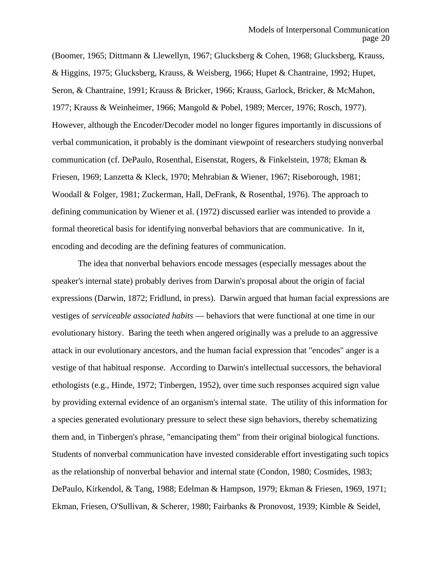(Boomer, 1965; Dittmann & Llewellyn, 1967; Glucksberg & Cohen, 1968; Glucksberg, Krauss, & Higgins, 1975; Glucksberg, Krauss, & Weisberg, 1966; Hupet & Chantraine, 1992; Hupet, Seron, & Chantraine, 1991; Krauss & Bricker, 1966; Krauss, Garlock, Bricker, & McMahon, 1977; Krauss & Weinheimer, 1966; Mangold & Pobel, 1989; Mercer, 1976; Rosch, 1977). However, although the Encoder/Decoder model no longer figures importantly in discussions of verbal communication, it probably is the dominant viewpoint of researchers studying nonverbal communication (cf. DePaulo, Rosenthal, Eisenstat, Rogers, & Finkelstein, 1978; Ekman & Friesen, 1969; Lanzetta & Kleck, 1970; Mehrabian & Wiener, 1967; Riseborough, 1981; Woodall & Folger, 1981; Zuckerman, Hall, DeFrank, & Rosenthal, 1976). The approach to defining communication by Wiener et al. (1972) discussed earlier was intended to provide a formal theoretical basis for identifying nonverbal behaviors that are communicative. In it, encoding and decoding are the defining features of communication.

The idea that nonverbal behaviors encode messages (especially messages about the speaker's internal state) probably derives from Darwin's proposal about the origin of facial expressions (Darwin, 1872; Fridlund, in press). Darwin argued that human facial expressions are vestiges of *serviceable associated habits* — behaviors that were functional at one time in our evolutionary history. Baring the teeth when angered originally was a prelude to an aggressive attack in our evolutionary ancestors, and the human facial expression that "encodes" anger is a vestige of that habitual response. According to Darwin's intellectual successors, the behavioral ethologists (e.g., Hinde, 1972; Tinbergen, 1952), over time such responses acquired sign value by providing external evidence of an organism's internal state. The utility of this information for a species generated evolutionary pressure to select these sign behaviors, thereby schematizing them and, in Tinbergen's phrase, "emancipating them" from their original biological functions. Students of nonverbal communication have invested considerable effort investigating such topics as the relationship of nonverbal behavior and internal state (Condon, 1980; Cosmides, 1983; DePaulo, Kirkendol, & Tang, 1988; Edelman & Hampson, 1979; Ekman & Friesen, 1969, 1971; Ekman, Friesen, O'Sullivan, & Scherer, 1980; Fairbanks & Pronovost, 1939; Kimble & Seidel,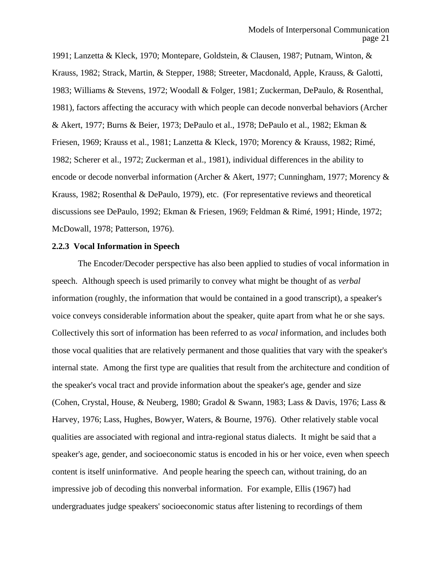1991; Lanzetta & Kleck, 1970; Montepare, Goldstein, & Clausen, 1987; Putnam, Winton, & Krauss, 1982; Strack, Martin, & Stepper, 1988; Streeter, Macdonald, Apple, Krauss, & Galotti, 1983; Williams & Stevens, 1972; Woodall & Folger, 1981; Zuckerman, DePaulo, & Rosenthal, 1981), factors affecting the accuracy with which people can decode nonverbal behaviors (Archer & Akert, 1977; Burns & Beier, 1973; DePaulo et al., 1978; DePaulo et al., 1982; Ekman & Friesen, 1969; Krauss et al., 1981; Lanzetta & Kleck, 1970; Morency & Krauss, 1982; Rimé, 1982; Scherer et al., 1972; Zuckerman et al., 1981), individual differences in the ability to encode or decode nonverbal information (Archer & Akert, 1977; Cunningham, 1977; Morency & Krauss, 1982; Rosenthal & DePaulo, 1979), etc. (For representative reviews and theoretical discussions see DePaulo, 1992; Ekman & Friesen, 1969; Feldman & Rimé, 1991; Hinde, 1972; McDowall, 1978; Patterson, 1976).

#### **2.2.3 Vocal Information in Speech**

The Encoder/Decoder perspective has also been applied to studies of vocal information in speech. Although speech is used primarily to convey what might be thought of as *verbal* information (roughly, the information that would be contained in a good transcript), a speaker's voice conveys considerable information about the speaker, quite apart from what he or she says. Collectively this sort of information has been referred to as *vocal* information, and includes both those vocal qualities that are relatively permanent and those qualities that vary with the speaker's internal state. Among the first type are qualities that result from the architecture and condition of the speaker's vocal tract and provide information about the speaker's age, gender and size (Cohen, Crystal, House, & Neuberg, 1980; Gradol & Swann, 1983; Lass & Davis, 1976; Lass & Harvey, 1976; Lass, Hughes, Bowyer, Waters, & Bourne, 1976). Other relatively stable vocal qualities are associated with regional and intra-regional status dialects. It might be said that a speaker's age, gender, and socioeconomic status is encoded in his or her voice, even when speech content is itself uninformative. And people hearing the speech can, without training, do an impressive job of decoding this nonverbal information. For example, Ellis (1967) had undergraduates judge speakers' socioeconomic status after listening to recordings of them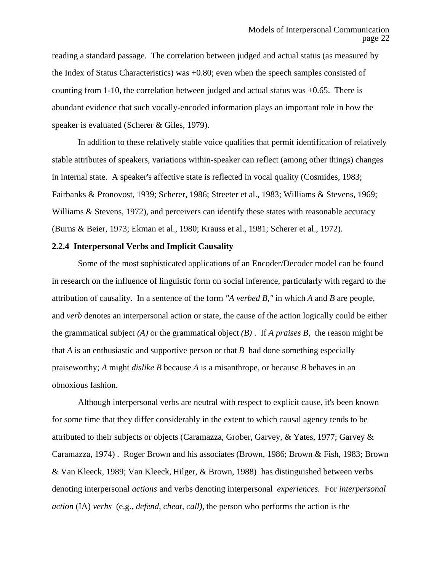reading a standard passage. The correlation between judged and actual status (as measured by the Index of Status Characteristics) was +0.80; even when the speech samples consisted of counting from 1-10, the correlation between judged and actual status was +0.65. There is abundant evidence that such vocally-encoded information plays an important role in how the speaker is evaluated (Scherer & Giles, 1979).

In addition to these relatively stable voice qualities that permit identification of relatively stable attributes of speakers, variations within-speaker can reflect (among other things) changes in internal state. A speaker's affective state is reflected in vocal quality (Cosmides, 1983; Fairbanks & Pronovost, 1939; Scherer, 1986; Streeter et al., 1983; Williams & Stevens, 1969; Williams & Stevens, 1972), and perceivers can identify these states with reasonable accuracy (Burns & Beier, 1973; Ekman et al., 1980; Krauss et al., 1981; Scherer et al., 1972).

#### **2.2.4 Interpersonal Verbs and Implicit Causality**

Some of the most sophisticated applications of an Encoder/Decoder model can be found in research on the influence of linguistic form on social inference, particularly with regard to the attribution of causality. In a sentence of the form *"A verbed B,"* in which *A* and *B* are people, and *verb* denotes an interpersonal action or state, the cause of the action logically could be either the grammatical subject *(A)* or the grammatical object *(B)* . If *A praises B,* the reason might be that *A* is an enthusiastic and supportive person or that *B* had done something especially praiseworthy; *A* might *dislike B* because *A* is a misanthrope, or because *B* behaves in an obnoxious fashion.

Although interpersonal verbs are neutral with respect to explicit cause, it's been known for some time that they differ considerably in the extent to which causal agency tends to be attributed to their subjects or objects (Caramazza, Grober, Garvey, & Yates, 1977; Garvey & Caramazza, 1974) . Roger Brown and his associates (Brown, 1986; Brown & Fish, 1983; Brown & Van Kleeck, 1989; Van Kleeck, Hilger, & Brown, 1988) has distinguished between verbs denoting interpersonal *actions* and verbs denoting interpersonal *experiences.* For *interpersonal action* (IA) *verbs* (e.g., *defend, cheat, call),* the person who performs the action is the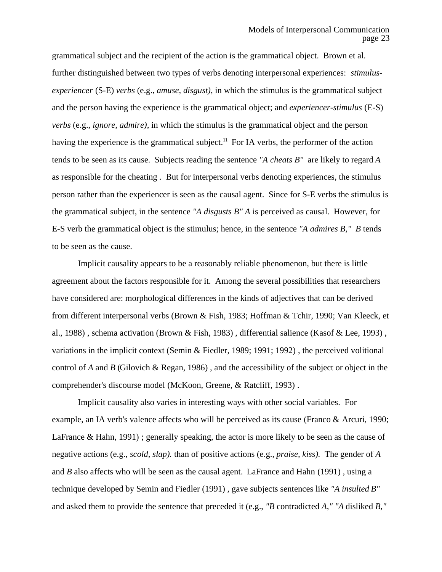grammatical subject and the recipient of the action is the grammatical object. Brown et al. further distinguished between two types of verbs denoting interpersonal experiences: *stimulusexperiencer* (S-E) *verbs* (e.g., *amuse, disgust)*, in which the stimulus is the grammatical subject and the person having the experience is the grammatical object; and *experiencer-stimulus* (E-S) *verbs* (e.g., *ignore, admire),* in which the stimulus is the grammatical object and the person having the experience is the grammatical subject.<sup>11</sup> For IA verbs, the performer of the action tends to be seen as its cause. Subjects reading the sentence *"A cheats B"* are likely to regard *A* as responsible for the cheating *.* But for interpersonal verbs denoting experiences, the stimulus person rather than the experiencer is seen as the causal agent. Since for S-E verbs the stimulus is the grammatical subject, in the sentence *"A disgusts B" A* is perceived as causal. However, for E-S verb the grammatical object is the stimulus; hence, in the sentence *"A admires B," B* tends to be seen as the cause.

Implicit causality appears to be a reasonably reliable phenomenon, but there is little agreement about the factors responsible for it. Among the several possibilities that researchers have considered are: morphological differences in the kinds of adjectives that can be derived from different interpersonal verbs (Brown & Fish, 1983; Hoffman & Tchir, 1990; Van Kleeck, et al., 1988) , schema activation (Brown & Fish, 1983) , differential salience (Kasof & Lee, 1993) , variations in the implicit context (Semin & Fiedler, 1989; 1991; 1992) , the perceived volitional control of *A* and *B* (Gilovich & Regan, 1986) , and the accessibility of the subject or object in the comprehender's discourse model (McKoon, Greene, & Ratcliff, 1993) .

Implicit causality also varies in interesting ways with other social variables. For example, an IA verb's valence affects who will be perceived as its cause (Franco & Arcuri, 1990; LaFrance & Hahn, 1991) ; generally speaking, the actor is more likely to be seen as the cause of negative actions (e.g., *scold, slap).* than of positive actions (e.g., *praise, kiss).* The gender of *A* and *B* also affects who will be seen as the causal agent. LaFrance and Hahn (1991) , using a technique developed by Semin and Fiedler (1991) , gave subjects sentences like *"A insulted B"* and asked them to provide the sentence that preceded it (e.g., *"B* contradicted *A," "A* disliked *B,"*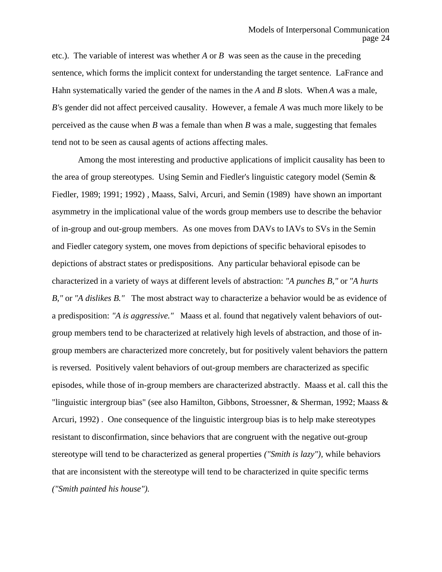etc.). The variable of interest was whether *A* or *B* was seen as the cause in the preceding sentence, which forms the implicit context for understanding the target sentence. LaFrance and Hahn systematically varied the gender of the names in the *A* and *B* slots. When *A* was a male, *B'*s gender did not affect perceived causality. However, a female *A* was much more likely to be perceived as the cause when *B* was a female than when *B* was a male, suggesting that females tend not to be seen as causal agents of actions affecting males.

Among the most interesting and productive applications of implicit causality has been to the area of group stereotypes. Using Semin and Fiedler's linguistic category model (Semin & Fiedler, 1989; 1991; 1992) , Maass, Salvi, Arcuri, and Semin (1989) have shown an important asymmetry in the implicational value of the words group members use to describe the behavior of in-group and out-group members. As one moves from DAVs to IAVs to SVs in the Semin and Fiedler category system, one moves from depictions of specific behavioral episodes to depictions of abstract states or predispositions. Any particular behavioral episode can be characterized in a variety of ways at different levels of abstraction: *"A punches B,"* or *"A hurts B,"* or *"A dislikes B."* The most abstract way to characterize a behavior would be as evidence of a predisposition: *"A is aggressive."* Maass et al. found that negatively valent behaviors of outgroup members tend to be characterized at relatively high levels of abstraction, and those of ingroup members are characterized more concretely, but for positively valent behaviors the pattern is reversed. Positively valent behaviors of out-group members are characterized as specific episodes, while those of in-group members are characterized abstractly. Maass et al. call this the "linguistic intergroup bias" (see also Hamilton, Gibbons, Stroessner, & Sherman, 1992; Maass  $\&$ Arcuri, 1992) . One consequence of the linguistic intergroup bias is to help make stereotypes resistant to disconfirmation, since behaviors that are congruent with the negative out-group stereotype will tend to be characterized as general properties *("Smith is lazy"),* while behaviors that are inconsistent with the stereotype will tend to be characterized in quite specific terms *("Smith painted his house").*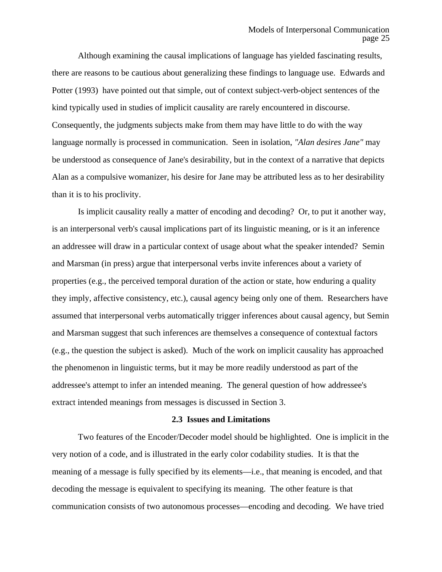Although examining the causal implications of language has yielded fascinating results, there are reasons to be cautious about generalizing these findings to language use. Edwards and Potter (1993) have pointed out that simple, out of context subject-verb-object sentences of the kind typically used in studies of implicit causality are rarely encountered in discourse. Consequently, the judgments subjects make from them may have little to do with the way language normally is processed in communication. Seen in isolation, *"Alan desires Jane"* may be understood as consequence of Jane's desirability, but in the context of a narrative that depicts Alan as a compulsive womanizer, his desire for Jane may be attributed less as to her desirability than it is to his proclivity.

Is implicit causality really a matter of encoding and decoding? Or, to put it another way, is an interpersonal verb's causal implications part of its linguistic meaning, or is it an inference an addressee will draw in a particular context of usage about what the speaker intended? Semin and Marsman (in press) argue that interpersonal verbs invite inferences about a variety of properties (e.g., the perceived temporal duration of the action or state, how enduring a quality they imply, affective consistency, etc.), causal agency being only one of them. Researchers have assumed that interpersonal verbs automatically trigger inferences about causal agency, but Semin and Marsman suggest that such inferences are themselves a consequence of contextual factors (e.g., the question the subject is asked). Much of the work on implicit causality has approached the phenomenon in linguistic terms, but it may be more readily understood as part of the addressee's attempt to infer an intended meaning. The general question of how addressee's extract intended meanings from messages is discussed in Section 3.

#### **2.3 Issues and Limitations**

Two features of the Encoder/Decoder model should be highlighted. One is implicit in the very notion of a code, and is illustrated in the early color codability studies. It is that the meaning of a message is fully specified by its elements—i.e., that meaning is encoded, and that decoding the message is equivalent to specifying its meaning. The other feature is that communication consists of two autonomous processes—encoding and decoding. We have tried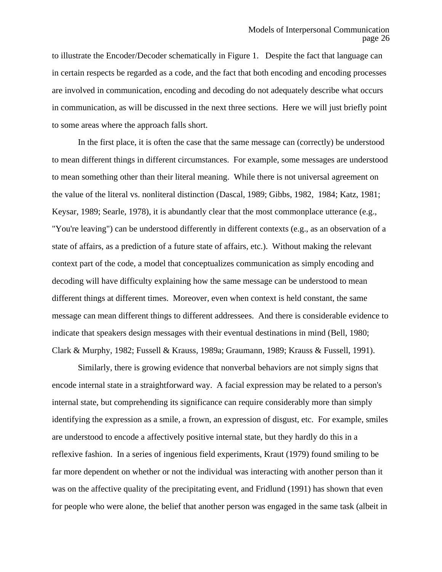to illustrate the Encoder/Decoder schematically in Figure 1. Despite the fact that language can in certain respects be regarded as a code, and the fact that both encoding and encoding processes are involved in communication, encoding and decoding do not adequately describe what occurs in communication, as will be discussed in the next three sections. Here we will just briefly point to some areas where the approach falls short.

In the first place, it is often the case that the same message can (correctly) be understood to mean different things in different circumstances. For example, some messages are understood to mean something other than their literal meaning. While there is not universal agreement on the value of the literal vs. nonliteral distinction (Dascal, 1989; Gibbs, 1982, 1984; Katz, 1981; Keysar, 1989; Searle, 1978), it is abundantly clear that the most commonplace utterance (e.g., "You're leaving") can be understood differently in different contexts (e.g., as an observation of a state of affairs, as a prediction of a future state of affairs, etc.). Without making the relevant context part of the code, a model that conceptualizes communication as simply encoding and decoding will have difficulty explaining how the same message can be understood to mean different things at different times. Moreover, even when context is held constant, the same message can mean different things to different addressees. And there is considerable evidence to indicate that speakers design messages with their eventual destinations in mind (Bell, 1980; Clark & Murphy, 1982; Fussell & Krauss, 1989a; Graumann, 1989; Krauss & Fussell, 1991).

Similarly, there is growing evidence that nonverbal behaviors are not simply signs that encode internal state in a straightforward way. A facial expression may be related to a person's internal state, but comprehending its significance can require considerably more than simply identifying the expression as a smile, a frown, an expression of disgust, etc. For example, smiles are understood to encode a affectively positive internal state, but they hardly do this in a reflexive fashion. In a series of ingenious field experiments, Kraut (1979) found smiling to be far more dependent on whether or not the individual was interacting with another person than it was on the affective quality of the precipitating event, and Fridlund (1991) has shown that even for people who were alone, the belief that another person was engaged in the same task (albeit in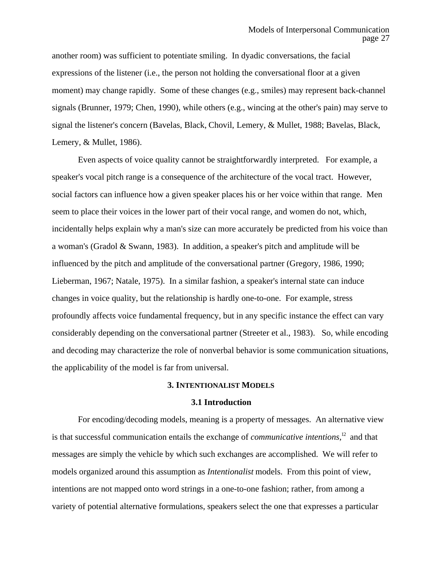another room) was sufficient to potentiate smiling. In dyadic conversations, the facial expressions of the listener (i.e., the person not holding the conversational floor at a given moment) may change rapidly. Some of these changes (e.g., smiles) may represent back-channel signals (Brunner, 1979; Chen, 1990), while others (e.g., wincing at the other's pain) may serve to signal the listener's concern (Bavelas, Black, Chovil, Lemery, & Mullet, 1988; Bavelas, Black, Lemery, & Mullet, 1986).

Even aspects of voice quality cannot be straightforwardly interpreted. For example, a speaker's vocal pitch range is a consequence of the architecture of the vocal tract. However, social factors can influence how a given speaker places his or her voice within that range. Men seem to place their voices in the lower part of their vocal range, and women do not, which, incidentally helps explain why a man's size can more accurately be predicted from his voice than a woman's (Gradol & Swann, 1983). In addition, a speaker's pitch and amplitude will be influenced by the pitch and amplitude of the conversational partner (Gregory, 1986, 1990; Lieberman, 1967; Natale, 1975). In a similar fashion, a speaker's internal state can induce changes in voice quality, but the relationship is hardly one-to-one. For example, stress profoundly affects voice fundamental frequency, but in any specific instance the effect can vary considerably depending on the conversational partner (Streeter et al., 1983). So, while encoding and decoding may characterize the role of nonverbal behavior is some communication situations, the applicability of the model is far from universal.

## **3. INTENTIONALIST MODELS**

#### **3.1 Introduction**

For encoding/decoding models, meaning is a property of messages. An alternative view is that successful communication entails the exchange of *communicative intentions,*<sup>12</sup> and that messages are simply the vehicle by which such exchanges are accomplished. We will refer to models organized around this assumption as *Intentionalist* models. From this point of view, intentions are not mapped onto word strings in a one-to-one fashion; rather, from among a variety of potential alternative formulations, speakers select the one that expresses a particular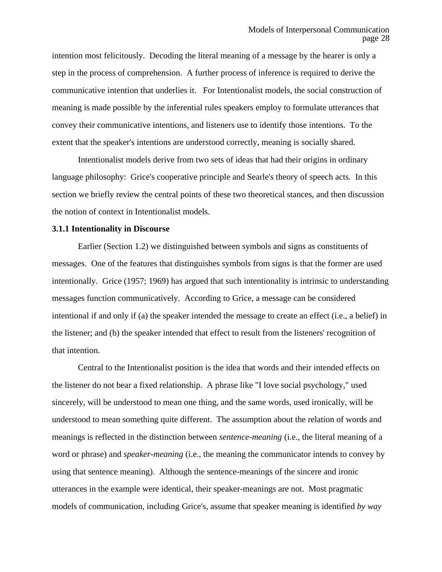intention most felicitously. Decoding the literal meaning of a message by the hearer is only a step in the process of comprehension. A further process of inference is required to derive the communicative intention that underlies it. For Intentionalist models, the social construction of meaning is made possible by the inferential rules speakers employ to formulate utterances that convey their communicative intentions, and listeners use to identify those intentions. To the extent that the speaker's intentions are understood correctly, meaning is socially shared.

Intentionalist models derive from two sets of ideas that had their origins in ordinary language philosophy: Grice's cooperative principle and Searle's theory of speech acts. In this section we briefly review the central points of these two theoretical stances, and then discussion the notion of context in Intentionalist models.

## **3.1.1 Intentionality in Discourse**

Earlier (Section 1.2) we distinguished between symbols and signs as constituents of messages. One of the features that distinguishes symbols from signs is that the former are used intentionally. Grice (1957; 1969) has argued that such intentionality is intrinsic to understanding messages function communicatively. According to Grice, a message can be considered intentional if and only if (a) the speaker intended the message to create an effect (i.e., a belief) in the listener; and (b) the speaker intended that effect to result from the listeners' recognition of that intention.

Central to the Intentionalist position is the idea that words and their intended effects on the listener do not bear a fixed relationship. A phrase like "I love social psychology," used sincerely, will be understood to mean one thing, and the same words, used ironically, will be understood to mean something quite different. The assumption about the relation of words and meanings is reflected in the distinction between *sentence-meaning* (i.e., the literal meaning of a word or phrase) and *speaker-meaning* (i.e., the meaning the communicator intends to convey by using that sentence meaning). Although the sentence-meanings of the sincere and ironic utterances in the example were identical, their speaker-meanings are not. Most pragmatic models of communication, including Grice's, assume that speaker meaning is identified *by way*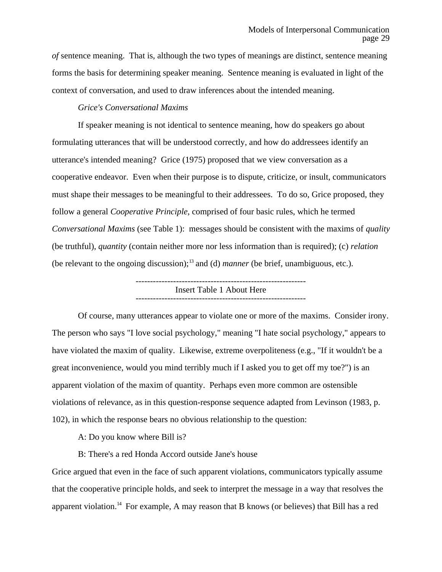*of* sentence meaning. That is, although the two types of meanings are distinct, sentence meaning forms the basis for determining speaker meaning. Sentence meaning is evaluated in light of the context of conversation, and used to draw inferences about the intended meaning.

# *Grice's Conversational Maxims*

If speaker meaning is not identical to sentence meaning, how do speakers go about formulating utterances that will be understood correctly, and how do addressees identify an utterance's intended meaning? Grice (1975) proposed that we view conversation as a cooperative endeavor. Even when their purpose is to dispute, criticize, or insult, communicators must shape their messages to be meaningful to their addressees. To do so, Grice proposed, they follow a general *Cooperative Principle*, comprised of four basic rules, which he termed *Conversational Maxims* (see Table 1): messages should be consistent with the maxims of *quality* (be truthful), *quantity* (contain neither more nor less information than is required); (c) *relation* (be relevant to the ongoing discussion);<sup>13</sup> and (d) *manner* (be brief, unambiguous, etc.).

> ----------------------------------------------------------- Insert Table 1 About Here -----------------------------------------------------------

Of course, many utterances appear to violate one or more of the maxims. Consider irony. The person who says "I love social psychology," meaning "I hate social psychology," appears to have violated the maxim of quality. Likewise, extreme overpoliteness (e.g., "If it wouldn't be a great inconvenience, would you mind terribly much if I asked you to get off my toe?") is an apparent violation of the maxim of quantity. Perhaps even more common are ostensible violations of relevance, as in this question-response sequence adapted from Levinson (1983, p. 102), in which the response bears no obvious relationship to the question:

A: Do you know where Bill is?

B: There's a red Honda Accord outside Jane's house

Grice argued that even in the face of such apparent violations, communicators typically assume that the cooperative principle holds, and seek to interpret the message in a way that resolves the apparent violation.<sup>14</sup> For example, A may reason that B knows (or believes) that Bill has a red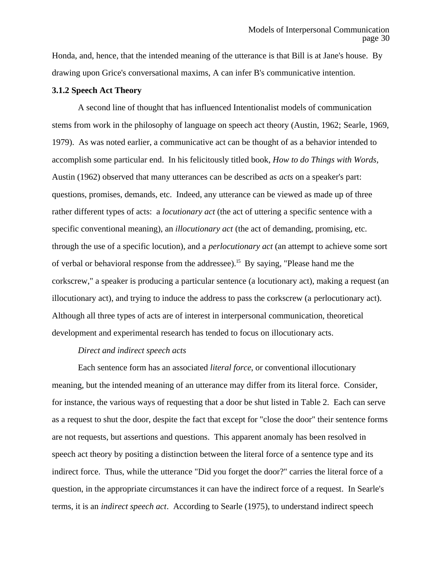Honda, and, hence, that the intended meaning of the utterance is that Bill is at Jane's house. By drawing upon Grice's conversational maxims, A can infer B's communicative intention.

## **3.1.2 Speech Act Theory**

A second line of thought that has influenced Intentionalist models of communication stems from work in the philosophy of language on speech act theory (Austin, 1962; Searle, 1969, 1979). As was noted earlier, a communicative act can be thought of as a behavior intended to accomplish some particular end. In his felicitously titled book, *How to do Things with Words,* Austin (1962) observed that many utterances can be described as *acts* on a speaker's part: questions, promises, demands, etc. Indeed, any utterance can be viewed as made up of three rather different types of acts: a *locutionary act* (the act of uttering a specific sentence with a specific conventional meaning), an *illocutionary act* (the act of demanding, promising, etc. through the use of a specific locution), and a *perlocutionary act* (an attempt to achieve some sort of verbal or behavioral response from the addressee).<sup>15</sup> By saying, "Please hand me the corkscrew," a speaker is producing a particular sentence (a locutionary act), making a request (an illocutionary act), and trying to induce the address to pass the corkscrew (a perlocutionary act). Although all three types of acts are of interest in interpersonal communication, theoretical development and experimental research has tended to focus on illocutionary acts.

# *Direct and indirect speech acts*

Each sentence form has an associated *literal force*, or conventional illocutionary meaning, but the intended meaning of an utterance may differ from its literal force. Consider, for instance, the various ways of requesting that a door be shut listed in Table 2. Each can serve as a request to shut the door, despite the fact that except for "close the door" their sentence forms are not requests, but assertions and questions. This apparent anomaly has been resolved in speech act theory by positing a distinction between the literal force of a sentence type and its indirect force. Thus, while the utterance "Did you forget the door?" carries the literal force of a question, in the appropriate circumstances it can have the indirect force of a request. In Searle's terms, it is an *indirect speech act*. According to Searle (1975), to understand indirect speech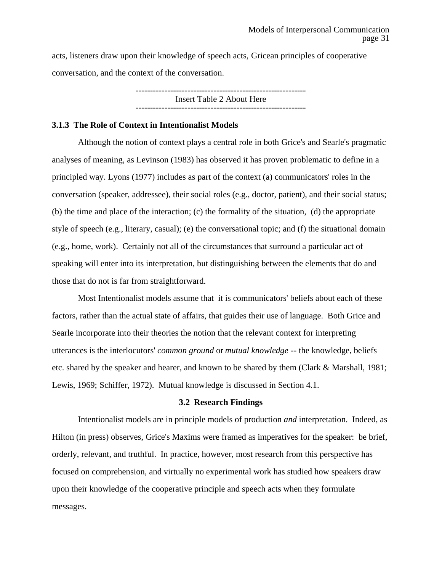acts, listeners draw upon their knowledge of speech acts, Gricean principles of cooperative conversation, and the context of the conversation.

> ----------------------------------------------------------- Insert Table 2 About Here -----------------------------------------------------------

# **3.1.3 The Role of Context in Intentionalist Models**

Although the notion of context plays a central role in both Grice's and Searle's pragmatic analyses of meaning, as Levinson (1983) has observed it has proven problematic to define in a principled way. Lyons (1977) includes as part of the context (a) communicators' roles in the conversation (speaker, addressee), their social roles (e.g., doctor, patient), and their social status; (b) the time and place of the interaction; (c) the formality of the situation, (d) the appropriate style of speech (e.g., literary, casual); (e) the conversational topic; and (f) the situational domain (e.g., home, work). Certainly not all of the circumstances that surround a particular act of speaking will enter into its interpretation, but distinguishing between the elements that do and those that do not is far from straightforward.

Most Intentionalist models assume that it is communicators' beliefs about each of these factors, rather than the actual state of affairs, that guides their use of language. Both Grice and Searle incorporate into their theories the notion that the relevant context for interpreting utterances is the interlocutors' *common ground* or *mutual knowledge* -- the knowledge, beliefs etc. shared by the speaker and hearer, and known to be shared by them (Clark & Marshall, 1981; Lewis, 1969; Schiffer, 1972). Mutual knowledge is discussed in Section 4.1.

## **3.2 Research Findings**

Intentionalist models are in principle models of production *and* interpretation. Indeed, as Hilton (in press) observes, Grice's Maxims were framed as imperatives for the speaker: be brief, orderly, relevant, and truthful. In practice, however, most research from this perspective has focused on comprehension, and virtually no experimental work has studied how speakers draw upon their knowledge of the cooperative principle and speech acts when they formulate messages.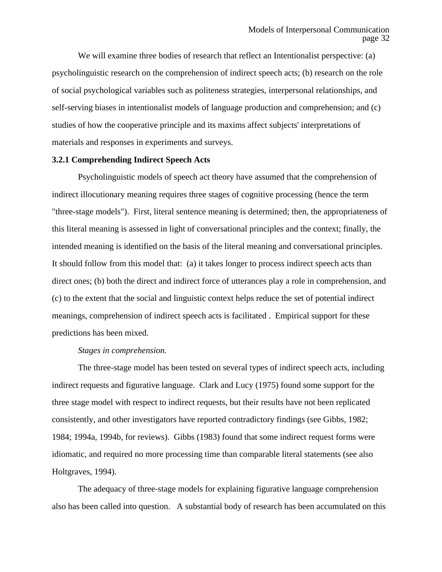We will examine three bodies of research that reflect an Intentionalist perspective: (a) psycholinguistic research on the comprehension of indirect speech acts; (b) research on the role of social psychological variables such as politeness strategies, interpersonal relationships, and self-serving biases in intentionalist models of language production and comprehension; and (c) studies of how the cooperative principle and its maxims affect subjects' interpretations of materials and responses in experiments and surveys.

#### **3.2.1 Comprehending Indirect Speech Acts**

Psycholinguistic models of speech act theory have assumed that the comprehension of indirect illocutionary meaning requires three stages of cognitive processing (hence the term "three-stage models"). First, literal sentence meaning is determined; then, the appropriateness of this literal meaning is assessed in light of conversational principles and the context; finally, the intended meaning is identified on the basis of the literal meaning and conversational principles. It should follow from this model that: (a) it takes longer to process indirect speech acts than direct ones; (b) both the direct and indirect force of utterances play a role in comprehension, and (c) to the extent that the social and linguistic context helps reduce the set of potential indirect meanings, comprehension of indirect speech acts is facilitated . Empirical support for these predictions has been mixed.

#### *Stages in comprehension.*

The three-stage model has been tested on several types of indirect speech acts, including indirect requests and figurative language. Clark and Lucy (1975) found some support for the three stage model with respect to indirect requests, but their results have not been replicated consistently, and other investigators have reported contradictory findings (see Gibbs, 1982; 1984; 1994a, 1994b, for reviews). Gibbs (1983) found that some indirect request forms were idiomatic, and required no more processing time than comparable literal statements (see also Holtgraves, 1994).

The adequacy of three-stage models for explaining figurative language comprehension also has been called into question. A substantial body of research has been accumulated on this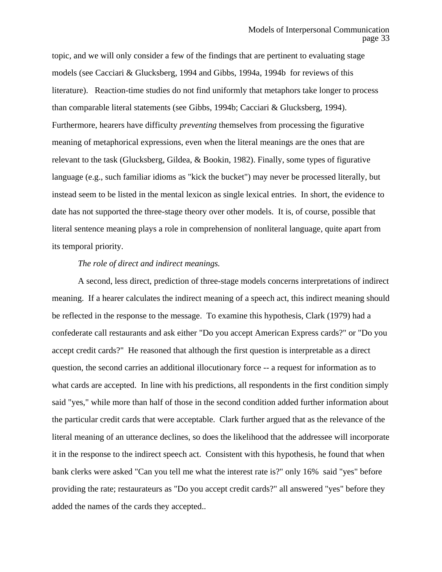topic, and we will only consider a few of the findings that are pertinent to evaluating stage models (see Cacciari & Glucksberg, 1994 and Gibbs, 1994a, 1994b for reviews of this literature). Reaction-time studies do not find uniformly that metaphors take longer to process than comparable literal statements (see Gibbs, 1994b; Cacciari & Glucksberg, 1994). Furthermore, hearers have difficulty *preventing* themselves from processing the figurative meaning of metaphorical expressions, even when the literal meanings are the ones that are relevant to the task (Glucksberg, Gildea, & Bookin, 1982). Finally, some types of figurative language (e.g., such familiar idioms as "kick the bucket") may never be processed literally, but instead seem to be listed in the mental lexicon as single lexical entries. In short, the evidence to date has not supported the three-stage theory over other models. It is, of course, possible that literal sentence meaning plays a role in comprehension of nonliteral language, quite apart from its temporal priority.

# *The role of direct and indirect meanings.*

A second, less direct, prediction of three-stage models concerns interpretations of indirect meaning. If a hearer calculates the indirect meaning of a speech act, this indirect meaning should be reflected in the response to the message. To examine this hypothesis, Clark (1979) had a confederate call restaurants and ask either "Do you accept American Express cards?" or "Do you accept credit cards?" He reasoned that although the first question is interpretable as a direct question, the second carries an additional illocutionary force -- a request for information as to what cards are accepted. In line with his predictions, all respondents in the first condition simply said "yes," while more than half of those in the second condition added further information about the particular credit cards that were acceptable. Clark further argued that as the relevance of the literal meaning of an utterance declines, so does the likelihood that the addressee will incorporate it in the response to the indirect speech act. Consistent with this hypothesis, he found that when bank clerks were asked "Can you tell me what the interest rate is?" only 16% said "yes" before providing the rate; restaurateurs as "Do you accept credit cards?" all answered "yes" before they added the names of the cards they accepted..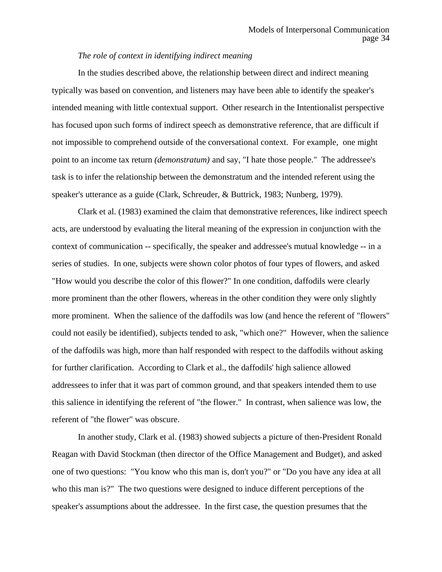## *The role of context in identifying indirect meaning*

In the studies described above, the relationship between direct and indirect meaning typically was based on convention, and listeners may have been able to identify the speaker's intended meaning with little contextual support. Other research in the Intentionalist perspective has focused upon such forms of indirect speech as demonstrative reference, that are difficult if not impossible to comprehend outside of the conversational context. For example, one might point to an income tax return *(demonstratum)* and say, "I hate those people." The addressee's task is to infer the relationship between the demonstratum and the intended referent using the speaker's utterance as a guide (Clark, Schreuder, & Buttrick, 1983; Nunberg, 1979).

Clark et al. (1983) examined the claim that demonstrative references, like indirect speech acts, are understood by evaluating the literal meaning of the expression in conjunction with the context of communication -- specifically, the speaker and addressee's mutual knowledge -- in a series of studies. In one, subjects were shown color photos of four types of flowers, and asked "How would you describe the color of this flower?" In one condition, daffodils were clearly more prominent than the other flowers, whereas in the other condition they were only slightly more prominent. When the salience of the daffodils was low (and hence the referent of "flowers" could not easily be identified), subjects tended to ask, "which one?" However, when the salience of the daffodils was high, more than half responded with respect to the daffodils without asking for further clarification. According to Clark et al., the daffodils' high salience allowed addressees to infer that it was part of common ground, and that speakers intended them to use this salience in identifying the referent of "the flower." In contrast, when salience was low, the referent of "the flower" was obscure.

In another study, Clark et al. (1983) showed subjects a picture of then-President Ronald Reagan with David Stockman (then director of the Office Management and Budget), and asked one of two questions: "You know who this man is, don't you?" or "Do you have any idea at all who this man is?" The two questions were designed to induce different perceptions of the speaker's assumptions about the addressee. In the first case, the question presumes that the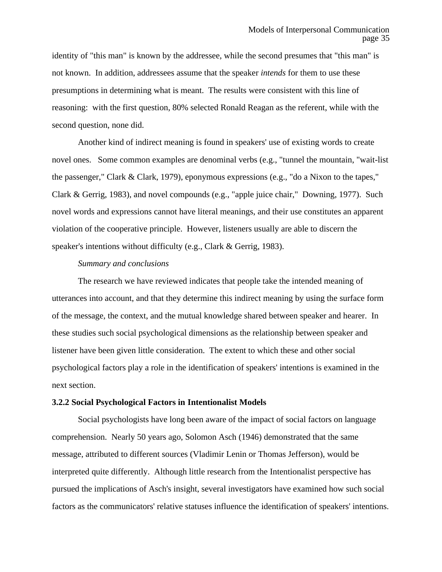identity of "this man" is known by the addressee, while the second presumes that "this man" is not known. In addition, addressees assume that the speaker *intends* for them to use these presumptions in determining what is meant. The results were consistent with this line of reasoning: with the first question, 80% selected Ronald Reagan as the referent, while with the second question, none did.

Another kind of indirect meaning is found in speakers' use of existing words to create novel ones. Some common examples are denominal verbs (e.g., "tunnel the mountain, "wait-list the passenger," Clark & Clark, 1979), eponymous expressions (e.g., "do a Nixon to the tapes," Clark & Gerrig, 1983), and novel compounds (e.g., "apple juice chair," Downing, 1977). Such novel words and expressions cannot have literal meanings, and their use constitutes an apparent violation of the cooperative principle. However, listeners usually are able to discern the speaker's intentions without difficulty (e.g., Clark & Gerrig, 1983).

## *Summary and conclusions*

The research we have reviewed indicates that people take the intended meaning of utterances into account, and that they determine this indirect meaning by using the surface form of the message, the context, and the mutual knowledge shared between speaker and hearer. In these studies such social psychological dimensions as the relationship between speaker and listener have been given little consideration. The extent to which these and other social psychological factors play a role in the identification of speakers' intentions is examined in the next section.

## **3.2.2 Social Psychological Factors in Intentionalist Models**

Social psychologists have long been aware of the impact of social factors on language comprehension. Nearly 50 years ago, Solomon Asch (1946) demonstrated that the same message, attributed to different sources (Vladimir Lenin or Thomas Jefferson), would be interpreted quite differently. Although little research from the Intentionalist perspective has pursued the implications of Asch's insight, several investigators have examined how such social factors as the communicators' relative statuses influence the identification of speakers' intentions.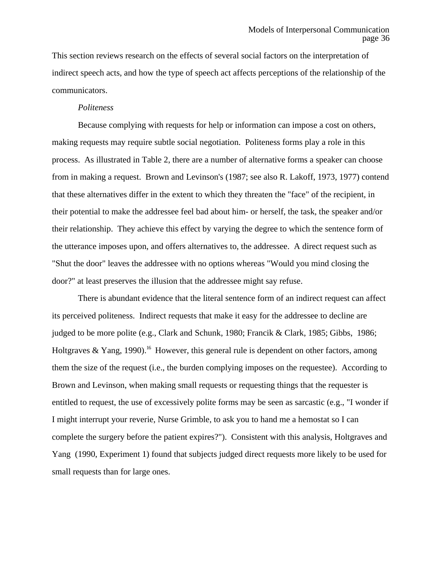This section reviews research on the effects of several social factors on the interpretation of indirect speech acts, and how the type of speech act affects perceptions of the relationship of the communicators.

## *Politeness*

Because complying with requests for help or information can impose a cost on others, making requests may require subtle social negotiation. Politeness forms play a role in this process. As illustrated in Table 2, there are a number of alternative forms a speaker can choose from in making a request. Brown and Levinson's (1987; see also R. Lakoff, 1973, 1977) contend that these alternatives differ in the extent to which they threaten the "face" of the recipient, in their potential to make the addressee feel bad about him- or herself, the task, the speaker and/or their relationship. They achieve this effect by varying the degree to which the sentence form of the utterance imposes upon, and offers alternatives to, the addressee. A direct request such as "Shut the door" leaves the addressee with no options whereas "Would you mind closing the door?" at least preserves the illusion that the addressee might say refuse.

There is abundant evidence that the literal sentence form of an indirect request can affect its perceived politeness. Indirect requests that make it easy for the addressee to decline are judged to be more polite (e.g., Clark and Schunk, 1980; Francik & Clark, 1985; Gibbs, 1986; Holtgraves & Yang, 1990).<sup>16</sup> However, this general rule is dependent on other factors, among them the size of the request (i.e., the burden complying imposes on the requestee). According to Brown and Levinson, when making small requests or requesting things that the requester is entitled to request, the use of excessively polite forms may be seen as sarcastic (e.g., "I wonder if I might interrupt your reverie, Nurse Grimble, to ask you to hand me a hemostat so I can complete the surgery before the patient expires?"). Consistent with this analysis, Holtgraves and Yang (1990, Experiment 1) found that subjects judged direct requests more likely to be used for small requests than for large ones.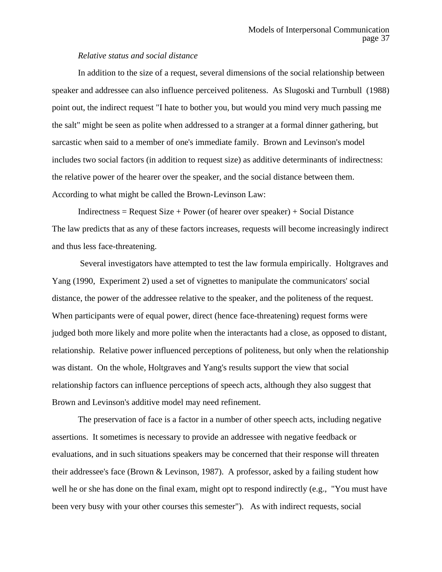### *Relative status and social distance*

In addition to the size of a request, several dimensions of the social relationship between speaker and addressee can also influence perceived politeness. As Slugoski and Turnbull (1988) point out, the indirect request "I hate to bother you, but would you mind very much passing me the salt" might be seen as polite when addressed to a stranger at a formal dinner gathering, but sarcastic when said to a member of one's immediate family. Brown and Levinson's model includes two social factors (in addition to request size) as additive determinants of indirectness: the relative power of the hearer over the speaker, and the social distance between them. According to what might be called the Brown-Levinson Law:

Indirectness = Request Size + Power (of hearer over speaker) + Social Distance The law predicts that as any of these factors increases, requests will become increasingly indirect and thus less face-threatening.

 Several investigators have attempted to test the law formula empirically. Holtgraves and Yang (1990, Experiment 2) used a set of vignettes to manipulate the communicators' social distance, the power of the addressee relative to the speaker, and the politeness of the request. When participants were of equal power, direct (hence face-threatening) request forms were judged both more likely and more polite when the interactants had a close, as opposed to distant, relationship. Relative power influenced perceptions of politeness, but only when the relationship was distant. On the whole, Holtgraves and Yang's results support the view that social relationship factors can influence perceptions of speech acts, although they also suggest that Brown and Levinson's additive model may need refinement.

The preservation of face is a factor in a number of other speech acts, including negative assertions. It sometimes is necessary to provide an addressee with negative feedback or evaluations, and in such situations speakers may be concerned that their response will threaten their addressee's face (Brown & Levinson, 1987). A professor, asked by a failing student how well he or she has done on the final exam, might opt to respond indirectly (e.g., "You must have been very busy with your other courses this semester"). As with indirect requests, social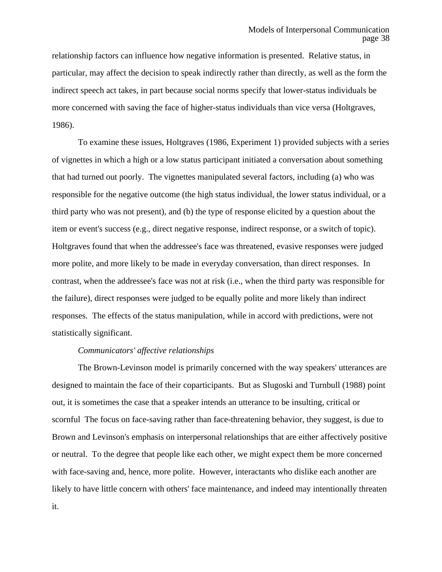relationship factors can influence how negative information is presented. Relative status, in particular, may affect the decision to speak indirectly rather than directly, as well as the form the indirect speech act takes, in part because social norms specify that lower-status individuals be more concerned with saving the face of higher-status individuals than vice versa (Holtgraves, 1986).

To examine these issues, Holtgraves (1986, Experiment 1) provided subjects with a series of vignettes in which a high or a low status participant initiated a conversation about something that had turned out poorly. The vignettes manipulated several factors, including (a) who was responsible for the negative outcome (the high status individual, the lower status individual, or a third party who was not present), and (b) the type of response elicited by a question about the item or event's success (e.g., direct negative response, indirect response, or a switch of topic). Holtgraves found that when the addressee's face was threatened, evasive responses were judged more polite, and more likely to be made in everyday conversation, than direct responses. In contrast, when the addressee's face was not at risk (i.e., when the third party was responsible for the failure), direct responses were judged to be equally polite and more likely than indirect responses. The effects of the status manipulation, while in accord with predictions, were not statistically significant.

### *Communicators' affective relationships*

The Brown-Levinson model is primarily concerned with the way speakers' utterances are designed to maintain the face of their coparticipants. But as Slugoski and Turnbull (1988) point out, it is sometimes the case that a speaker intends an utterance to be insulting, critical or scornful The focus on face-saving rather than face-threatening behavior, they suggest, is due to Brown and Levinson's emphasis on interpersonal relationships that are either affectively positive or neutral. To the degree that people like each other, we might expect them be more concerned with face-saving and, hence, more polite. However, interactants who dislike each another are likely to have little concern with others' face maintenance, and indeed may intentionally threaten it.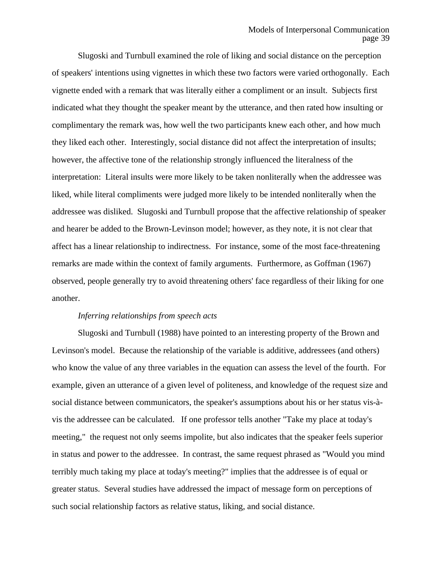Slugoski and Turnbull examined the role of liking and social distance on the perception of speakers' intentions using vignettes in which these two factors were varied orthogonally. Each vignette ended with a remark that was literally either a compliment or an insult. Subjects first indicated what they thought the speaker meant by the utterance, and then rated how insulting or complimentary the remark was, how well the two participants knew each other, and how much they liked each other. Interestingly, social distance did not affect the interpretation of insults; however, the affective tone of the relationship strongly influenced the literalness of the interpretation: Literal insults were more likely to be taken nonliterally when the addressee was liked, while literal compliments were judged more likely to be intended nonliterally when the addressee was disliked. Slugoski and Turnbull propose that the affective relationship of speaker and hearer be added to the Brown-Levinson model; however, as they note, it is not clear that affect has a linear relationship to indirectness. For instance, some of the most face-threatening remarks are made within the context of family arguments. Furthermore, as Goffman (1967) observed, people generally try to avoid threatening others' face regardless of their liking for one another.

## *Inferring relationships from speech acts*

Slugoski and Turnbull (1988) have pointed to an interesting property of the Brown and Levinson's model. Because the relationship of the variable is additive, addressees (and others) who know the value of any three variables in the equation can assess the level of the fourth. For example, given an utterance of a given level of politeness, and knowledge of the request size and social distance between communicators, the speaker's assumptions about his or her status vis-àvis the addressee can be calculated. If one professor tells another "Take my place at today's meeting," the request not only seems impolite, but also indicates that the speaker feels superior in status and power to the addressee. In contrast, the same request phrased as "Would you mind terribly much taking my place at today's meeting?" implies that the addressee is of equal or greater status. Several studies have addressed the impact of message form on perceptions of such social relationship factors as relative status, liking, and social distance.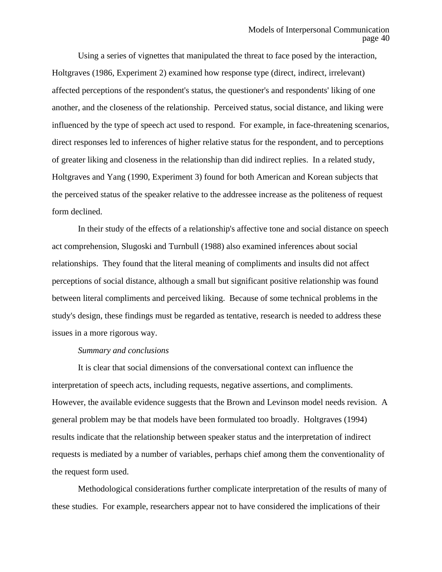Using a series of vignettes that manipulated the threat to face posed by the interaction, Holtgraves (1986, Experiment 2) examined how response type (direct, indirect, irrelevant) affected perceptions of the respondent's status, the questioner's and respondents' liking of one another, and the closeness of the relationship. Perceived status, social distance, and liking were influenced by the type of speech act used to respond. For example, in face-threatening scenarios, direct responses led to inferences of higher relative status for the respondent, and to perceptions of greater liking and closeness in the relationship than did indirect replies. In a related study, Holtgraves and Yang (1990, Experiment 3) found for both American and Korean subjects that the perceived status of the speaker relative to the addressee increase as the politeness of request form declined.

In their study of the effects of a relationship's affective tone and social distance on speech act comprehension, Slugoski and Turnbull (1988) also examined inferences about social relationships. They found that the literal meaning of compliments and insults did not affect perceptions of social distance, although a small but significant positive relationship was found between literal compliments and perceived liking. Because of some technical problems in the study's design, these findings must be regarded as tentative, research is needed to address these issues in a more rigorous way.

### *Summary and conclusions*

It is clear that social dimensions of the conversational context can influence the interpretation of speech acts, including requests, negative assertions, and compliments. However, the available evidence suggests that the Brown and Levinson model needs revision. A general problem may be that models have been formulated too broadly. Holtgraves (1994) results indicate that the relationship between speaker status and the interpretation of indirect requests is mediated by a number of variables, perhaps chief among them the conventionality of the request form used.

Methodological considerations further complicate interpretation of the results of many of these studies. For example, researchers appear not to have considered the implications of their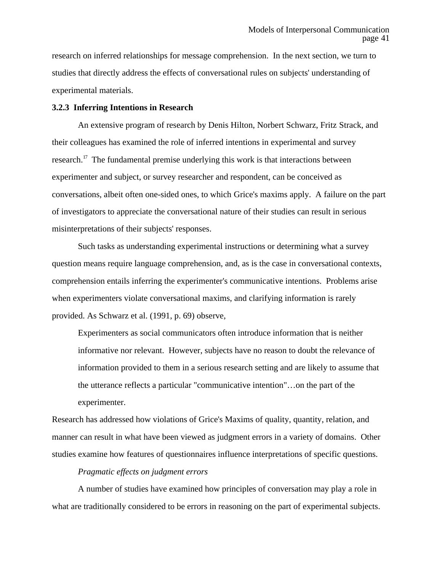research on inferred relationships for message comprehension. In the next section, we turn to studies that directly address the effects of conversational rules on subjects' understanding of experimental materials.

#### **3.2.3 Inferring Intentions in Research**

An extensive program of research by Denis Hilton, Norbert Schwarz, Fritz Strack, and their colleagues has examined the role of inferred intentions in experimental and survey research.<sup>17</sup> The fundamental premise underlying this work is that interactions between experimenter and subject, or survey researcher and respondent, can be conceived as conversations, albeit often one-sided ones, to which Grice's maxims apply. A failure on the part of investigators to appreciate the conversational nature of their studies can result in serious misinterpretations of their subjects' responses.

Such tasks as understanding experimental instructions or determining what a survey question means require language comprehension, and, as is the case in conversational contexts, comprehension entails inferring the experimenter's communicative intentions. Problems arise when experimenters violate conversational maxims, and clarifying information is rarely provided. As Schwarz et al. (1991, p. 69) observe,

Experimenters as social communicators often introduce information that is neither informative nor relevant. However, subjects have no reason to doubt the relevance of information provided to them in a serious research setting and are likely to assume that the utterance reflects a particular "communicative intention"…on the part of the experimenter.

Research has addressed how violations of Grice's Maxims of quality, quantity, relation, and manner can result in what have been viewed as judgment errors in a variety of domains. Other studies examine how features of questionnaires influence interpretations of specific questions.

### *Pragmatic effects on judgment errors*

A number of studies have examined how principles of conversation may play a role in what are traditionally considered to be errors in reasoning on the part of experimental subjects.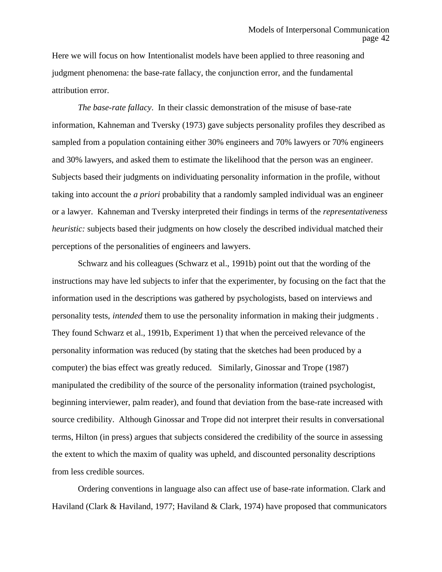Here we will focus on how Intentionalist models have been applied to three reasoning and judgment phenomena: the base-rate fallacy, the conjunction error, and the fundamental attribution error.

*The base-rate fallacy*. In their classic demonstration of the misuse of base-rate information, Kahneman and Tversky (1973) gave subjects personality profiles they described as sampled from a population containing either 30% engineers and 70% lawyers or 70% engineers and 30% lawyers, and asked them to estimate the likelihood that the person was an engineer. Subjects based their judgments on individuating personality information in the profile, without taking into account the *a priori* probability that a randomly sampled individual was an engineer or a lawyer. Kahneman and Tversky interpreted their findings in terms of the *representativeness heuristic:* subjects based their judgments on how closely the described individual matched their perceptions of the personalities of engineers and lawyers.

Schwarz and his colleagues (Schwarz et al., 1991b) point out that the wording of the instructions may have led subjects to infer that the experimenter, by focusing on the fact that the information used in the descriptions was gathered by psychologists, based on interviews and personality tests, *intended* them to use the personality information in making their judgments . They found Schwarz et al., 1991b, Experiment 1) that when the perceived relevance of the personality information was reduced (by stating that the sketches had been produced by a computer) the bias effect was greatly reduced. Similarly, Ginossar and Trope (1987) manipulated the credibility of the source of the personality information (trained psychologist, beginning interviewer, palm reader), and found that deviation from the base-rate increased with source credibility. Although Ginossar and Trope did not interpret their results in conversational terms, Hilton (in press) argues that subjects considered the credibility of the source in assessing the extent to which the maxim of quality was upheld, and discounted personality descriptions from less credible sources.

Ordering conventions in language also can affect use of base-rate information. Clark and Haviland (Clark & Haviland, 1977; Haviland & Clark, 1974) have proposed that communicators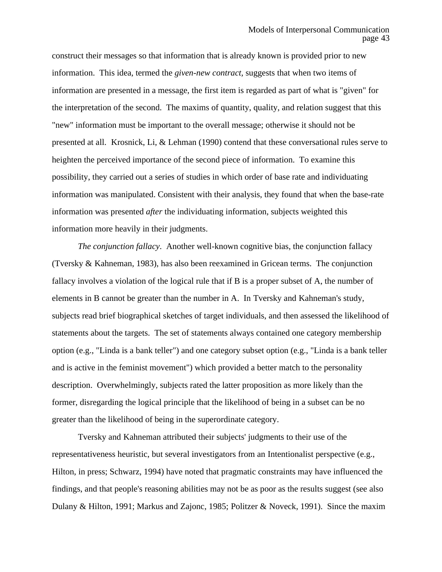construct their messages so that information that is already known is provided prior to new information. This idea, termed the *given-new contract,* suggests that when two items of information are presented in a message, the first item is regarded as part of what is "given" for the interpretation of the second. The maxims of quantity, quality, and relation suggest that this "new" information must be important to the overall message; otherwise it should not be presented at all. Krosnick, Li, & Lehman (1990) contend that these conversational rules serve to heighten the perceived importance of the second piece of information. To examine this possibility, they carried out a series of studies in which order of base rate and individuating information was manipulated. Consistent with their analysis, they found that when the base-rate information was presented *after* the individuating information, subjects weighted this information more heavily in their judgments.

*The conjunction fallacy*. Another well-known cognitive bias, the conjunction fallacy (Tversky & Kahneman, 1983), has also been reexamined in Gricean terms. The conjunction fallacy involves a violation of the logical rule that if B is a proper subset of A, the number of elements in B cannot be greater than the number in A. In Tversky and Kahneman's study, subjects read brief biographical sketches of target individuals, and then assessed the likelihood of statements about the targets. The set of statements always contained one category membership option (e.g., "Linda is a bank teller") and one category subset option (e.g., "Linda is a bank teller and is active in the feminist movement") which provided a better match to the personality description. Overwhelmingly, subjects rated the latter proposition as more likely than the former, disregarding the logical principle that the likelihood of being in a subset can be no greater than the likelihood of being in the superordinate category.

Tversky and Kahneman attributed their subjects' judgments to their use of the representativeness heuristic, but several investigators from an Intentionalist perspective (e.g., Hilton, in press; Schwarz, 1994) have noted that pragmatic constraints may have influenced the findings, and that people's reasoning abilities may not be as poor as the results suggest (see also Dulany & Hilton, 1991; Markus and Zajonc, 1985; Politzer & Noveck, 1991). Since the maxim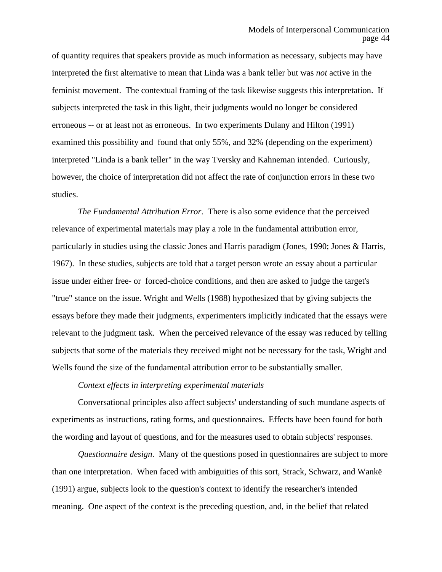of quantity requires that speakers provide as much information as necessary, subjects may have interpreted the first alternative to mean that Linda was a bank teller but was *not* active in the feminist movement. The contextual framing of the task likewise suggests this interpretation. If subjects interpreted the task in this light, their judgments would no longer be considered erroneous -- or at least not as erroneous. In two experiments Dulany and Hilton (1991) examined this possibility and found that only 55%, and 32% (depending on the experiment) interpreted "Linda is a bank teller" in the way Tversky and Kahneman intended. Curiously, however, the choice of interpretation did not affect the rate of conjunction errors in these two studies.

*The Fundamental Attribution Error*. There is also some evidence that the perceived relevance of experimental materials may play a role in the fundamental attribution error, particularly in studies using the classic Jones and Harris paradigm (Jones, 1990; Jones & Harris, 1967). In these studies, subjects are told that a target person wrote an essay about a particular issue under either free- or forced-choice conditions, and then are asked to judge the target's "true" stance on the issue. Wright and Wells (1988) hypothesized that by giving subjects the essays before they made their judgments, experimenters implicitly indicated that the essays were relevant to the judgment task. When the perceived relevance of the essay was reduced by telling subjects that some of the materials they received might not be necessary for the task, Wright and Wells found the size of the fundamental attribution error to be substantially smaller.

# *Context effects in interpreting experimental materials*

Conversational principles also affect subjects' understanding of such mundane aspects of experiments as instructions, rating forms, and questionnaires. Effects have been found for both the wording and layout of questions, and for the measures used to obtain subjects' responses.

*Questionnaire design*. Many of the questions posed in questionnaires are subject to more than one interpretation. When faced with ambiguities of this sort, Strack, Schwarz, and Wankë (1991) argue, subjects look to the question's context to identify the researcher's intended meaning. One aspect of the context is the preceding question, and, in the belief that related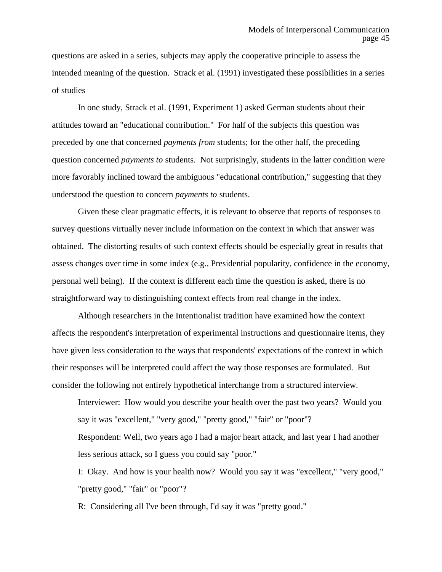questions are asked in a series, subjects may apply the cooperative principle to assess the intended meaning of the question. Strack et al. (1991) investigated these possibilities in a series of studies

In one study, Strack et al. (1991, Experiment 1) asked German students about their attitudes toward an "educational contribution." For half of the subjects this question was preceded by one that concerned *payments from* students; for the other half, the preceding question concerned *payments to* students. Not surprisingly, students in the latter condition were more favorably inclined toward the ambiguous "educational contribution," suggesting that they understood the question to concern *payments to* students.

Given these clear pragmatic effects, it is relevant to observe that reports of responses to survey questions virtually never include information on the context in which that answer was obtained. The distorting results of such context effects should be especially great in results that assess changes over time in some index (e.g., Presidential popularity, confidence in the economy, personal well being). If the context is different each time the question is asked, there is no straightforward way to distinguishing context effects from real change in the index.

Although researchers in the Intentionalist tradition have examined how the context affects the respondent's interpretation of experimental instructions and questionnaire items, they have given less consideration to the ways that respondents' expectations of the context in which their responses will be interpreted could affect the way those responses are formulated. But consider the following not entirely hypothetical interchange from a structured interview.

Interviewer: How would you describe your health over the past two years? Would you say it was "excellent," "very good," "pretty good," "fair" or "poor"? Respondent: Well, two years ago I had a major heart attack, and last year I had another less serious attack, so I guess you could say "poor."

I: Okay. And how is your health now? Would you say it was "excellent," "very good," "pretty good," "fair" or "poor"?

R: Considering all I've been through, I'd say it was "pretty good."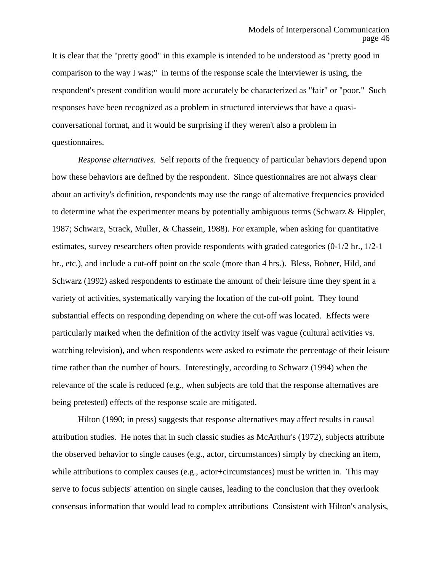It is clear that the "pretty good" in this example is intended to be understood as "pretty good in comparison to the way I was;" in terms of the response scale the interviewer is using, the respondent's present condition would more accurately be characterized as "fair" or "poor." Such responses have been recognized as a problem in structured interviews that have a quasiconversational format, and it would be surprising if they weren't also a problem in questionnaires.

*Response alternatives*. Self reports of the frequency of particular behaviors depend upon how these behaviors are defined by the respondent. Since questionnaires are not always clear about an activity's definition, respondents may use the range of alternative frequencies provided to determine what the experimenter means by potentially ambiguous terms (Schwarz & Hippler, 1987; Schwarz, Strack, Muller, & Chassein, 1988). For example, when asking for quantitative estimates, survey researchers often provide respondents with graded categories (0-1/2 hr., 1/2-1 hr., etc.), and include a cut-off point on the scale (more than 4 hrs.). Bless, Bohner, Hild, and Schwarz (1992) asked respondents to estimate the amount of their leisure time they spent in a variety of activities, systematically varying the location of the cut-off point. They found substantial effects on responding depending on where the cut-off was located. Effects were particularly marked when the definition of the activity itself was vague (cultural activities vs. watching television), and when respondents were asked to estimate the percentage of their leisure time rather than the number of hours. Interestingly, according to Schwarz (1994) when the relevance of the scale is reduced (e.g., when subjects are told that the response alternatives are being pretested) effects of the response scale are mitigated.

Hilton (1990; in press) suggests that response alternatives may affect results in causal attribution studies. He notes that in such classic studies as McArthur's (1972), subjects attribute the observed behavior to single causes (e.g., actor, circumstances) simply by checking an item, while attributions to complex causes (e.g., actor+circumstances) must be written in. This may serve to focus subjects' attention on single causes, leading to the conclusion that they overlook consensus information that would lead to complex attributions Consistent with Hilton's analysis,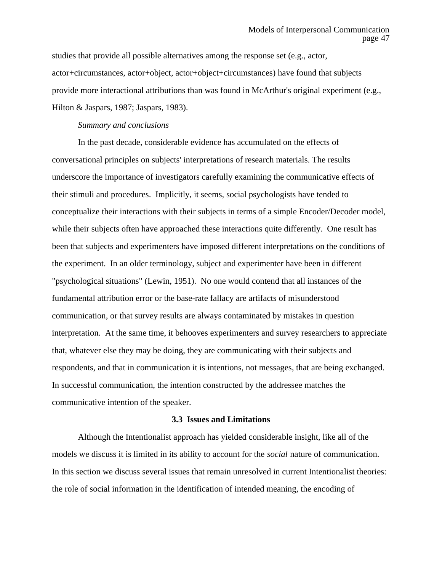studies that provide all possible alternatives among the response set (e.g., actor, actor+circumstances, actor+object, actor+object+circumstances) have found that subjects provide more interactional attributions than was found in McArthur's original experiment (e.g., Hilton & Jaspars, 1987; Jaspars, 1983).

## *Summary and conclusions*

In the past decade, considerable evidence has accumulated on the effects of conversational principles on subjects' interpretations of research materials. The results underscore the importance of investigators carefully examining the communicative effects of their stimuli and procedures. Implicitly, it seems, social psychologists have tended to conceptualize their interactions with their subjects in terms of a simple Encoder/Decoder model, while their subjects often have approached these interactions quite differently. One result has been that subjects and experimenters have imposed different interpretations on the conditions of the experiment. In an older terminology, subject and experimenter have been in different "psychological situations" (Lewin, 1951). No one would contend that all instances of the fundamental attribution error or the base-rate fallacy are artifacts of misunderstood communication, or that survey results are always contaminated by mistakes in question interpretation. At the same time, it behooves experimenters and survey researchers to appreciate that, whatever else they may be doing, they are communicating with their subjects and respondents, and that in communication it is intentions, not messages, that are being exchanged. In successful communication, the intention constructed by the addressee matches the communicative intention of the speaker.

### **3.3 Issues and Limitations**

Although the Intentionalist approach has yielded considerable insight, like all of the models we discuss it is limited in its ability to account for the *social* nature of communication. In this section we discuss several issues that remain unresolved in current Intentionalist theories: the role of social information in the identification of intended meaning, the encoding of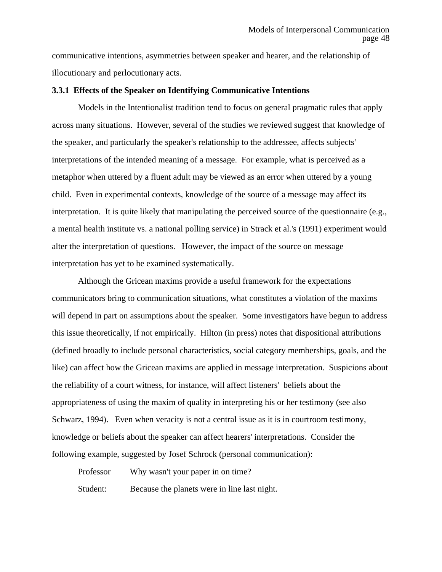communicative intentions, asymmetries between speaker and hearer, and the relationship of illocutionary and perlocutionary acts.

### **3.3.1 Effects of the Speaker on Identifying Communicative Intentions**

Models in the Intentionalist tradition tend to focus on general pragmatic rules that apply across many situations. However, several of the studies we reviewed suggest that knowledge of the speaker, and particularly the speaker's relationship to the addressee, affects subjects' interpretations of the intended meaning of a message. For example, what is perceived as a metaphor when uttered by a fluent adult may be viewed as an error when uttered by a young child. Even in experimental contexts, knowledge of the source of a message may affect its interpretation. It is quite likely that manipulating the perceived source of the questionnaire (e.g., a mental health institute vs. a national polling service) in Strack et al.'s (1991) experiment would alter the interpretation of questions. However, the impact of the source on message interpretation has yet to be examined systematically.

Although the Gricean maxims provide a useful framework for the expectations communicators bring to communication situations, what constitutes a violation of the maxims will depend in part on assumptions about the speaker. Some investigators have begun to address this issue theoretically, if not empirically. Hilton (in press) notes that dispositional attributions (defined broadly to include personal characteristics, social category memberships, goals, and the like) can affect how the Gricean maxims are applied in message interpretation. Suspicions about the reliability of a court witness, for instance, will affect listeners' beliefs about the appropriateness of using the maxim of quality in interpreting his or her testimony (see also Schwarz, 1994). Even when veracity is not a central issue as it is in courtroom testimony, knowledge or beliefs about the speaker can affect hearers' interpretations. Consider the following example, suggested by Josef Schrock (personal communication):

| Professor | Why wasn't your paper in on time?            |
|-----------|----------------------------------------------|
| Student:  | Because the planets were in line last night. |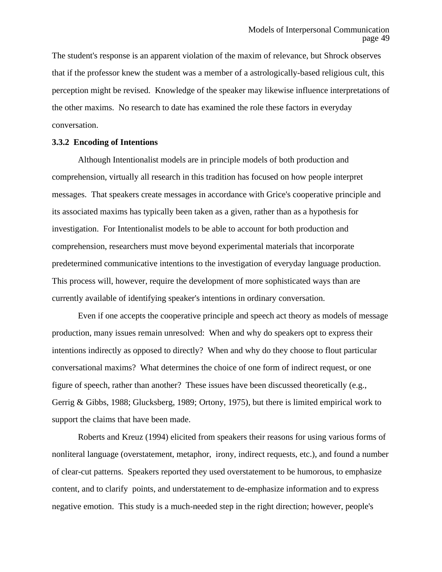The student's response is an apparent violation of the maxim of relevance, but Shrock observes that if the professor knew the student was a member of a astrologically-based religious cult, this perception might be revised. Knowledge of the speaker may likewise influence interpretations of the other maxims. No research to date has examined the role these factors in everyday conversation.

## **3.3.2 Encoding of Intentions**

Although Intentionalist models are in principle models of both production and comprehension, virtually all research in this tradition has focused on how people interpret messages. That speakers create messages in accordance with Grice's cooperative principle and its associated maxims has typically been taken as a given, rather than as a hypothesis for investigation. For Intentionalist models to be able to account for both production and comprehension, researchers must move beyond experimental materials that incorporate predetermined communicative intentions to the investigation of everyday language production. This process will, however, require the development of more sophisticated ways than are currently available of identifying speaker's intentions in ordinary conversation.

Even if one accepts the cooperative principle and speech act theory as models of message production, many issues remain unresolved: When and why do speakers opt to express their intentions indirectly as opposed to directly? When and why do they choose to flout particular conversational maxims? What determines the choice of one form of indirect request, or one figure of speech, rather than another? These issues have been discussed theoretically (e.g., Gerrig & Gibbs, 1988; Glucksberg, 1989; Ortony, 1975), but there is limited empirical work to support the claims that have been made.

Roberts and Kreuz (1994) elicited from speakers their reasons for using various forms of nonliteral language (overstatement, metaphor, irony, indirect requests, etc.), and found a number of clear-cut patterns. Speakers reported they used overstatement to be humorous, to emphasize content, and to clarify points, and understatement to de-emphasize information and to express negative emotion. This study is a much-needed step in the right direction; however, people's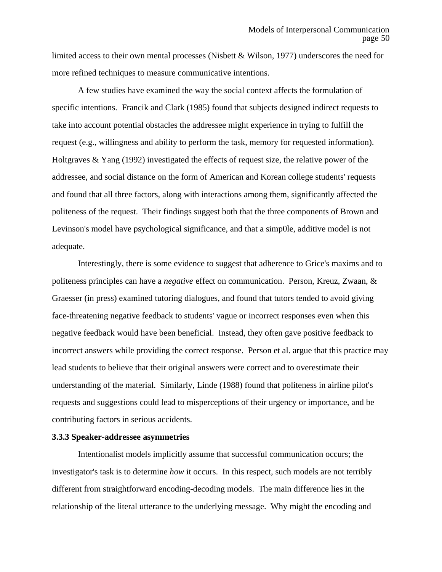limited access to their own mental processes (Nisbett & Wilson, 1977) underscores the need for more refined techniques to measure communicative intentions.

A few studies have examined the way the social context affects the formulation of specific intentions. Francik and Clark (1985) found that subjects designed indirect requests to take into account potential obstacles the addressee might experience in trying to fulfill the request (e.g., willingness and ability to perform the task, memory for requested information). Holtgraves & Yang (1992) investigated the effects of request size, the relative power of the addressee, and social distance on the form of American and Korean college students' requests and found that all three factors, along with interactions among them, significantly affected the politeness of the request. Their findings suggest both that the three components of Brown and Levinson's model have psychological significance, and that a simp0le, additive model is not adequate.

Interestingly, there is some evidence to suggest that adherence to Grice's maxims and to politeness principles can have a *negative* effect on communication. Person, Kreuz, Zwaan, & Graesser (in press) examined tutoring dialogues, and found that tutors tended to avoid giving face-threatening negative feedback to students' vague or incorrect responses even when this negative feedback would have been beneficial. Instead, they often gave positive feedback to incorrect answers while providing the correct response. Person et al. argue that this practice may lead students to believe that their original answers were correct and to overestimate their understanding of the material. Similarly, Linde (1988) found that politeness in airline pilot's requests and suggestions could lead to misperceptions of their urgency or importance, and be contributing factors in serious accidents.

### **3.3.3 Speaker-addressee asymmetries**

Intentionalist models implicitly assume that successful communication occurs; the investigator's task is to determine *how* it occurs. In this respect, such models are not terribly different from straightforward encoding-decoding models. The main difference lies in the relationship of the literal utterance to the underlying message. Why might the encoding and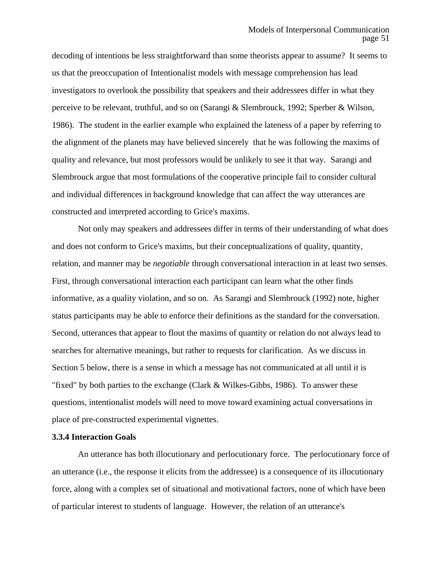decoding of intentions be less straightforward than some theorists appear to assume? It seems to us that the preoccupation of Intentionalist models with message comprehension has lead investigators to overlook the possibility that speakers and their addressees differ in what they perceive to be relevant, truthful, and so on (Sarangi & Slembrouck, 1992; Sperber & Wilson, 1986). The student in the earlier example who explained the lateness of a paper by referring to the alignment of the planets may have believed sincerely that he was following the maxims of quality and relevance, but most professors would be unlikely to see it that way. Sarangi and Slembrouck argue that most formulations of the cooperative principle fail to consider cultural and individual differences in background knowledge that can affect the way utterances are constructed and interpreted according to Grice's maxims.

Not only may speakers and addressees differ in terms of their understanding of what does and does not conform to Grice's maxims, but their conceptualizations of quality, quantity, relation, and manner may be *negotiable* through conversational interaction in at least two senses. First, through conversational interaction each participant can learn what the other finds informative, as a quality violation, and so on. As Sarangi and Slembrouck (1992) note, higher status participants may be able to enforce their definitions as the standard for the conversation. Second, utterances that appear to flout the maxims of quantity or relation do not always lead to searches for alternative meanings, but rather to requests for clarification. As we discuss in Section 5 below, there is a sense in which a message has not communicated at all until it is "fixed" by both parties to the exchange (Clark & Wilkes-Gibbs, 1986). To answer these questions, intentionalist models will need to move toward examining actual conversations in place of pre-constructed experimental vignettes.

#### **3.3.4 Interaction Goals**

An utterance has both illocutionary and perlocutionary force. The perlocutionary force of an utterance (i.e., the response it elicits from the addressee) is a consequence of its illocutionary force, along with a complex set of situational and motivational factors, none of which have been of particular interest to students of language. However, the relation of an utterance's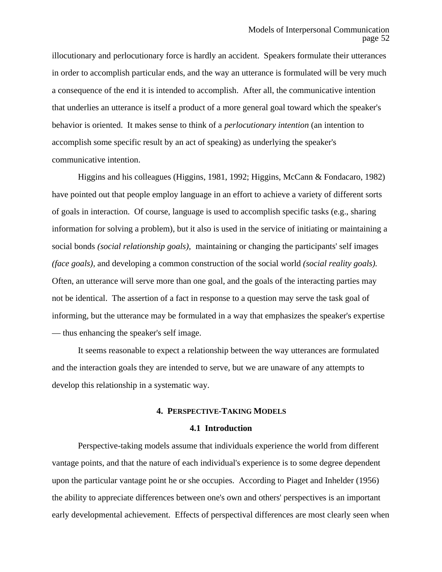illocutionary and perlocutionary force is hardly an accident. Speakers formulate their utterances in order to accomplish particular ends, and the way an utterance is formulated will be very much a consequence of the end it is intended to accomplish. After all, the communicative intention that underlies an utterance is itself a product of a more general goal toward which the speaker's behavior is oriented. It makes sense to think of a *perlocutionary intention* (an intention to accomplish some specific result by an act of speaking) as underlying the speaker's communicative intention.

Higgins and his colleagues (Higgins, 1981, 1992; Higgins, McCann & Fondacaro, 1982) have pointed out that people employ language in an effort to achieve a variety of different sorts of goals in interaction. Of course, language is used to accomplish specific tasks (e.g., sharing information for solving a problem), but it also is used in the service of initiating or maintaining a social bonds *(social relationship goals),* maintaining or changing the participants' self images *(face goals),* and developing a common construction of the social world *(social reality goals).* Often, an utterance will serve more than one goal, and the goals of the interacting parties may not be identical. The assertion of a fact in response to a question may serve the task goal of informing, but the utterance may be formulated in a way that emphasizes the speaker's expertise — thus enhancing the speaker's self image.

It seems reasonable to expect a relationship between the way utterances are formulated and the interaction goals they are intended to serve, but we are unaware of any attempts to develop this relationship in a systematic way.

#### **4. PERSPECTIVE-TAKING MODELS**

#### **4.1 Introduction**

Perspective-taking models assume that individuals experience the world from different vantage points, and that the nature of each individual's experience is to some degree dependent upon the particular vantage point he or she occupies. According to Piaget and Inhelder (1956) the ability to appreciate differences between one's own and others' perspectives is an important early developmental achievement. Effects of perspectival differences are most clearly seen when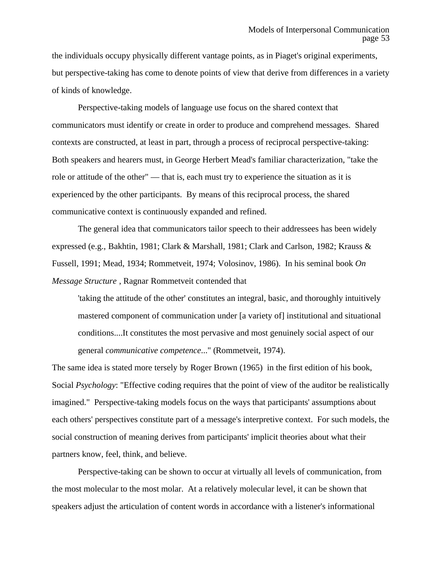the individuals occupy physically different vantage points, as in Piaget's original experiments, but perspective-taking has come to denote points of view that derive from differences in a variety of kinds of knowledge.

Perspective-taking models of language use focus on the shared context that communicators must identify or create in order to produce and comprehend messages. Shared contexts are constructed, at least in part, through a process of reciprocal perspective-taking: Both speakers and hearers must, in George Herbert Mead's familiar characterization, "take the role or attitude of the other" — that is, each must try to experience the situation as it is experienced by the other participants. By means of this reciprocal process, the shared communicative context is continuously expanded and refined.

The general idea that communicators tailor speech to their addressees has been widely expressed (e.g., Bakhtin, 1981; Clark & Marshall, 1981; Clark and Carlson, 1982; Krauss & Fussell, 1991; Mead, 1934; Rommetveit, 1974; Volosinov, 1986). In his seminal book *On Message Structure* , Ragnar Rommetveit contended that

'taking the attitude of the other' constitutes an integral, basic, and thoroughly intuitively mastered component of communication under [a variety of] institutional and situational conditions....It constitutes the most pervasive and most genuinely social aspect of our general *communicative competence*..." (Rommetveit, 1974).

The same idea is stated more tersely by Roger Brown (1965) in the first edition of his book, Social *Psychology*: "Effective coding requires that the point of view of the auditor be realistically imagined." Perspective-taking models focus on the ways that participants' assumptions about each others' perspectives constitute part of a message's interpretive context. For such models, the social construction of meaning derives from participants' implicit theories about what their partners know, feel, think, and believe.

Perspective-taking can be shown to occur at virtually all levels of communication, from the most molecular to the most molar. At a relatively molecular level, it can be shown that speakers adjust the articulation of content words in accordance with a listener's informational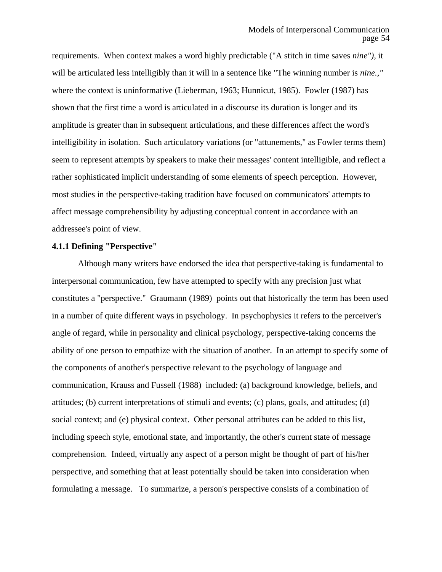requirements. When context makes a word highly predictable ("A stitch in time saves *nine"),* it will be articulated less intelligibly than it will in a sentence like "The winning number is *nine.,"* where the context is uninformative (Lieberman, 1963; Hunnicut, 1985). Fowler (1987) has shown that the first time a word is articulated in a discourse its duration is longer and its amplitude is greater than in subsequent articulations, and these differences affect the word's intelligibility in isolation. Such articulatory variations (or "attunements," as Fowler terms them) seem to represent attempts by speakers to make their messages' content intelligible, and reflect a rather sophisticated implicit understanding of some elements of speech perception. However, most studies in the perspective-taking tradition have focused on communicators' attempts to affect message comprehensibility by adjusting conceptual content in accordance with an addressee's point of view.

## **4.1.1 Defining "Perspective"**

Although many writers have endorsed the idea that perspective-taking is fundamental to interpersonal communication, few have attempted to specify with any precision just what constitutes a "perspective." Graumann (1989) points out that historically the term has been used in a number of quite different ways in psychology. In psychophysics it refers to the perceiver's angle of regard, while in personality and clinical psychology, perspective-taking concerns the ability of one person to empathize with the situation of another. In an attempt to specify some of the components of another's perspective relevant to the psychology of language and communication, Krauss and Fussell (1988) included: (a) background knowledge, beliefs, and attitudes; (b) current interpretations of stimuli and events; (c) plans, goals, and attitudes; (d) social context; and (e) physical context. Other personal attributes can be added to this list, including speech style, emotional state, and importantly, the other's current state of message comprehension. Indeed, virtually any aspect of a person might be thought of part of his/her perspective, and something that at least potentially should be taken into consideration when formulating a message. To summarize, a person's perspective consists of a combination of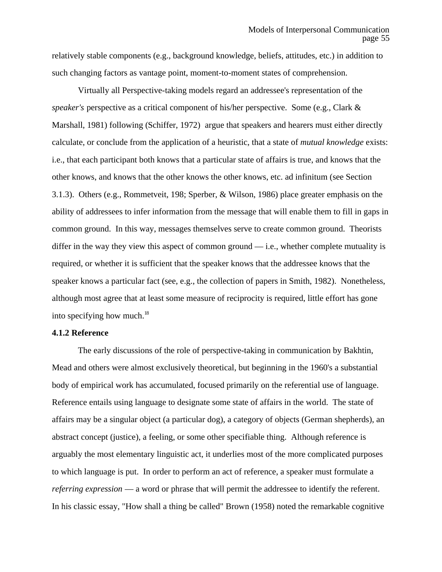relatively stable components (e.g., background knowledge, beliefs, attitudes, etc.) in addition to such changing factors as vantage point, moment-to-moment states of comprehension.

Virtually all Perspective-taking models regard an addressee's representation of the *speaker's* perspective as a critical component of his/her perspective. Some (e.g., Clark & Marshall, 1981) following (Schiffer, 1972) argue that speakers and hearers must either directly calculate, or conclude from the application of a heuristic, that a state of *mutual knowledge* exists: i.e., that each participant both knows that a particular state of affairs is true, and knows that the other knows, and knows that the other knows the other knows, etc. ad infinitum (see Section 3.1.3). Others (e.g., Rommetveit, 198; Sperber, & Wilson, 1986) place greater emphasis on the ability of addressees to infer information from the message that will enable them to fill in gaps in common ground. In this way, messages themselves serve to create common ground. Theorists differ in the way they view this aspect of common ground  $-$  i.e., whether complete mutuality is required, or whether it is sufficient that the speaker knows that the addressee knows that the speaker knows a particular fact (see, e.g., the collection of papers in Smith, 1982). Nonetheless, although most agree that at least some measure of reciprocity is required, little effort has gone into specifying how much. $^{18}$ 

## **4.1.2 Reference**

The early discussions of the role of perspective-taking in communication by Bakhtin, Mead and others were almost exclusively theoretical, but beginning in the 1960's a substantial body of empirical work has accumulated, focused primarily on the referential use of language. Reference entails using language to designate some state of affairs in the world. The state of affairs may be a singular object (a particular dog), a category of objects (German shepherds), an abstract concept (justice), a feeling, or some other specifiable thing. Although reference is arguably the most elementary linguistic act, it underlies most of the more complicated purposes to which language is put. In order to perform an act of reference, a speaker must formulate a *referring expression* — a word or phrase that will permit the addressee to identify the referent. In his classic essay, "How shall a thing be called" Brown (1958) noted the remarkable cognitive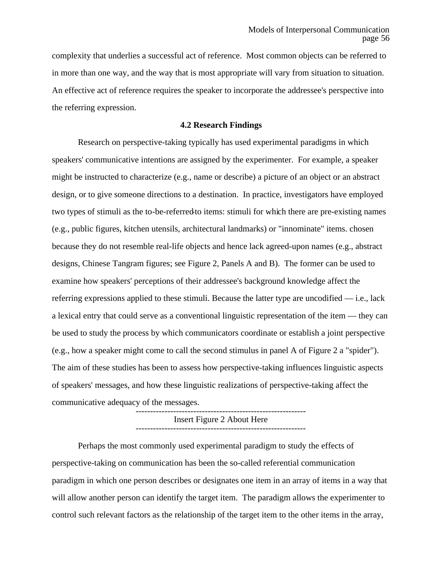complexity that underlies a successful act of reference. Most common objects can be referred to in more than one way, and the way that is most appropriate will vary from situation to situation. An effective act of reference requires the speaker to incorporate the addressee's perspective into the referring expression.

## **4.2 Research Findings**

Research on perspective-taking typically has used experimental paradigms in which speakers' communicative intentions are assigned by the experimenter. For example, a speaker might be instructed to characterize (e.g., name or describe) a picture of an object or an abstract design, or to give someone directions to a destination. In practice, investigators have employed two types of stimuli as the to-be-referred-to items: stimuli for which there are pre-existing names (e.g., public figures, kitchen utensils, architectural landmarks) or "innominate" items. chosen because they do not resemble real-life objects and hence lack agreed-upon names (e.g., abstract designs, Chinese Tangram figures; see Figure 2, Panels A and B). The former can be used to examine how speakers' perceptions of their addressee's background knowledge affect the referring expressions applied to these stimuli. Because the latter type are uncodified — i.e., lack a lexical entry that could serve as a conventional linguistic representation of the item — they can be used to study the process by which communicators coordinate or establish a joint perspective (e.g., how a speaker might come to call the second stimulus in panel A of Figure 2 a "spider"). The aim of these studies has been to assess how perspective-taking influences linguistic aspects of speakers' messages, and how these linguistic realizations of perspective-taking affect the communicative adequacy of the messages.

----------------------------------------------------------- Insert Figure 2 About Here -----------------------------------------------------------

Perhaps the most commonly used experimental paradigm to study the effects of perspective-taking on communication has been the so-called referential communication paradigm in which one person describes or designates one item in an array of items in a way that will allow another person can identify the target item. The paradigm allows the experimenter to control such relevant factors as the relationship of the target item to the other items in the array,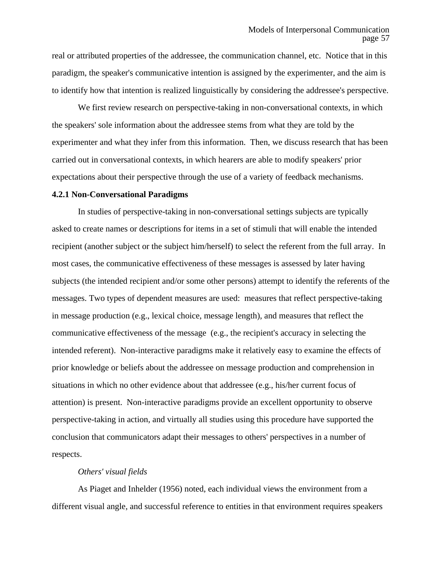real or attributed properties of the addressee, the communication channel, etc. Notice that in this paradigm, the speaker's communicative intention is assigned by the experimenter, and the aim is to identify how that intention is realized linguistically by considering the addressee's perspective.

We first review research on perspective-taking in non-conversational contexts, in which the speakers' sole information about the addressee stems from what they are told by the experimenter and what they infer from this information. Then, we discuss research that has been carried out in conversational contexts, in which hearers are able to modify speakers' prior expectations about their perspective through the use of a variety of feedback mechanisms.

#### **4.2.1 Non-Conversational Paradigms**

In studies of perspective-taking in non-conversational settings subjects are typically asked to create names or descriptions for items in a set of stimuli that will enable the intended recipient (another subject or the subject him/herself) to select the referent from the full array. In most cases, the communicative effectiveness of these messages is assessed by later having subjects (the intended recipient and/or some other persons) attempt to identify the referents of the messages. Two types of dependent measures are used: measures that reflect perspective-taking in message production (e.g., lexical choice, message length), and measures that reflect the communicative effectiveness of the message (e.g., the recipient's accuracy in selecting the intended referent). Non-interactive paradigms make it relatively easy to examine the effects of prior knowledge or beliefs about the addressee on message production and comprehension in situations in which no other evidence about that addressee (e.g., his/her current focus of attention) is present. Non-interactive paradigms provide an excellent opportunity to observe perspective-taking in action, and virtually all studies using this procedure have supported the conclusion that communicators adapt their messages to others' perspectives in a number of respects.

#### *Others' visual fields*

As Piaget and Inhelder (1956) noted, each individual views the environment from a different visual angle, and successful reference to entities in that environment requires speakers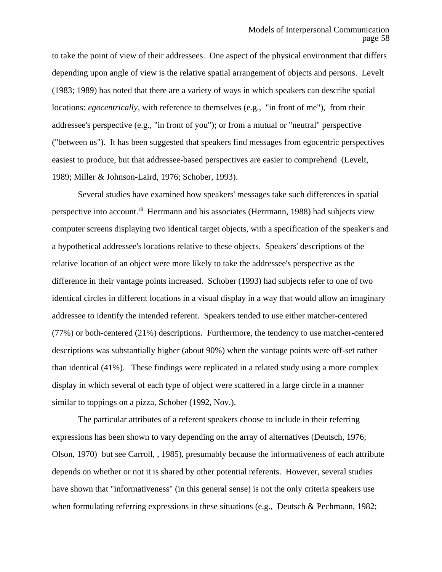to take the point of view of their addressees. One aspect of the physical environment that differs depending upon angle of view is the relative spatial arrangement of objects and persons. Levelt (1983; 1989) has noted that there are a variety of ways in which speakers can describe spatial locations: *egocentrically*, with reference to themselves (e.g., "in front of me"), from their addressee's perspective (e.g., "in front of you"); or from a mutual or "neutral" perspective ("between us"). It has been suggested that speakers find messages from egocentric perspectives easiest to produce, but that addressee-based perspectives are easier to comprehend (Levelt, 1989; Miller & Johnson-Laird, 1976; Schober, 1993).

Several studies have examined how speakers' messages take such differences in spatial perspective into account.<sup>19</sup> Herrmann and his associates (Herrmann, 1988) had subjects view computer screens displaying two identical target objects, with a specification of the speaker's and a hypothetical addressee's locations relative to these objects. Speakers' descriptions of the relative location of an object were more likely to take the addressee's perspective as the difference in their vantage points increased. Schober (1993) had subjects refer to one of two identical circles in different locations in a visual display in a way that would allow an imaginary addressee to identify the intended referent. Speakers tended to use either matcher-centered (77%) or both-centered (21%) descriptions. Furthermore, the tendency to use matcher-centered descriptions was substantially higher (about 90%) when the vantage points were off-set rather than identical (41%). These findings were replicated in a related study using a more complex display in which several of each type of object were scattered in a large circle in a manner similar to toppings on a pizza, Schober (1992, Nov.).

The particular attributes of a referent speakers choose to include in their referring expressions has been shown to vary depending on the array of alternatives (Deutsch, 1976; Olson, 1970) but see Carroll, , 1985), presumably because the informativeness of each attribute depends on whether or not it is shared by other potential referents. However, several studies have shown that "informativeness" (in this general sense) is not the only criteria speakers use when formulating referring expressions in these situations (e.g., Deutsch & Pechmann, 1982;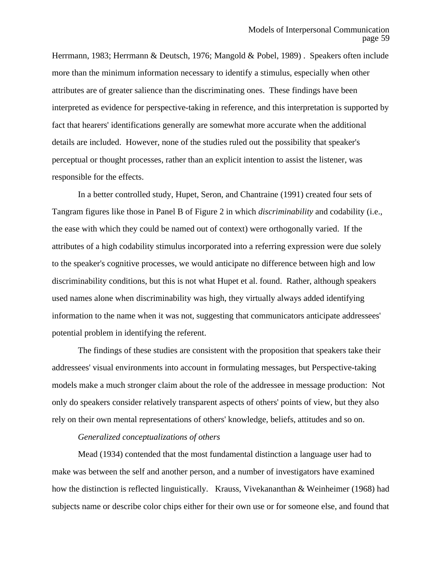Herrmann, 1983; Herrmann & Deutsch, 1976; Mangold & Pobel, 1989) . Speakers often include more than the minimum information necessary to identify a stimulus, especially when other attributes are of greater salience than the discriminating ones. These findings have been interpreted as evidence for perspective-taking in reference, and this interpretation is supported by fact that hearers' identifications generally are somewhat more accurate when the additional details are included. However, none of the studies ruled out the possibility that speaker's perceptual or thought processes, rather than an explicit intention to assist the listener, was responsible for the effects.

In a better controlled study, Hupet, Seron, and Chantraine (1991) created four sets of Tangram figures like those in Panel B of Figure 2 in which *discriminability* and codability (i.e., the ease with which they could be named out of context) were orthogonally varied. If the attributes of a high codability stimulus incorporated into a referring expression were due solely to the speaker's cognitive processes, we would anticipate no difference between high and low discriminability conditions, but this is not what Hupet et al. found. Rather, although speakers used names alone when discriminability was high, they virtually always added identifying information to the name when it was not, suggesting that communicators anticipate addressees' potential problem in identifying the referent.

The findings of these studies are consistent with the proposition that speakers take their addressees' visual environments into account in formulating messages, but Perspective-taking models make a much stronger claim about the role of the addressee in message production: Not only do speakers consider relatively transparent aspects of others' points of view, but they also rely on their own mental representations of others' knowledge, beliefs, attitudes and so on.

## *Generalized conceptualizations of others*

Mead (1934) contended that the most fundamental distinction a language user had to make was between the self and another person, and a number of investigators have examined how the distinction is reflected linguistically. Krauss, Vivekananthan & Weinheimer (1968) had subjects name or describe color chips either for their own use or for someone else, and found that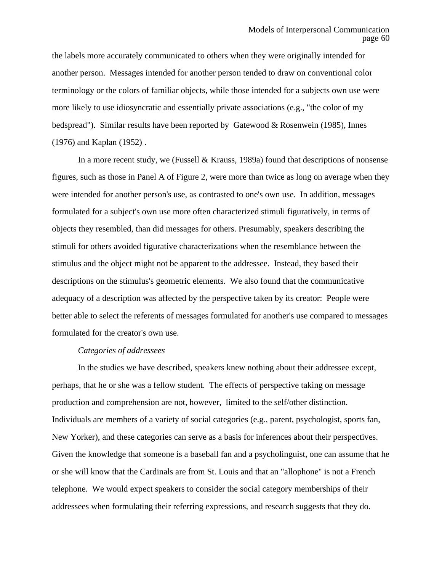the labels more accurately communicated to others when they were originally intended for another person. Messages intended for another person tended to draw on conventional color terminology or the colors of familiar objects, while those intended for a subjects own use were more likely to use idiosyncratic and essentially private associations (e.g., "the color of my bedspread"). Similar results have been reported by Gatewood & Rosenwein (1985), Innes (1976) and Kaplan (1952) .

In a more recent study, we (Fussell & Krauss, 1989a) found that descriptions of nonsense figures, such as those in Panel A of Figure 2, were more than twice as long on average when they were intended for another person's use, as contrasted to one's own use. In addition, messages formulated for a subject's own use more often characterized stimuli figuratively, in terms of objects they resembled, than did messages for others. Presumably, speakers describing the stimuli for others avoided figurative characterizations when the resemblance between the stimulus and the object might not be apparent to the addressee. Instead, they based their descriptions on the stimulus's geometric elements. We also found that the communicative adequacy of a description was affected by the perspective taken by its creator: People were better able to select the referents of messages formulated for another's use compared to messages formulated for the creator's own use.

### *Categories of addressees*

In the studies we have described, speakers knew nothing about their addressee except, perhaps, that he or she was a fellow student. The effects of perspective taking on message production and comprehension are not, however, limited to the self/other distinction. Individuals are members of a variety of social categories (e.g., parent, psychologist, sports fan, New Yorker), and these categories can serve as a basis for inferences about their perspectives. Given the knowledge that someone is a baseball fan and a psycholinguist, one can assume that he or she will know that the Cardinals are from St. Louis and that an "allophone" is not a French telephone. We would expect speakers to consider the social category memberships of their addressees when formulating their referring expressions, and research suggests that they do.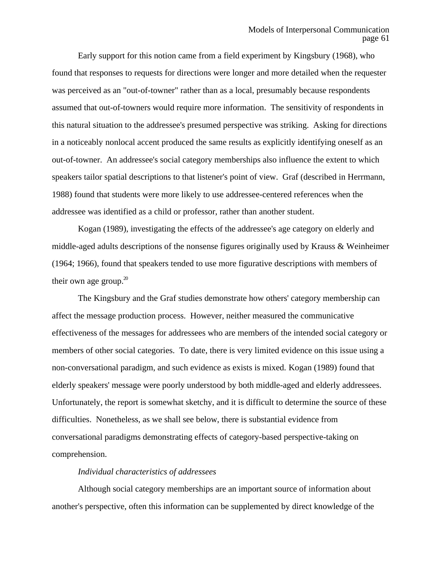Early support for this notion came from a field experiment by Kingsbury (1968), who found that responses to requests for directions were longer and more detailed when the requester was perceived as an "out-of-towner" rather than as a local, presumably because respondents assumed that out-of-towners would require more information. The sensitivity of respondents in this natural situation to the addressee's presumed perspective was striking. Asking for directions in a noticeably nonlocal accent produced the same results as explicitly identifying oneself as an out-of-towner. An addressee's social category memberships also influence the extent to which speakers tailor spatial descriptions to that listener's point of view. Graf (described in Herrmann, 1988) found that students were more likely to use addressee-centered references when the addressee was identified as a child or professor, rather than another student.

Kogan (1989), investigating the effects of the addressee's age category on elderly and middle-aged adults descriptions of the nonsense figures originally used by Krauss & Weinheimer (1964; 1966), found that speakers tended to use more figurative descriptions with members of their own age group. $^{20}$ 

The Kingsbury and the Graf studies demonstrate how others' category membership can affect the message production process. However, neither measured the communicative effectiveness of the messages for addressees who are members of the intended social category or members of other social categories. To date, there is very limited evidence on this issue using a non-conversational paradigm, and such evidence as exists is mixed. Kogan (1989) found that elderly speakers' message were poorly understood by both middle-aged and elderly addressees. Unfortunately, the report is somewhat sketchy, and it is difficult to determine the source of these difficulties. Nonetheless, as we shall see below, there is substantial evidence from conversational paradigms demonstrating effects of category-based perspective-taking on comprehension.

#### *Individual characteristics of addressees*

Although social category memberships are an important source of information about another's perspective, often this information can be supplemented by direct knowledge of the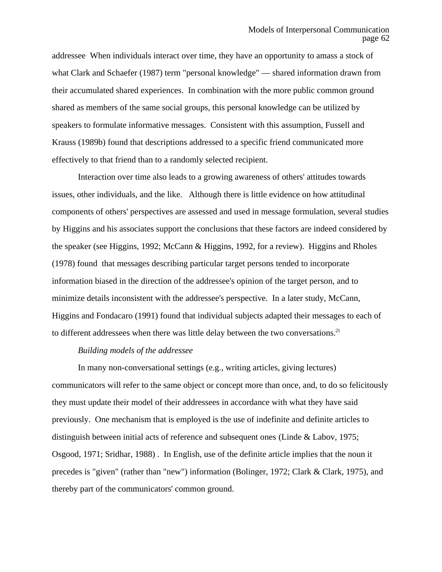addressee When individuals interact over time, they have an opportunity to amass a stock of what Clark and Schaefer (1987) term "personal knowledge" — shared information drawn from their accumulated shared experiences. In combination with the more public common ground shared as members of the same social groups, this personal knowledge can be utilized by speakers to formulate informative messages. Consistent with this assumption, Fussell and Krauss (1989b) found that descriptions addressed to a specific friend communicated more effectively to that friend than to a randomly selected recipient.

Interaction over time also leads to a growing awareness of others' attitudes towards issues, other individuals, and the like. Although there is little evidence on how attitudinal components of others' perspectives are assessed and used in message formulation, several studies by Higgins and his associates support the conclusions that these factors are indeed considered by the speaker (see Higgins, 1992; McCann & Higgins, 1992, for a review). Higgins and Rholes (1978) found that messages describing particular target persons tended to incorporate information biased in the direction of the addressee's opinion of the target person, and to minimize details inconsistent with the addressee's perspective. In a later study, McCann, Higgins and Fondacaro (1991) found that individual subjects adapted their messages to each of to different addressees when there was little delay between the two conversations.<sup>21</sup>

## *Building models of the addressee*

In many non-conversational settings (e.g., writing articles, giving lectures) communicators will refer to the same object or concept more than once, and, to do so felicitously they must update their model of their addressees in accordance with what they have said previously. One mechanism that is employed is the use of indefinite and definite articles to distinguish between initial acts of reference and subsequent ones (Linde & Labov, 1975; Osgood, 1971; Sridhar, 1988) . In English, use of the definite article implies that the noun it precedes is "given" (rather than "new") information (Bolinger, 1972; Clark & Clark, 1975), and thereby part of the communicators' common ground.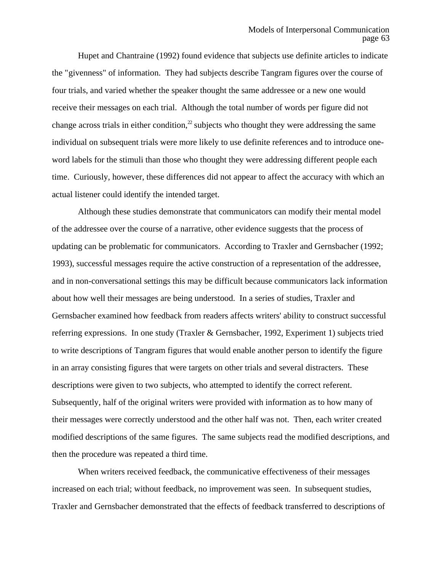Hupet and Chantraine (1992) found evidence that subjects use definite articles to indicate the "givenness" of information. They had subjects describe Tangram figures over the course of four trials, and varied whether the speaker thought the same addressee or a new one would receive their messages on each trial. Although the total number of words per figure did not change across trials in either condition,<sup>22</sup> subjects who thought they were addressing the same individual on subsequent trials were more likely to use definite references and to introduce oneword labels for the stimuli than those who thought they were addressing different people each time. Curiously, however, these differences did not appear to affect the accuracy with which an actual listener could identify the intended target.

Although these studies demonstrate that communicators can modify their mental model of the addressee over the course of a narrative, other evidence suggests that the process of updating can be problematic for communicators. According to Traxler and Gernsbacher (1992; 1993), successful messages require the active construction of a representation of the addressee, and in non-conversational settings this may be difficult because communicators lack information about how well their messages are being understood. In a series of studies, Traxler and Gernsbacher examined how feedback from readers affects writers' ability to construct successful referring expressions. In one study (Traxler & Gernsbacher, 1992, Experiment 1) subjects tried to write descriptions of Tangram figures that would enable another person to identify the figure in an array consisting figures that were targets on other trials and several distracters. These descriptions were given to two subjects, who attempted to identify the correct referent. Subsequently, half of the original writers were provided with information as to how many of their messages were correctly understood and the other half was not. Then, each writer created modified descriptions of the same figures. The same subjects read the modified descriptions, and then the procedure was repeated a third time.

When writers received feedback, the communicative effectiveness of their messages increased on each trial; without feedback, no improvement was seen. In subsequent studies, Traxler and Gernsbacher demonstrated that the effects of feedback transferred to descriptions of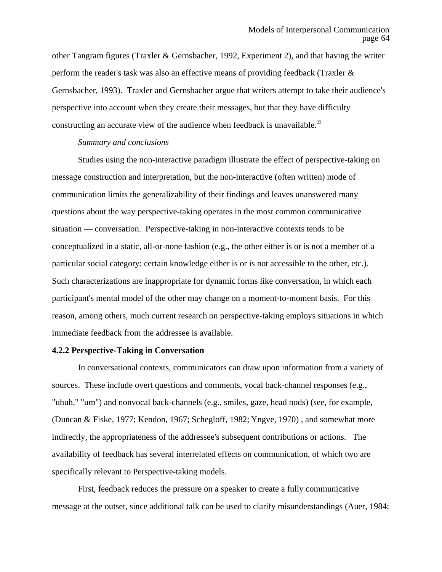other Tangram figures (Traxler & Gernsbacher, 1992, Experiment 2), and that having the writer perform the reader's task was also an effective means of providing feedback (Traxler & Gernsbacher, 1993). Traxler and Gernsbacher argue that writers attempt to take their audience's perspective into account when they create their messages, but that they have difficulty constructing an accurate view of the audience when feedback is unavailable.<sup>23</sup>

## *Summary and conclusions*

Studies using the non-interactive paradigm illustrate the effect of perspective-taking on message construction and interpretation, but the non-interactive (often written) mode of communication limits the generalizability of their findings and leaves unanswered many questions about the way perspective-taking operates in the most common communicative situation — conversation. Perspective-taking in non-interactive contexts tends to be conceptualized in a static, all-or-none fashion (e.g., the other either is or is not a member of a particular social category; certain knowledge either is or is not accessible to the other, etc.). Such characterizations are inappropriate for dynamic forms like conversation, in which each participant's mental model of the other may change on a moment-to-moment basis. For this reason, among others, much current research on perspective-taking employs situations in which immediate feedback from the addressee is available.

### **4.2.2 Perspective-Taking in Conversation**

In conversational contexts, communicators can draw upon information from a variety of sources. These include overt questions and comments, vocal back-channel responses (e.g., "uhuh," "um") and nonvocal back-channels (e.g., smiles, gaze, head nods) (see, for example, (Duncan & Fiske, 1977; Kendon, 1967; Schegloff, 1982; Yngve, 1970) , and somewhat more indirectly, the appropriateness of the addressee's subsequent contributions or actions. The availability of feedback has several interrelated effects on communication, of which two are specifically relevant to Perspective-taking models.

First, feedback reduces the pressure on a speaker to create a fully communicative message at the outset, since additional talk can be used to clarify misunderstandings (Auer, 1984;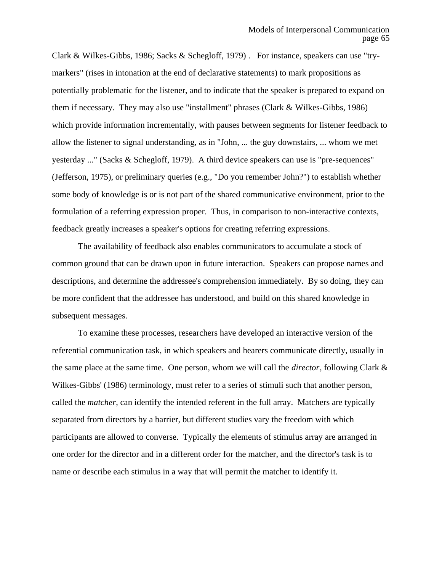Clark & Wilkes-Gibbs, 1986; Sacks & Schegloff, 1979) . For instance, speakers can use "trymarkers" (rises in intonation at the end of declarative statements) to mark propositions as potentially problematic for the listener, and to indicate that the speaker is prepared to expand on them if necessary. They may also use "installment" phrases (Clark & Wilkes-Gibbs, 1986) which provide information incrementally, with pauses between segments for listener feedback to allow the listener to signal understanding, as in "John, ... the guy downstairs, ... whom we met yesterday ..*.*" (Sacks & Schegloff, 1979). A third device speakers can use is "pre-sequences" (Jefferson, 1975), or preliminary queries (e.g., "Do you remember John?") to establish whether some body of knowledge is or is not part of the shared communicative environment, prior to the formulation of a referring expression proper. Thus, in comparison to non-interactive contexts, feedback greatly increases a speaker's options for creating referring expressions.

The availability of feedback also enables communicators to accumulate a stock of common ground that can be drawn upon in future interaction. Speakers can propose names and descriptions, and determine the addressee's comprehension immediately. By so doing, they can be more confident that the addressee has understood, and build on this shared knowledge in subsequent messages.

To examine these processes, researchers have developed an interactive version of the referential communication task, in which speakers and hearers communicate directly, usually in the same place at the same time. One person, whom we will call the *director*, following Clark & Wilkes-Gibbs' (1986) terminology, must refer to a series of stimuli such that another person, called the *matcher*, can identify the intended referent in the full array. Matchers are typically separated from directors by a barrier, but different studies vary the freedom with which participants are allowed to converse. Typically the elements of stimulus array are arranged in one order for the director and in a different order for the matcher, and the director's task is to name or describe each stimulus in a way that will permit the matcher to identify it.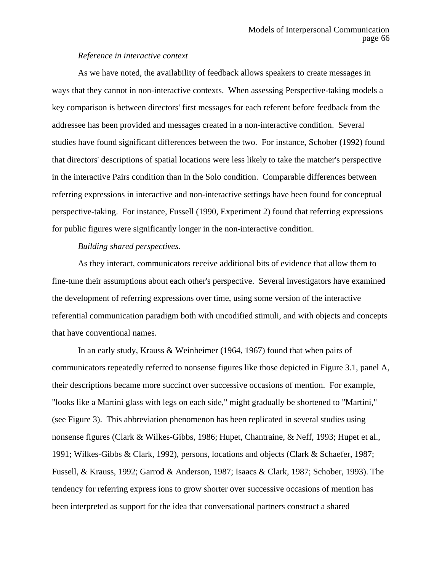### *Reference in interactive context*

As we have noted, the availability of feedback allows speakers to create messages in ways that they cannot in non-interactive contexts. When assessing Perspective-taking models a key comparison is between directors' first messages for each referent before feedback from the addressee has been provided and messages created in a non-interactive condition. Several studies have found significant differences between the two. For instance, Schober (1992) found that directors' descriptions of spatial locations were less likely to take the matcher's perspective in the interactive Pairs condition than in the Solo condition. Comparable differences between referring expressions in interactive and non-interactive settings have been found for conceptual perspective-taking. For instance, Fussell (1990, Experiment 2) found that referring expressions for public figures were significantly longer in the non-interactive condition.

## *Building shared perspectives.*

As they interact, communicators receive additional bits of evidence that allow them to fine-tune their assumptions about each other's perspective. Several investigators have examined the development of referring expressions over time, using some version of the interactive referential communication paradigm both with uncodified stimuli, and with objects and concepts that have conventional names.

In an early study, Krauss & Weinheimer (1964, 1967) found that when pairs of communicators repeatedly referred to nonsense figures like those depicted in Figure 3.1, panel A, their descriptions became more succinct over successive occasions of mention. For example, "looks like a Martini glass with legs on each side," might gradually be shortened to "Martini," (see Figure 3). This abbreviation phenomenon has been replicated in several studies using nonsense figures (Clark & Wilkes-Gibbs, 1986; Hupet, Chantraine, & Neff, 1993; Hupet et al., 1991; Wilkes-Gibbs & Clark, 1992), persons, locations and objects (Clark & Schaefer, 1987; Fussell, & Krauss, 1992; Garrod & Anderson, 1987; Isaacs & Clark, 1987; Schober, 1993). The tendency for referring express ions to grow shorter over successive occasions of mention has been interpreted as support for the idea that conversational partners construct a shared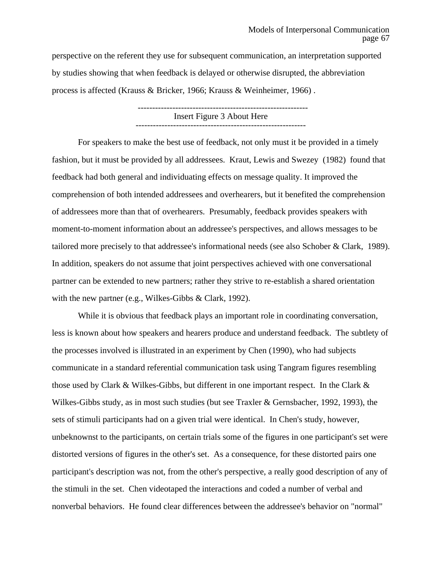perspective on the referent they use for subsequent communication, an interpretation supported by studies showing that when feedback is delayed or otherwise disrupted, the abbreviation process is affected (Krauss & Bricker, 1966; Krauss & Weinheimer, 1966) .

> ----------------------------------------------------------- Insert Figure 3 About Here

For speakers to make the best use of feedback, not only must it be provided in a timely fashion, but it must be provided by all addressees. Kraut, Lewis and Swezey (1982) found that feedback had both general and individuating effects on message quality. It improved the comprehension of both intended addressees and overhearers, but it benefited the comprehension of addressees more than that of overhearers. Presumably, feedback provides speakers with moment-to-moment information about an addressee's perspectives, and allows messages to be tailored more precisely to that addressee's informational needs (see also Schober & Clark, 1989). In addition, speakers do not assume that joint perspectives achieved with one conversational partner can be extended to new partners; rather they strive to re-establish a shared orientation with the new partner (e.g., Wilkes-Gibbs & Clark, 1992).

While it is obvious that feedback plays an important role in coordinating conversation, less is known about how speakers and hearers produce and understand feedback. The subtlety of the processes involved is illustrated in an experiment by Chen (1990), who had subjects communicate in a standard referential communication task using Tangram figures resembling those used by Clark & Wilkes-Gibbs, but different in one important respect. In the Clark & Wilkes-Gibbs study, as in most such studies (but see Traxler & Gernsbacher, 1992, 1993), the sets of stimuli participants had on a given trial were identical. In Chen's study, however, unbeknownst to the participants, on certain trials some of the figures in one participant's set were distorted versions of figures in the other's set. As a consequence, for these distorted pairs one participant's description was not, from the other's perspective, a really good description of any of the stimuli in the set. Chen videotaped the interactions and coded a number of verbal and nonverbal behaviors. He found clear differences between the addressee's behavior on "normal"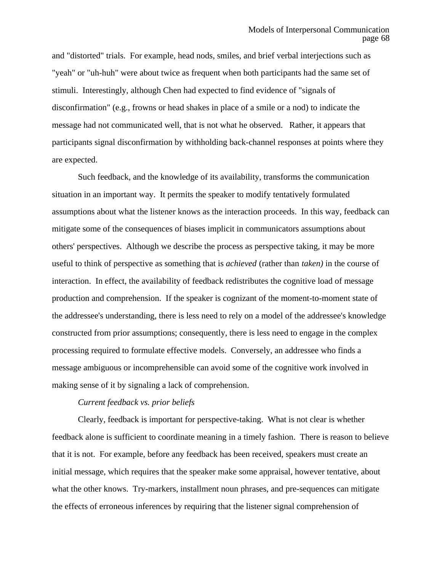and "distorted" trials. For example, head nods, smiles, and brief verbal interjections such as "yeah" or "uh-huh" were about twice as frequent when both participants had the same set of stimuli. Interestingly, although Chen had expected to find evidence of "signals of disconfirmation" (e.g., frowns or head shakes in place of a smile or a nod) to indicate the message had not communicated well, that is not what he observed. Rather, it appears that participants signal disconfirmation by withholding back-channel responses at points where they are expected.

Such feedback, and the knowledge of its availability, transforms the communication situation in an important way. It permits the speaker to modify tentatively formulated assumptions about what the listener knows as the interaction proceeds. In this way, feedback can mitigate some of the consequences of biases implicit in communicators assumptions about others' perspectives. Although we describe the process as perspective taking*,* it may be more useful to think of perspective as something that is *achieved* (rather than *taken)* in the course of interaction. In effect, the availability of feedback redistributes the cognitive load of message production and comprehension. If the speaker is cognizant of the moment-to-moment state of the addressee's understanding, there is less need to rely on a model of the addressee's knowledge constructed from prior assumptions; consequently, there is less need to engage in the complex processing required to formulate effective models. Conversely, an addressee who finds a message ambiguous or incomprehensible can avoid some of the cognitive work involved in making sense of it by signaling a lack of comprehension.

# *Current feedback vs. prior beliefs*

Clearly, feedback is important for perspective-taking. What is not clear is whether feedback alone is sufficient to coordinate meaning in a timely fashion. There is reason to believe that it is not. For example, before any feedback has been received, speakers must create an initial message, which requires that the speaker make some appraisal, however tentative, about what the other knows. Try-markers, installment noun phrases, and pre-sequences can mitigate the effects of erroneous inferences by requiring that the listener signal comprehension of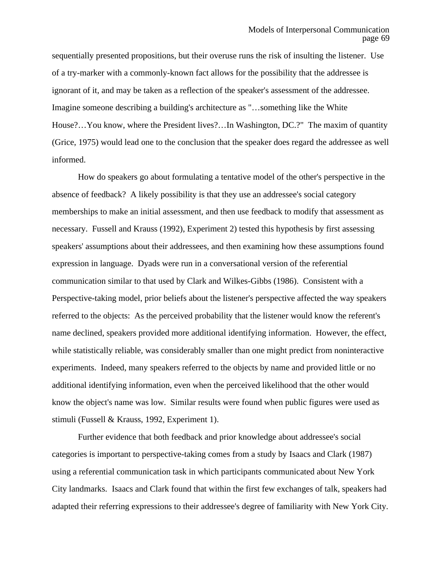sequentially presented propositions, but their overuse runs the risk of insulting the listener. Use of a try-marker with a commonly-known fact allows for the possibility that the addressee is ignorant of it, and may be taken as a reflection of the speaker's assessment of the addressee. Imagine someone describing a building's architecture as "…something like the White House?…You know, where the President lives?…In Washington, DC.?" The maxim of quantity (Grice, 1975) would lead one to the conclusion that the speaker does regard the addressee as well informed.

How do speakers go about formulating a tentative model of the other's perspective in the absence of feedback? A likely possibility is that they use an addressee's social category memberships to make an initial assessment, and then use feedback to modify that assessment as necessary. Fussell and Krauss (1992), Experiment 2) tested this hypothesis by first assessing speakers' assumptions about their addressees, and then examining how these assumptions found expression in language. Dyads were run in a conversational version of the referential communication similar to that used by Clark and Wilkes-Gibbs (1986). Consistent with a Perspective-taking model, prior beliefs about the listener's perspective affected the way speakers referred to the objects: As the perceived probability that the listener would know the referent's name declined, speakers provided more additional identifying information. However, the effect, while statistically reliable, was considerably smaller than one might predict from noninteractive experiments. Indeed, many speakers referred to the objects by name and provided little or no additional identifying information, even when the perceived likelihood that the other would know the object's name was low. Similar results were found when public figures were used as stimuli (Fussell & Krauss, 1992, Experiment 1).

Further evidence that both feedback and prior knowledge about addressee's social categories is important to perspective-taking comes from a study by Isaacs and Clark (1987) using a referential communication task in which participants communicated about New York City landmarks. Isaacs and Clark found that within the first few exchanges of talk, speakers had adapted their referring expressions to their addressee's degree of familiarity with New York City.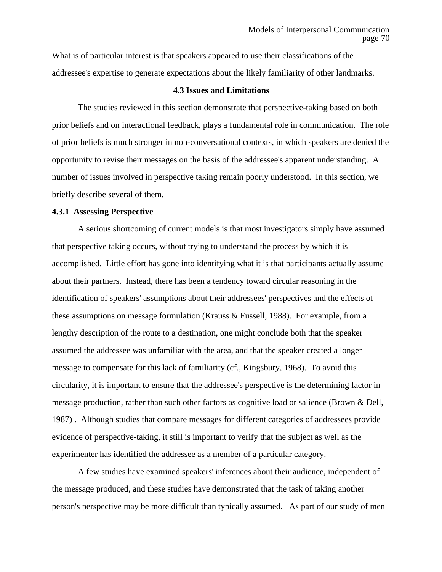What is of particular interest is that speakers appeared to use their classifications of the addressee's expertise to generate expectations about the likely familiarity of other landmarks.

#### **4.3 Issues and Limitations**

The studies reviewed in this section demonstrate that perspective-taking based on both prior beliefs and on interactional feedback, plays a fundamental role in communication. The role of prior beliefs is much stronger in non-conversational contexts, in which speakers are denied the opportunity to revise their messages on the basis of the addressee's apparent understanding. A number of issues involved in perspective taking remain poorly understood. In this section, we briefly describe several of them.

# **4.3.1 Assessing Perspective**

A serious shortcoming of current models is that most investigators simply have assumed that perspective taking occurs, without trying to understand the process by which it is accomplished. Little effort has gone into identifying what it is that participants actually assume about their partners. Instead, there has been a tendency toward circular reasoning in the identification of speakers' assumptions about their addressees' perspectives and the effects of these assumptions on message formulation (Krauss & Fussell, 1988). For example, from a lengthy description of the route to a destination, one might conclude both that the speaker assumed the addressee was unfamiliar with the area, and that the speaker created a longer message to compensate for this lack of familiarity (cf., Kingsbury, 1968). To avoid this circularity, it is important to ensure that the addressee's perspective is the determining factor in message production, rather than such other factors as cognitive load or salience (Brown & Dell, 1987) . Although studies that compare messages for different categories of addressees provide evidence of perspective-taking, it still is important to verify that the subject as well as the experimenter has identified the addressee as a member of a particular category.

A few studies have examined speakers' inferences about their audience, independent of the message produced, and these studies have demonstrated that the task of taking another person's perspective may be more difficult than typically assumed. As part of our study of men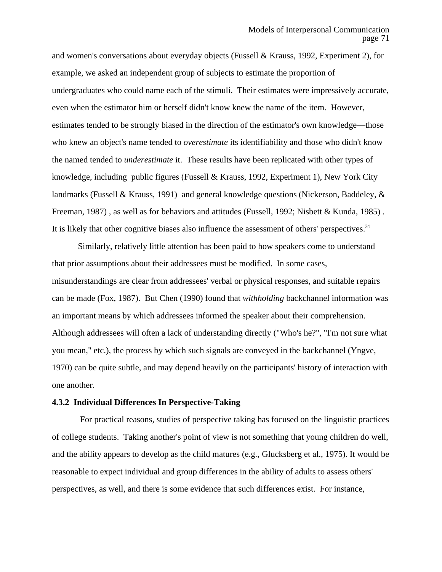and women's conversations about everyday objects (Fussell & Krauss, 1992, Experiment 2), for example, we asked an independent group of subjects to estimate the proportion of undergraduates who could name each of the stimuli. Their estimates were impressively accurate, even when the estimator him or herself didn't know knew the name of the item. However, estimates tended to be strongly biased in the direction of the estimator's own knowledge—those who knew an object's name tended to *overestimate* its identifiability and those who didn't know the named tended to *underestimate* it. These results have been replicated with other types of knowledge, including public figures (Fussell & Krauss, 1992, Experiment 1), New York City landmarks (Fussell & Krauss, 1991) and general knowledge questions (Nickerson, Baddeley, & Freeman, 1987) , as well as for behaviors and attitudes (Fussell, 1992; Nisbett & Kunda, 1985) . It is likely that other cognitive biases also influence the assessment of others' perspectives. $24$ 

Similarly, relatively little attention has been paid to how speakers come to understand that prior assumptions about their addressees must be modified. In some cases, misunderstandings are clear from addressees' verbal or physical responses, and suitable repairs can be made (Fox, 1987). But Chen (1990) found that *withholding* backchannel information was an important means by which addressees informed the speaker about their comprehension. Although addressees will often a lack of understanding directly ("Who's he?", "I'm not sure what you mean," etc.), the process by which such signals are conveyed in the backchannel (Yngve, 1970) can be quite subtle, and may depend heavily on the participants' history of interaction with one another.

## **4.3.2 Individual Differences In Perspective-Taking**

 For practical reasons, studies of perspective taking has focused on the linguistic practices of college students. Taking another's point of view is not something that young children do well, and the ability appears to develop as the child matures (e.g., Glucksberg et al., 1975). It would be reasonable to expect individual and group differences in the ability of adults to assess others' perspectives, as well, and there is some evidence that such differences exist. For instance,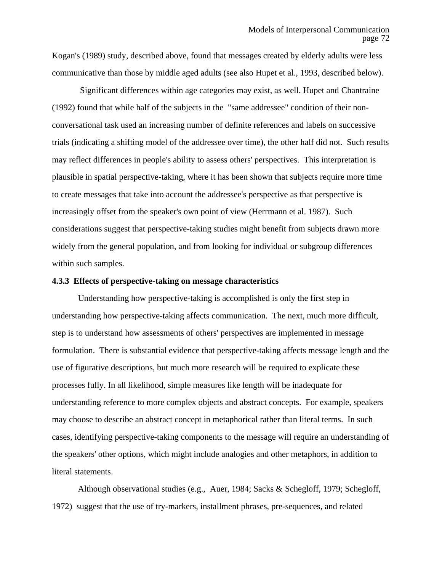Kogan's (1989) study, described above, found that messages created by elderly adults were less communicative than those by middle aged adults (see also Hupet et al., 1993, described below).

 Significant differences within age categories may exist, as well. Hupet and Chantraine (1992) found that while half of the subjects in the "same addressee" condition of their nonconversational task used an increasing number of definite references and labels on successive trials (indicating a shifting model of the addressee over time), the other half did not. Such results may reflect differences in people's ability to assess others' perspectives. This interpretation is plausible in spatial perspective-taking, where it has been shown that subjects require more time to create messages that take into account the addressee's perspective as that perspective is increasingly offset from the speaker's own point of view (Herrmann et al. 1987). Such considerations suggest that perspective-taking studies might benefit from subjects drawn more widely from the general population, and from looking for individual or subgroup differences within such samples.

#### **4.3.3 Effects of perspective-taking on message characteristics**

Understanding how perspective-taking is accomplished is only the first step in understanding how perspective-taking affects communication. The next, much more difficult, step is to understand how assessments of others' perspectives are implemented in message formulation. There is substantial evidence that perspective-taking affects message length and the use of figurative descriptions, but much more research will be required to explicate these processes fully. In all likelihood, simple measures like length will be inadequate for understanding reference to more complex objects and abstract concepts. For example, speakers may choose to describe an abstract concept in metaphorical rather than literal terms. In such cases, identifying perspective-taking components to the message will require an understanding of the speakers' other options, which might include analogies and other metaphors, in addition to literal statements.

Although observational studies (e.g., Auer, 1984; Sacks & Schegloff, 1979; Schegloff, 1972) suggest that the use of try-markers, installment phrases, pre-sequences, and related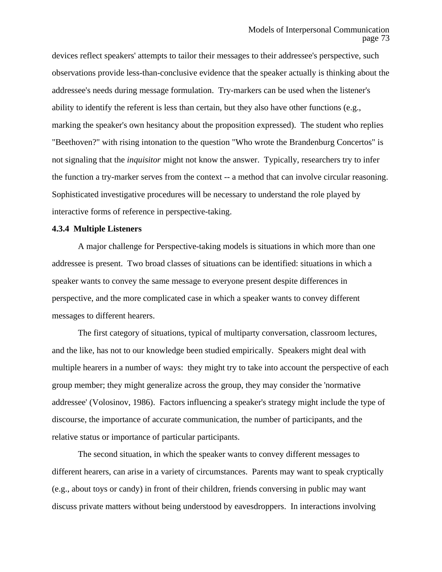devices reflect speakers' attempts to tailor their messages to their addressee's perspective, such observations provide less-than-conclusive evidence that the speaker actually is thinking about the addressee's needs during message formulation. Try-markers can be used when the listener's ability to identify the referent is less than certain, but they also have other functions (e.g., marking the speaker's own hesitancy about the proposition expressed). The student who replies "Beethoven?" with rising intonation to the question "Who wrote the Brandenburg Concertos" is not signaling that the *inquisitor* might not know the answer. Typically, researchers try to infer the function a try-marker serves from the context -- a method that can involve circular reasoning. Sophisticated investigative procedures will be necessary to understand the role played by interactive forms of reference in perspective-taking.

# **4.3.4 Multiple Listeners**

A major challenge for Perspective-taking models is situations in which more than one addressee is present. Two broad classes of situations can be identified: situations in which a speaker wants to convey the same message to everyone present despite differences in perspective, and the more complicated case in which a speaker wants to convey different messages to different hearers.

The first category of situations, typical of multiparty conversation, classroom lectures, and the like, has not to our knowledge been studied empirically. Speakers might deal with multiple hearers in a number of ways: they might try to take into account the perspective of each group member; they might generalize across the group, they may consider the 'normative addressee' (Volosinov, 1986). Factors influencing a speaker's strategy might include the type of discourse, the importance of accurate communication, the number of participants, and the relative status or importance of particular participants.

The second situation, in which the speaker wants to convey different messages to different hearers, can arise in a variety of circumstances. Parents may want to speak cryptically (e.g., about toys or candy) in front of their children, friends conversing in public may want discuss private matters without being understood by eavesdroppers. In interactions involving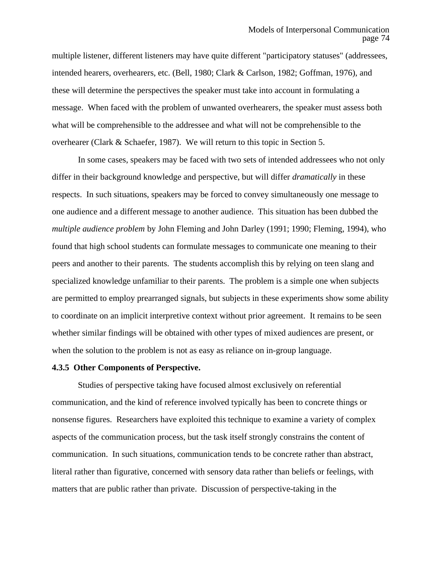multiple listener, different listeners may have quite different "participatory statuses" (addressees, intended hearers, overhearers, etc. (Bell, 1980; Clark & Carlson, 1982; Goffman, 1976), and these will determine the perspectives the speaker must take into account in formulating a message. When faced with the problem of unwanted overhearers, the speaker must assess both what will be comprehensible to the addressee and what will not be comprehensible to the overhearer (Clark & Schaefer, 1987). We will return to this topic in Section 5.

In some cases, speakers may be faced with two sets of intended addressees who not only differ in their background knowledge and perspective, but will differ *dramatically* in these respects. In such situations, speakers may be forced to convey simultaneously one message to one audience and a different message to another audience. This situation has been dubbed the *multiple audience problem* by John Fleming and John Darley (1991; 1990; Fleming, 1994), who found that high school students can formulate messages to communicate one meaning to their peers and another to their parents. The students accomplish this by relying on teen slang and specialized knowledge unfamiliar to their parents. The problem is a simple one when subjects are permitted to employ prearranged signals, but subjects in these experiments show some ability to coordinate on an implicit interpretive context without prior agreement. It remains to be seen whether similar findings will be obtained with other types of mixed audiences are present, or when the solution to the problem is not as easy as reliance on in-group language.

# **4.3.5 Other Components of Perspective.**

Studies of perspective taking have focused almost exclusively on referential communication, and the kind of reference involved typically has been to concrete things or nonsense figures. Researchers have exploited this technique to examine a variety of complex aspects of the communication process, but the task itself strongly constrains the content of communication. In such situations, communication tends to be concrete rather than abstract, literal rather than figurative, concerned with sensory data rather than beliefs or feelings, with matters that are public rather than private. Discussion of perspective-taking in the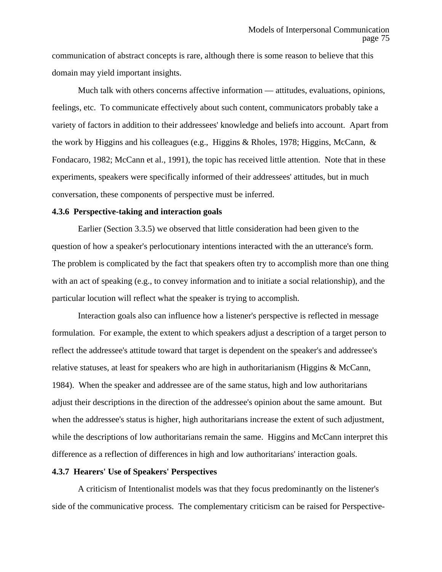communication of abstract concepts is rare, although there is some reason to believe that this domain may yield important insights.

Much talk with others concerns affective information — attitudes, evaluations, opinions, feelings, etc. To communicate effectively about such content, communicators probably take a variety of factors in addition to their addressees' knowledge and beliefs into account. Apart from the work by Higgins and his colleagues (e.g., Higgins & Rholes, 1978; Higgins, McCann, & Fondacaro, 1982; McCann et al., 1991), the topic has received little attention. Note that in these experiments, speakers were specifically informed of their addressees' attitudes, but in much conversation, these components of perspective must be inferred.

# **4.3.6 Perspective-taking and interaction goals**

Earlier (Section 3.3.5) we observed that little consideration had been given to the question of how a speaker's perlocutionary intentions interacted with the an utterance's form. The problem is complicated by the fact that speakers often try to accomplish more than one thing with an act of speaking (e.g., to convey information and to initiate a social relationship), and the particular locution will reflect what the speaker is trying to accomplish.

Interaction goals also can influence how a listener's perspective is reflected in message formulation. For example, the extent to which speakers adjust a description of a target person to reflect the addressee's attitude toward that target is dependent on the speaker's and addressee's relative statuses, at least for speakers who are high in authoritarianism (Higgins & McCann, 1984). When the speaker and addressee are of the same status, high and low authoritarians adjust their descriptions in the direction of the addressee's opinion about the same amount. But when the addressee's status is higher, high authoritarians increase the extent of such adjustment, while the descriptions of low authoritarians remain the same. Higgins and McCann interpret this difference as a reflection of differences in high and low authoritarians' interaction goals.

### **4.3.7 Hearers' Use of Speakers' Perspectives**

A criticism of Intentionalist models was that they focus predominantly on the listener's side of the communicative process. The complementary criticism can be raised for Perspective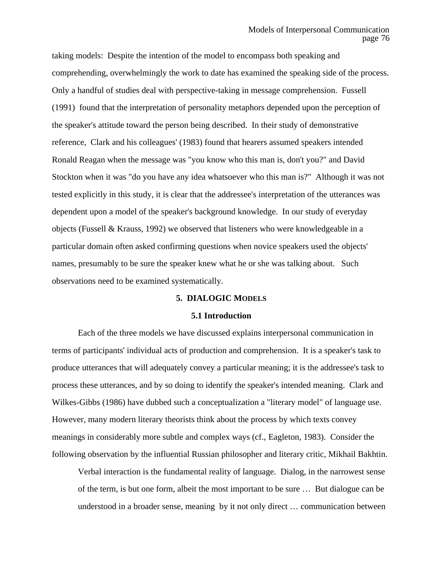taking models: Despite the intention of the model to encompass both speaking and comprehending, overwhelmingly the work to date has examined the speaking side of the process. Only a handful of studies deal with perspective-taking in message comprehension. Fussell (1991) found that the interpretation of personality metaphors depended upon the perception of the speaker's attitude toward the person being described. In their study of demonstrative reference, Clark and his colleagues' (1983) found that hearers assumed speakers intended Ronald Reagan when the message was "you know who this man is, don't you?" and David Stockton when it was "do you have any idea whatsoever who this man is?" Although it was not tested explicitly in this study, it is clear that the addressee's interpretation of the utterances was dependent upon a model of the speaker's background knowledge. In our study of everyday objects (Fussell & Krauss, 1992) we observed that listeners who were knowledgeable in a particular domain often asked confirming questions when novice speakers used the objects' names, presumably to be sure the speaker knew what he or she was talking about. Such observations need to be examined systematically.

# **5. DIALOGIC MODELS**

#### **5.1 Introduction**

Each of the three models we have discussed explains interpersonal communication in terms of participants' individual acts of production and comprehension. It is a speaker's task to produce utterances that will adequately convey a particular meaning; it is the addressee's task to process these utterances, and by so doing to identify the speaker's intended meaning. Clark and Wilkes-Gibbs (1986) have dubbed such a conceptualization a "literary model" of language use. However, many modern literary theorists think about the process by which texts convey meanings in considerably more subtle and complex ways (cf., Eagleton, 1983). Consider the following observation by the influential Russian philosopher and literary critic, Mikhail Bakhtin.

Verbal interaction is the fundamental reality of language. Dialog, in the narrowest sense of the term, is but one form, albeit the most important to be sure … But dialogue can be understood in a broader sense, meaning by it not only direct … communication between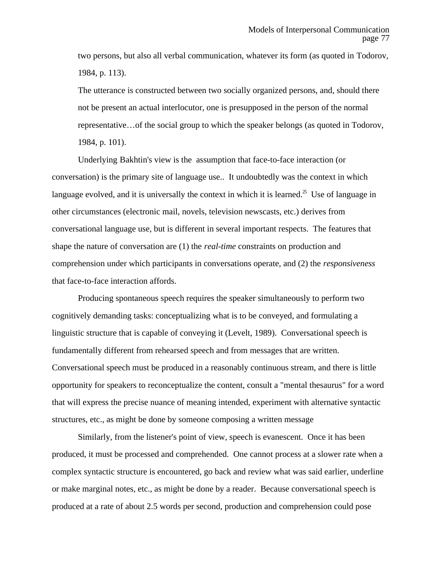two persons, but also all verbal communication, whatever its form (as quoted in Todorov, 1984, p. 113).

The utterance is constructed between two socially organized persons, and, should there not be present an actual interlocutor, one is presupposed in the person of the normal representative…of the social group to which the speaker belongs (as quoted in Todorov, 1984, p. 101).

Underlying Bakhtin's view is the assumption that face-to-face interaction (or conversation) is the primary site of language use.. It undoubtedly was the context in which language evolved, and it is universally the context in which it is learned.<sup>25</sup> Use of language in other circumstances (electronic mail, novels, television newscasts, etc.) derives from conversational language use, but is different in several important respects. The features that shape the nature of conversation are (1) the *real-time* constraints on production and comprehension under which participants in conversations operate, and (2) the *responsiveness* that face-to-face interaction affords.

Producing spontaneous speech requires the speaker simultaneously to perform two cognitively demanding tasks: conceptualizing what is to be conveyed, and formulating a linguistic structure that is capable of conveying it (Levelt, 1989). Conversational speech is fundamentally different from rehearsed speech and from messages that are written. Conversational speech must be produced in a reasonably continuous stream, and there is little opportunity for speakers to reconceptualize the content, consult a "mental thesaurus" for a word that will express the precise nuance of meaning intended, experiment with alternative syntactic structures, etc., as might be done by someone composing a written message

Similarly, from the listener's point of view, speech is evanescent. Once it has been produced, it must be processed and comprehended. One cannot process at a slower rate when a complex syntactic structure is encountered, go back and review what was said earlier, underline or make marginal notes, etc., as might be done by a reader. Because conversational speech is produced at a rate of about 2.5 words per second, production and comprehension could pose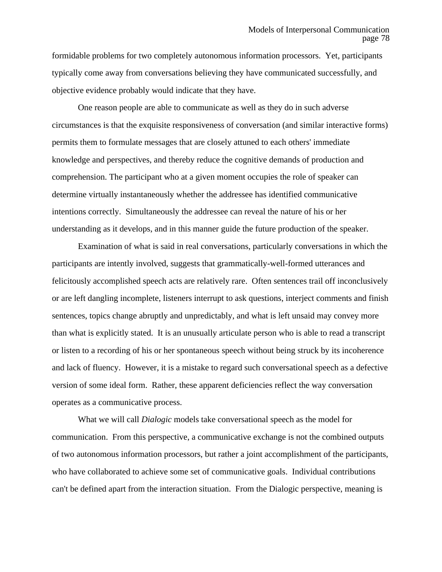formidable problems for two completely autonomous information processors. Yet, participants typically come away from conversations believing they have communicated successfully, and objective evidence probably would indicate that they have.

One reason people are able to communicate as well as they do in such adverse circumstances is that the exquisite responsiveness of conversation (and similar interactive forms) permits them to formulate messages that are closely attuned to each others' immediate knowledge and perspectives, and thereby reduce the cognitive demands of production and comprehension. The participant who at a given moment occupies the role of speaker can determine virtually instantaneously whether the addressee has identified communicative intentions correctly. Simultaneously the addressee can reveal the nature of his or her understanding as it develops, and in this manner guide the future production of the speaker.

Examination of what is said in real conversations, particularly conversations in which the participants are intently involved, suggests that grammatically-well-formed utterances and felicitously accomplished speech acts are relatively rare. Often sentences trail off inconclusively or are left dangling incomplete, listeners interrupt to ask questions, interject comments and finish sentences, topics change abruptly and unpredictably, and what is left unsaid may convey more than what is explicitly stated. It is an unusually articulate person who is able to read a transcript or listen to a recording of his or her spontaneous speech without being struck by its incoherence and lack of fluency. However, it is a mistake to regard such conversational speech as a defective version of some ideal form. Rather, these apparent deficiencies reflect the way conversation operates as a communicative process.

What we will call *Dialogic* models take conversational speech as the model for communication. From this perspective, a communicative exchange is not the combined outputs of two autonomous information processors, but rather a joint accomplishment of the participants, who have collaborated to achieve some set of communicative goals. Individual contributions can't be defined apart from the interaction situation. From the Dialogic perspective, meaning is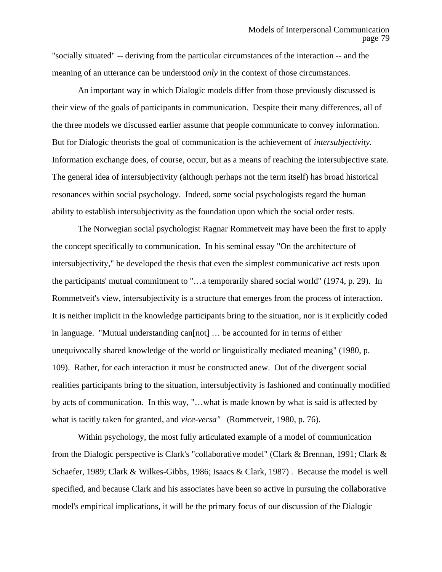"socially situated" -- deriving from the particular circumstances of the interaction -- and the meaning of an utterance can be understood *only* in the context of those circumstances.

An important way in which Dialogic models differ from those previously discussed is their view of the goals of participants in communication. Despite their many differences, all of the three models we discussed earlier assume that people communicate to convey information. But for Dialogic theorists the goal of communication is the achievement of *intersubjectivity.* Information exchange does, of course, occur, but as a means of reaching the intersubjective state. The general idea of intersubjectivity (although perhaps not the term itself) has broad historical resonances within social psychology. Indeed, some social psychologists regard the human ability to establish intersubjectivity as the foundation upon which the social order rests.

The Norwegian social psychologist Ragnar Rommetveit may have been the first to apply the concept specifically to communication. In his seminal essay "On the architecture of intersubjectivity," he developed the thesis that even the simplest communicative act rests upon the participants' mutual commitment to "…a temporarily shared social world" (1974, p. 29). In Rommetveit's view, intersubjectivity is a structure that emerges from the process of interaction. It is neither implicit in the knowledge participants bring to the situation, nor is it explicitly coded in language. "Mutual understanding can[not] … be accounted for in terms of either unequivocally shared knowledge of the world or linguistically mediated meaning" (1980, p. 109). Rather, for each interaction it must be constructed anew. Out of the divergent social realities participants bring to the situation, intersubjectivity is fashioned and continually modified by acts of communication. In this way, "…what is made known by what is said is affected by what is tacitly taken for granted, and *vice-versa"* (Rommetveit, 1980, p. 76).

Within psychology, the most fully articulated example of a model of communication from the Dialogic perspective is Clark's "collaborative model" (Clark & Brennan, 1991; Clark & Schaefer, 1989; Clark & Wilkes-Gibbs, 1986; Isaacs & Clark, 1987) . Because the model is well specified, and because Clark and his associates have been so active in pursuing the collaborative model's empirical implications, it will be the primary focus of our discussion of the Dialogic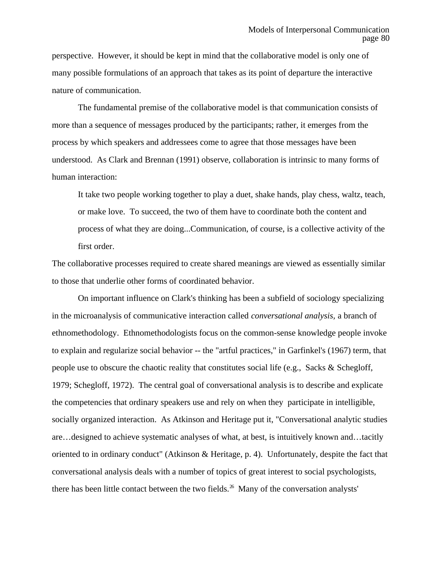perspective. However, it should be kept in mind that the collaborative model is only one of many possible formulations of an approach that takes as its point of departure the interactive nature of communication.

The fundamental premise of the collaborative model is that communication consists of more than a sequence of messages produced by the participants; rather, it emerges from the process by which speakers and addressees come to agree that those messages have been understood. As Clark and Brennan (1991) observe, collaboration is intrinsic to many forms of human interaction:

It take two people working together to play a duet, shake hands, play chess, waltz, teach, or make love. To succeed, the two of them have to coordinate both the content and process of what they are doing...Communication, of course, is a collective activity of the first order.

The collaborative processes required to create shared meanings are viewed as essentially similar to those that underlie other forms of coordinated behavior.

On important influence on Clark's thinking has been a subfield of sociology specializing in the microanalysis of communicative interaction called *conversational analysis,* a branch of ethnomethodology.Ethnomethodologists focus on the common-sense knowledge people invoke to explain and regularize social behavior -- the "artful practices," in Garfinkel's (1967) term, that people use to obscure the chaotic reality that constitutes social life (e.g., Sacks & Schegloff, 1979; Schegloff, 1972). The central goal of conversational analysis is to describe and explicate the competencies that ordinary speakers use and rely on when they participate in intelligible, socially organized interaction. As Atkinson and Heritage put it, "Conversational analytic studies are…designed to achieve systematic analyses of what, at best, is intuitively known and…tacitly oriented to in ordinary conduct" (Atkinson & Heritage, p. 4). Unfortunately, despite the fact that conversational analysis deals with a number of topics of great interest to social psychologists, there has been little contact between the two fields.<sup>26</sup> Many of the conversation analysts'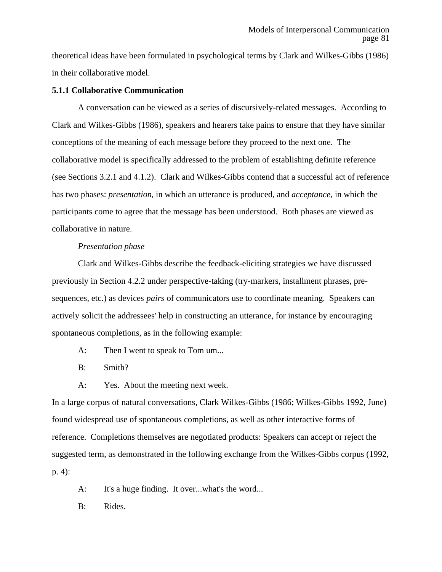theoretical ideas have been formulated in psychological terms by Clark and Wilkes-Gibbs (1986) in their collaborative model.

# **5.1.1 Collaborative Communication**

A conversation can be viewed as a series of discursively-related messages. According to Clark and Wilkes-Gibbs (1986), speakers and hearers take pains to ensure that they have similar conceptions of the meaning of each message before they proceed to the next one. The collaborative model is specifically addressed to the problem of establishing definite reference (see Sections 3.2.1 and 4.1.2). Clark and Wilkes-Gibbs contend that a successful act of reference has two phases: *presentation*, in which an utterance is produced, and *acceptance*, in which the participants come to agree that the message has been understood. Both phases are viewed as collaborative in nature.

# *Presentation phase*

Clark and Wilkes-Gibbs describe the feedback-eliciting strategies we have discussed previously in Section 4.2.2 under perspective-taking (try-markers, installment phrases, presequences, etc.) as devices *pairs* of communicators use to coordinate meaning. Speakers can actively solicit the addressees' help in constructing an utterance, for instance by encouraging spontaneous completions, as in the following example:

- A: Then I went to speak to Tom um...
- B: Smith?
- A: Yes. About the meeting next week.

In a large corpus of natural conversations, Clark Wilkes-Gibbs (1986; Wilkes-Gibbs 1992, June) found widespread use of spontaneous completions, as well as other interactive forms of reference. Completions themselves are negotiated products: Speakers can accept or reject the suggested term, as demonstrated in the following exchange from the Wilkes-Gibbs corpus (1992, p. 4):

- A: It's a huge finding. It over...what's the word...
- B: Rides.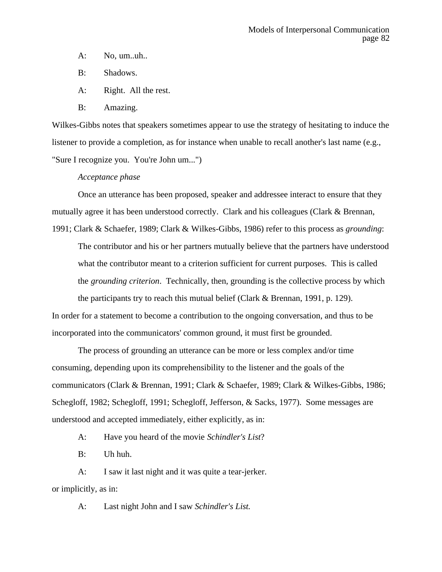- A: No, um..uh..
- B: Shadows.
- A: Right. All the rest.
- B: Amazing.

Wilkes-Gibbs notes that speakers sometimes appear to use the strategy of hesitating to induce the listener to provide a completion, as for instance when unable to recall another's last name (e.g., "Sure I recognize you. You're John um...")

# *Acceptance phase*

Once an utterance has been proposed, speaker and addressee interact to ensure that they mutually agree it has been understood correctly. Clark and his colleagues (Clark & Brennan, 1991; Clark & Schaefer, 1989; Clark & Wilkes-Gibbs, 1986) refer to this process as *grounding*:

The contributor and his or her partners mutually believe that the partners have understood what the contributor meant to a criterion sufficient for current purposes. This is called the *grounding criterion*. Technically, then, grounding is the collective process by which the participants try to reach this mutual belief (Clark & Brennan, 1991, p. 129).

In order for a statement to become a contribution to the ongoing conversation, and thus to be incorporated into the communicators' common ground, it must first be grounded.

The process of grounding an utterance can be more or less complex and/or time consuming, depending upon its comprehensibility to the listener and the goals of the communicators (Clark & Brennan, 1991; Clark & Schaefer, 1989; Clark & Wilkes-Gibbs, 1986; Schegloff, 1982; Schegloff, 1991; Schegloff, Jefferson, & Sacks, 1977). Some messages are understood and accepted immediately, either explicitly, as in:

A: Have you heard of the movie *Schindler's List*?

B: Uh huh.

A: I saw it last night and it was quite a tear-jerker.

or implicitly, as in:

A: Last night John and I saw *Schindler's List.*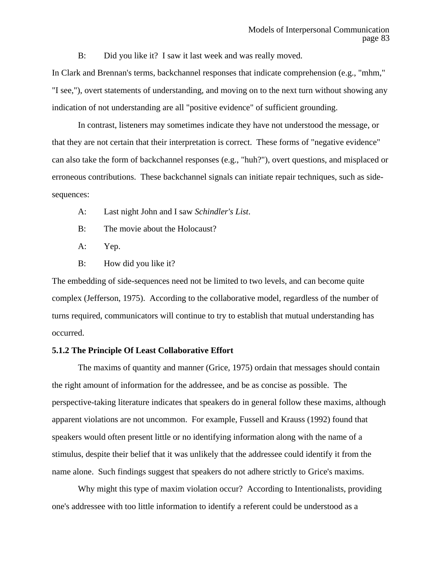B: Did you like it? I saw it last week and was really moved.

In Clark and Brennan's terms, backchannel responses that indicate comprehension (e.g., "mhm," "I see,"), overt statements of understanding, and moving on to the next turn without showing any indication of not understanding are all "positive evidence" of sufficient grounding.

In contrast, listeners may sometimes indicate they have not understood the message, or that they are not certain that their interpretation is correct. These forms of "negative evidence" can also take the form of backchannel responses (e.g., "huh?"), overt questions, and misplaced or erroneous contributions. These backchannel signals can initiate repair techniques, such as sidesequences:

- A: Last night John and I saw *Schindler's List*.
- B: The movie about the Holocaust?
- A: Yep.
- B: How did you like it?

The embedding of side-sequences need not be limited to two levels, and can become quite complex (Jefferson, 1975). According to the collaborative model, regardless of the number of turns required, communicators will continue to try to establish that mutual understanding has occurred.

# **5.1.2 The Principle Of Least Collaborative Effort**

The maxims of quantity and manner (Grice, 1975) ordain that messages should contain the right amount of information for the addressee, and be as concise as possible. The perspective-taking literature indicates that speakers do in general follow these maxims, although apparent violations are not uncommon. For example, Fussell and Krauss (1992) found that speakers would often present little or no identifying information along with the name of a stimulus, despite their belief that it was unlikely that the addressee could identify it from the name alone. Such findings suggest that speakers do not adhere strictly to Grice's maxims.

Why might this type of maxim violation occur? According to Intentionalists, providing one's addressee with too little information to identify a referent could be understood as a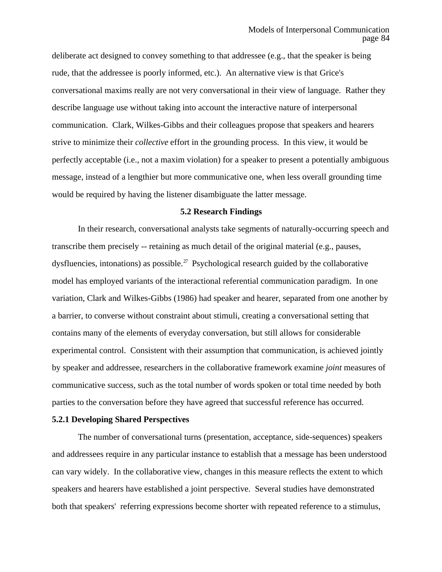deliberate act designed to convey something to that addressee (e.g., that the speaker is being rude, that the addressee is poorly informed, etc.). An alternative view is that Grice's conversational maxims really are not very conversational in their view of language. Rather they describe language use without taking into account the interactive nature of interpersonal communication. Clark, Wilkes-Gibbs and their colleagues propose that speakers and hearers strive to minimize their *collective* effort in the grounding process. In this view, it would be perfectly acceptable (i.e., not a maxim violation) for a speaker to present a potentially ambiguous message, instead of a lengthier but more communicative one, when less overall grounding time would be required by having the listener disambiguate the latter message.

#### **5.2 Research Findings**

In their research, conversational analysts take segments of naturally-occurring speech and transcribe them precisely -- retaining as much detail of the original material (e.g., pauses, dysfluencies, intonations) as possible.<sup>27</sup> Psychological research guided by the collaborative model has employed variants of the interactional referential communication paradigm. In one variation, Clark and Wilkes-Gibbs (1986) had speaker and hearer, separated from one another by a barrier, to converse without constraint about stimuli, creating a conversational setting that contains many of the elements of everyday conversation, but still allows for considerable experimental control. Consistent with their assumption that communication, is achieved jointly by speaker and addressee, researchers in the collaborative framework examine *joint* measures of communicative success, such as the total number of words spoken or total time needed by both parties to the conversation before they have agreed that successful reference has occurred.

## **5.2.1 Developing Shared Perspectives**

The number of conversational turns (presentation, acceptance, side-sequences) speakers and addressees require in any particular instance to establish that a message has been understood can vary widely. In the collaborative view, changes in this measure reflects the extent to which speakers and hearers have established a joint perspective. Several studies have demonstrated both that speakers' referring expressions become shorter with repeated reference to a stimulus,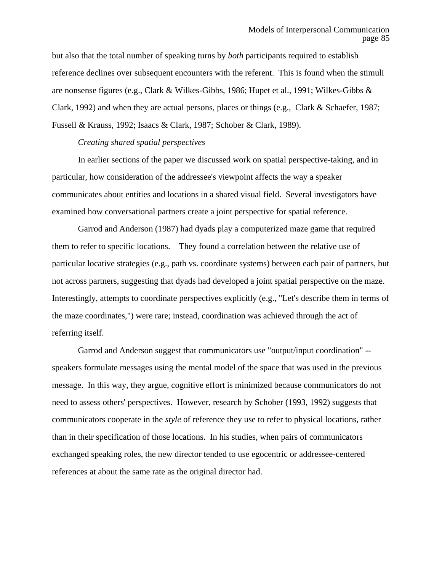but also that the total number of speaking turns by *both* participants required to establish reference declines over subsequent encounters with the referent. This is found when the stimuli are nonsense figures (e.g., Clark & Wilkes-Gibbs, 1986; Hupet et al., 1991; Wilkes-Gibbs & Clark, 1992) and when they are actual persons, places or things (e.g., Clark & Schaefer, 1987; Fussell & Krauss, 1992; Isaacs & Clark, 1987; Schober & Clark, 1989).

# *Creating shared spatial perspectives*

In earlier sections of the paper we discussed work on spatial perspective-taking, and in particular, how consideration of the addressee's viewpoint affects the way a speaker communicates about entities and locations in a shared visual field. Several investigators have examined how conversational partners create a joint perspective for spatial reference.

Garrod and Anderson (1987) had dyads play a computerized maze game that required them to refer to specific locations. They found a correlation between the relative use of particular locative strategies (e.g., path vs. coordinate systems) between each pair of partners, but not across partners, suggesting that dyads had developed a joint spatial perspective on the maze. Interestingly, attempts to coordinate perspectives explicitly (e.g., "Let's describe them in terms of the maze coordinates,") were rare; instead, coordination was achieved through the act of referring itself.

Garrod and Anderson suggest that communicators use "output/input coordination" - speakers formulate messages using the mental model of the space that was used in the previous message. In this way, they argue, cognitive effort is minimized because communicators do not need to assess others' perspectives. However, research by Schober (1993, 1992) suggests that communicators cooperate in the *style* of reference they use to refer to physical locations, rather than in their specification of those locations. In his studies, when pairs of communicators exchanged speaking roles, the new director tended to use egocentric or addressee-centered references at about the same rate as the original director had.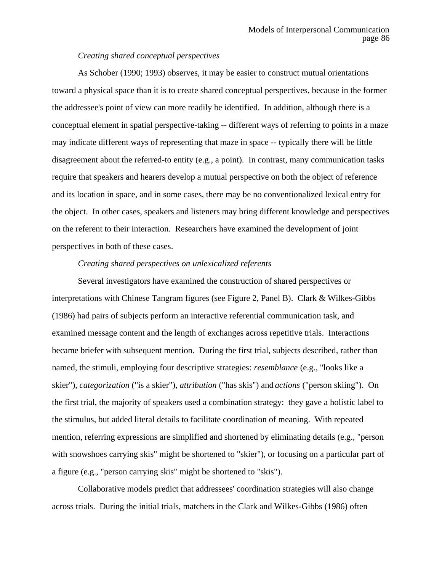# *Creating shared conceptual perspectives*

As Schober (1990; 1993) observes, it may be easier to construct mutual orientations toward a physical space than it is to create shared conceptual perspectives, because in the former the addressee's point of view can more readily be identified. In addition, although there is a conceptual element in spatial perspective-taking -- different ways of referring to points in a maze may indicate different ways of representing that maze in space -- typically there will be little disagreement about the referred-to entity (e.g., a point). In contrast, many communication tasks require that speakers and hearers develop a mutual perspective on both the object of reference and its location in space, and in some cases, there may be no conventionalized lexical entry for the object. In other cases, speakers and listeners may bring different knowledge and perspectives on the referent to their interaction. Researchers have examined the development of joint perspectives in both of these cases.

# *Creating shared perspectives on unlexicalized referents*

Several investigators have examined the construction of shared perspectives or interpretations with Chinese Tangram figures (see Figure 2, Panel B). Clark & Wilkes-Gibbs (1986) had pairs of subjects perform an interactive referential communication task, and examined message content and the length of exchanges across repetitive trials. Interactions became briefer with subsequent mention. During the first trial, subjects described, rather than named, the stimuli, employing four descriptive strategies: *resemblance* (e.g., "looks like a skier"), *categorization* ("is a skier"), *attribution* ("has skis") and *actions* ("person skiing"). On the first trial, the majority of speakers used a combination strategy: they gave a holistic label to the stimulus, but added literal details to facilitate coordination of meaning. With repeated mention, referring expressions are simplified and shortened by eliminating details (e.g., "person with snowshoes carrying skis" might be shortened to "skier"), or focusing on a particular part of a figure (e.g., "person carrying skis" might be shortened to "skis").

Collaborative models predict that addressees' coordination strategies will also change across trials. During the initial trials, matchers in the Clark and Wilkes-Gibbs (1986) often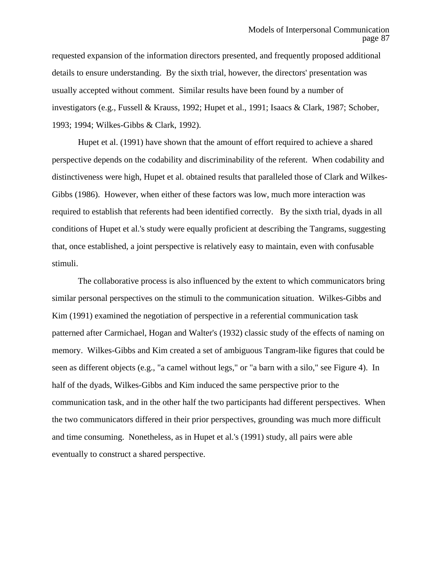requested expansion of the information directors presented, and frequently proposed additional details to ensure understanding. By the sixth trial, however, the directors' presentation was usually accepted without comment. Similar results have been found by a number of investigators (e.g., Fussell & Krauss, 1992; Hupet et al., 1991; Isaacs & Clark, 1987; Schober, 1993; 1994; Wilkes-Gibbs & Clark, 1992).

Hupet et al. (1991) have shown that the amount of effort required to achieve a shared perspective depends on the codability and discriminability of the referent. When codability and distinctiveness were high, Hupet et al. obtained results that paralleled those of Clark and Wilkes-Gibbs (1986). However, when either of these factors was low, much more interaction was required to establish that referents had been identified correctly. By the sixth trial, dyads in all conditions of Hupet et al.'s study were equally proficient at describing the Tangrams, suggesting that, once established, a joint perspective is relatively easy to maintain, even with confusable stimuli.

The collaborative process is also influenced by the extent to which communicators bring similar personal perspectives on the stimuli to the communication situation. Wilkes-Gibbs and Kim (1991) examined the negotiation of perspective in a referential communication task patterned after Carmichael, Hogan and Walter's (1932) classic study of the effects of naming on memory. Wilkes-Gibbs and Kim created a set of ambiguous Tangram-like figures that could be seen as different objects (e.g., "a camel without legs," or "a barn with a silo," see Figure 4). In half of the dyads, Wilkes-Gibbs and Kim induced the same perspective prior to the communication task, and in the other half the two participants had different perspectives. When the two communicators differed in their prior perspectives, grounding was much more difficult and time consuming. Nonetheless, as in Hupet et al.'s (1991) study, all pairs were able eventually to construct a shared perspective.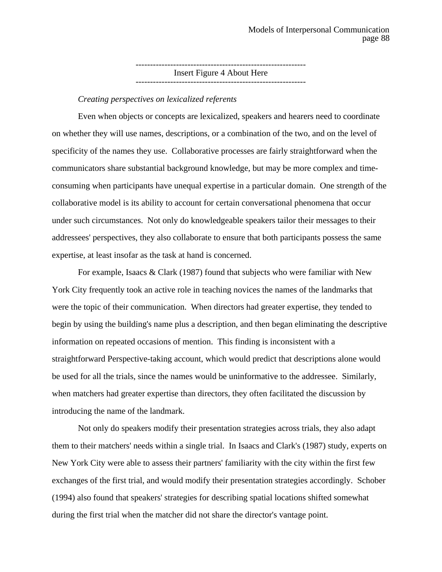----------------------------------------------------------- Insert Figure 4 About Here -----------------------------------------------------------

# *Creating perspectives on lexicalized referents*

Even when objects or concepts are lexicalized, speakers and hearers need to coordinate on whether they will use names, descriptions, or a combination of the two, and on the level of specificity of the names they use. Collaborative processes are fairly straightforward when the communicators share substantial background knowledge, but may be more complex and timeconsuming when participants have unequal expertise in a particular domain. One strength of the collaborative model is its ability to account for certain conversational phenomena that occur under such circumstances. Not only do knowledgeable speakers tailor their messages to their addressees' perspectives, they also collaborate to ensure that both participants possess the same expertise, at least insofar as the task at hand is concerned.

For example, Isaacs & Clark (1987) found that subjects who were familiar with New York City frequently took an active role in teaching novices the names of the landmarks that were the topic of their communication. When directors had greater expertise, they tended to begin by using the building's name plus a description, and then began eliminating the descriptive information on repeated occasions of mention. This finding is inconsistent with a straightforward Perspective-taking account, which would predict that descriptions alone would be used for all the trials, since the names would be uninformative to the addressee. Similarly, when matchers had greater expertise than directors, they often facilitated the discussion by introducing the name of the landmark.

Not only do speakers modify their presentation strategies across trials, they also adapt them to their matchers' needs within a single trial. In Isaacs and Clark's (1987) study, experts on New York City were able to assess their partners' familiarity with the city within the first few exchanges of the first trial, and would modify their presentation strategies accordingly. Schober (1994) also found that speakers' strategies for describing spatial locations shifted somewhat during the first trial when the matcher did not share the director's vantage point.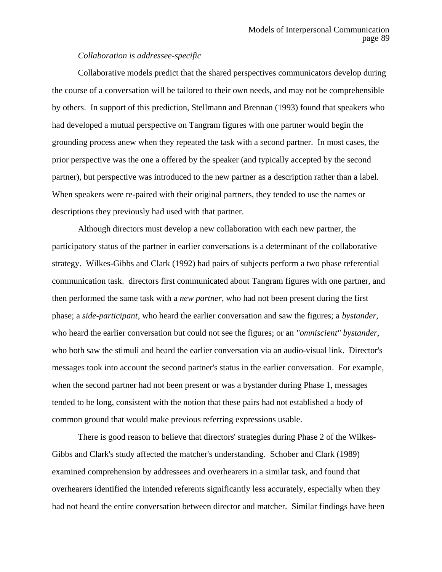# *Collaboration is addressee-specific*

Collaborative models predict that the shared perspectives communicators develop during the course of a conversation will be tailored to their own needs, and may not be comprehensible by others. In support of this prediction, Stellmann and Brennan (1993) found that speakers who had developed a mutual perspective on Tangram figures with one partner would begin the grounding process anew when they repeated the task with a second partner. In most cases, the prior perspective was the one a offered by the speaker (and typically accepted by the second partner), but perspective was introduced to the new partner as a description rather than a label. When speakers were re-paired with their original partners, they tended to use the names or descriptions they previously had used with that partner.

Although directors must develop a new collaboration with each new partner, the participatory status of the partner in earlier conversations is a determinant of the collaborative strategy. Wilkes-Gibbs and Clark (1992) had pairs of subjects perform a two phase referential communication task. directors first communicated about Tangram figures with one partner, and then performed the same task with a *new partner*, who had not been present during the first phase; a *side-participant*, who heard the earlier conversation and saw the figures; a *bystander*, who heard the earlier conversation but could not see the figures; or an *"omniscient" bystander*, who both saw the stimuli and heard the earlier conversation via an audio-visual link. Director's messages took into account the second partner's status in the earlier conversation. For example, when the second partner had not been present or was a bystander during Phase 1, messages tended to be long, consistent with the notion that these pairs had not established a body of common ground that would make previous referring expressions usable.

There is good reason to believe that directors' strategies during Phase 2 of the Wilkes-Gibbs and Clark's study affected the matcher's understanding. Schober and Clark (1989) examined comprehension by addressees and overhearers in a similar task, and found that overhearers identified the intended referents significantly less accurately, especially when they had not heard the entire conversation between director and matcher. Similar findings have been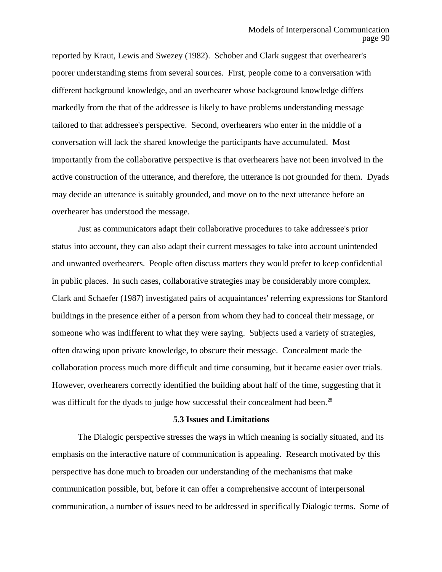reported by Kraut, Lewis and Swezey (1982). Schober and Clark suggest that overhearer's poorer understanding stems from several sources. First, people come to a conversation with different background knowledge, and an overhearer whose background knowledge differs markedly from the that of the addressee is likely to have problems understanding message tailored to that addressee's perspective. Second, overhearers who enter in the middle of a conversation will lack the shared knowledge the participants have accumulated. Most importantly from the collaborative perspective is that overhearers have not been involved in the active construction of the utterance, and therefore, the utterance is not grounded for them. Dyads may decide an utterance is suitably grounded, and move on to the next utterance before an overhearer has understood the message.

Just as communicators adapt their collaborative procedures to take addressee's prior status into account, they can also adapt their current messages to take into account unintended and unwanted overhearers. People often discuss matters they would prefer to keep confidential in public places. In such cases, collaborative strategies may be considerably more complex. Clark and Schaefer (1987) investigated pairs of acquaintances' referring expressions for Stanford buildings in the presence either of a person from whom they had to conceal their message, or someone who was indifferent to what they were saying. Subjects used a variety of strategies, often drawing upon private knowledge, to obscure their message. Concealment made the collaboration process much more difficult and time consuming, but it became easier over trials. However, overhearers correctly identified the building about half of the time, suggesting that it was difficult for the dyads to judge how successful their concealment had been.<sup>28</sup>

#### **5.3 Issues and Limitations**

The Dialogic perspective stresses the ways in which meaning is socially situated, and its emphasis on the interactive nature of communication is appealing. Research motivated by this perspective has done much to broaden our understanding of the mechanisms that make communication possible, but, before it can offer a comprehensive account of interpersonal communication, a number of issues need to be addressed in specifically Dialogic terms. Some of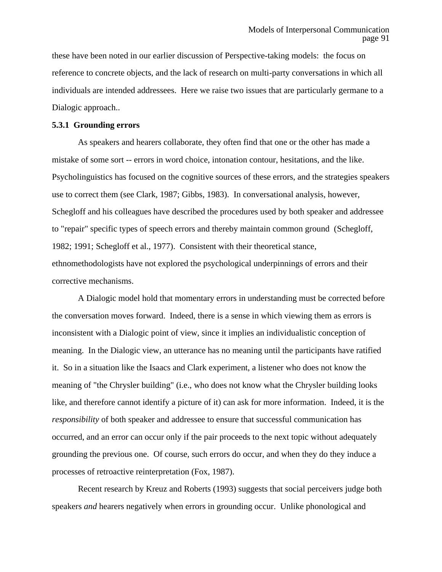these have been noted in our earlier discussion of Perspective-taking models: the focus on reference to concrete objects, and the lack of research on multi-party conversations in which all individuals are intended addressees. Here we raise two issues that are particularly germane to a Dialogic approach..

# **5.3.1 Grounding errors**

As speakers and hearers collaborate, they often find that one or the other has made a mistake of some sort -- errors in word choice, intonation contour, hesitations, and the like. Psycholinguistics has focused on the cognitive sources of these errors, and the strategies speakers use to correct them (see Clark, 1987; Gibbs, 1983). In conversational analysis, however, Schegloff and his colleagues have described the procedures used by both speaker and addressee to "repair" specific types of speech errors and thereby maintain common ground (Schegloff, 1982; 1991; Schegloff et al., 1977). Consistent with their theoretical stance, ethnomethodologists have not explored the psychological underpinnings of errors and their corrective mechanisms.

A Dialogic model hold that momentary errors in understanding must be corrected before the conversation moves forward. Indeed, there is a sense in which viewing them as errors is inconsistent with a Dialogic point of view, since it implies an individualistic conception of meaning. In the Dialogic view, an utterance has no meaning until the participants have ratified it. So in a situation like the Isaacs and Clark experiment, a listener who does not know the meaning of "the Chrysler building" (i.e., who does not know what the Chrysler building looks like, and therefore cannot identify a picture of it) can ask for more information. Indeed, it is the *responsibility* of both speaker and addressee to ensure that successful communication has occurred, and an error can occur only if the pair proceeds to the next topic without adequately grounding the previous one. Of course, such errors do occur, and when they do they induce a processes of retroactive reinterpretation (Fox, 1987).

Recent research by Kreuz and Roberts (1993) suggests that social perceivers judge both speakers *and* hearers negatively when errors in grounding occur. Unlike phonological and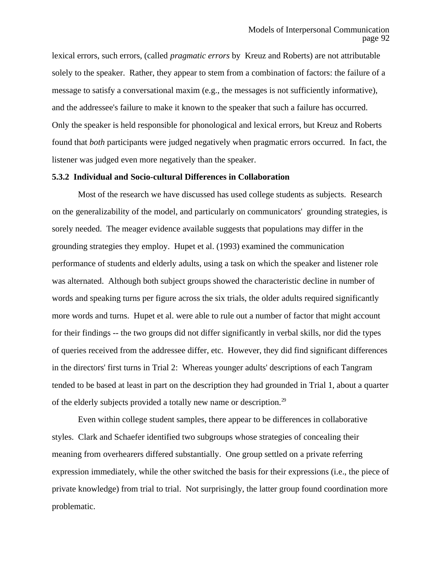lexical errors, such errors, (called *pragmatic errors* by Kreuz and Roberts) are not attributable solely to the speaker. Rather, they appear to stem from a combination of factors: the failure of a message to satisfy a conversational maxim (e.g., the messages is not sufficiently informative), and the addressee's failure to make it known to the speaker that such a failure has occurred. Only the speaker is held responsible for phonological and lexical errors, but Kreuz and Roberts found that *both* participants were judged negatively when pragmatic errors occurred. In fact, the listener was judged even more negatively than the speaker.

#### **5.3.2 Individual and Socio-cultural Differences in Collaboration**

Most of the research we have discussed has used college students as subjects. Research on the generalizability of the model, and particularly on communicators' grounding strategies, is sorely needed. The meager evidence available suggests that populations may differ in the grounding strategies they employ. Hupet et al. (1993) examined the communication performance of students and elderly adults, using a task on which the speaker and listener role was alternated. Although both subject groups showed the characteristic decline in number of words and speaking turns per figure across the six trials, the older adults required significantly more words and turns. Hupet et al. were able to rule out a number of factor that might account for their findings -- the two groups did not differ significantly in verbal skills, nor did the types of queries received from the addressee differ, etc. However, they did find significant differences in the directors' first turns in Trial 2: Whereas younger adults' descriptions of each Tangram tended to be based at least in part on the description they had grounded in Trial 1, about a quarter of the elderly subjects provided a totally new name or description.29

Even within college student samples, there appear to be differences in collaborative styles. Clark and Schaefer identified two subgroups whose strategies of concealing their meaning from overhearers differed substantially. One group settled on a private referring expression immediately, while the other switched the basis for their expressions (i.e., the piece of private knowledge) from trial to trial. Not surprisingly, the latter group found coordination more problematic.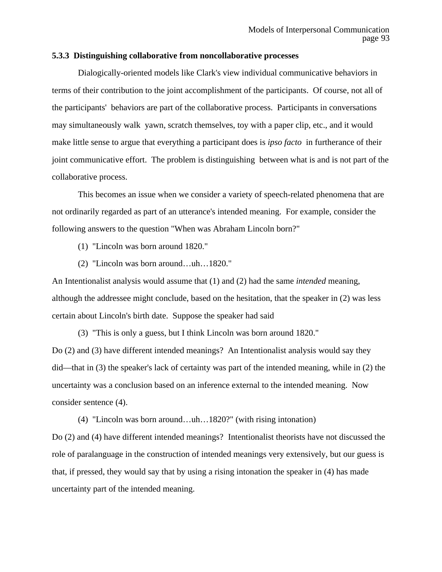#### **5.3.3 Distinguishing collaborative from noncollaborative processes**

Dialogically-oriented models like Clark's view individual communicative behaviors in terms of their contribution to the joint accomplishment of the participants. Of course, not all of the participants' behaviors are part of the collaborative process. Participants in conversations may simultaneously walk yawn, scratch themselves, toy with a paper clip, etc., and it would make little sense to argue that everything a participant does is *ipso facto* in furtherance of their joint communicative effort. The problem is distinguishing between what is and is not part of the collaborative process.

This becomes an issue when we consider a variety of speech-related phenomena that are not ordinarily regarded as part of an utterance's intended meaning. For example, consider the following answers to the question "When was Abraham Lincoln born?"

- (1) "Lincoln was born around 1820."
- (2) "Lincoln was born around…uh…1820."

An Intentionalist analysis would assume that (1) and (2) had the same *intended* meaning, although the addressee might conclude, based on the hesitation, that the speaker in (2) was less certain about Lincoln's birth date. Suppose the speaker had said

(3) "This is only a guess, but I think Lincoln was born around 1820." Do (2) and (3) have different intended meanings? An Intentionalist analysis would say they did—that in (3) the speaker's lack of certainty was part of the intended meaning, while in (2) the uncertainty was a conclusion based on an inference external to the intended meaning. Now consider sentence (4).

(4) "Lincoln was born around…uh…1820?" (with rising intonation) Do (2) and (4) have different intended meanings? Intentionalist theorists have not discussed the role of paralanguage in the construction of intended meanings very extensively, but our guess is that, if pressed, they would say that by using a rising intonation the speaker in (4) has made uncertainty part of the intended meaning.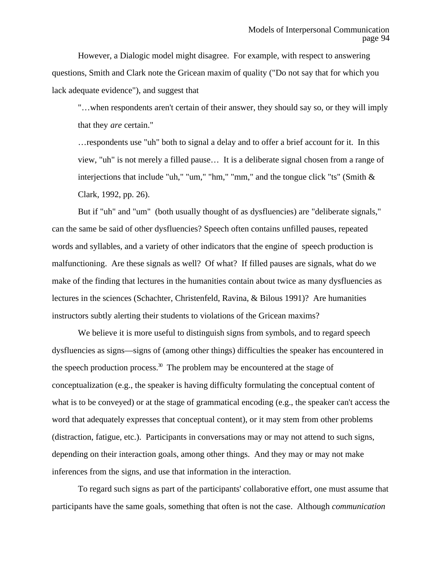However, a Dialogic model might disagree. For example, with respect to answering questions, Smith and Clark note the Gricean maxim of quality ("Do not say that for which you lack adequate evidence"), and suggest that

"…when respondents aren't certain of their answer, they should say so, or they will imply that they *are* certain."

…respondents use "uh" both to signal a delay and to offer a brief account for it. In this view, "uh" is not merely a filled pause… It is a deliberate signal chosen from a range of interjections that include "uh," "um," "hm," "mm," and the tongue click "ts" (Smith  $\&$ Clark, 1992, pp. 26).

But if "uh" and "um" (both usually thought of as dysfluencies) are "deliberate signals," can the same be said of other dysfluencies? Speech often contains unfilled pauses, repeated words and syllables, and a variety of other indicators that the engine of speech production is malfunctioning. Are these signals as well? Of what? If filled pauses are signals, what do we make of the finding that lectures in the humanities contain about twice as many dysfluencies as lectures in the sciences (Schachter, Christenfeld, Ravina, & Bilous 1991)? Are humanities instructors subtly alerting their students to violations of the Gricean maxims?

We believe it is more useful to distinguish signs from symbols, and to regard speech dysfluencies as signs—signs of (among other things) difficulties the speaker has encountered in the speech production process. $30$  The problem may be encountered at the stage of conceptualization (e.g., the speaker is having difficulty formulating the conceptual content of what is to be conveyed) or at the stage of grammatical encoding (e.g., the speaker can't access the word that adequately expresses that conceptual content), or it may stem from other problems (distraction, fatigue, etc.). Participants in conversations may or may not attend to such signs, depending on their interaction goals, among other things. And they may or may not make inferences from the signs, and use that information in the interaction.

To regard such signs as part of the participants' collaborative effort, one must assume that participants have the same goals, something that often is not the case. Although *communication*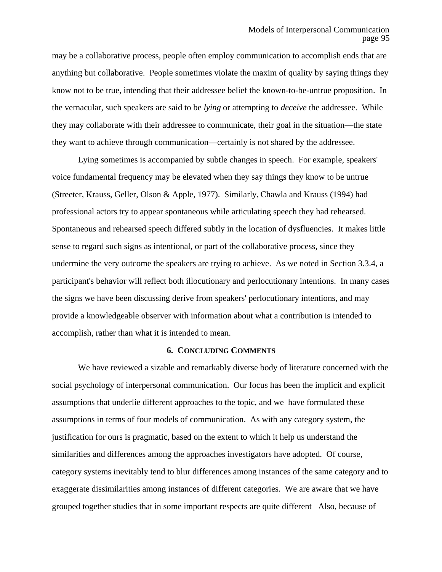may be a collaborative process, people often employ communication to accomplish ends that are anything but collaborative. People sometimes violate the maxim of quality by saying things they know not to be true, intending that their addressee belief the known-to-be-untrue proposition. In the vernacular, such speakers are said to be *lying* or attempting to *deceive* the addressee. While they may collaborate with their addressee to communicate, their goal in the situation—the state they want to achieve through communication—certainly is not shared by the addressee.

Lying sometimes is accompanied by subtle changes in speech. For example, speakers' voice fundamental frequency may be elevated when they say things they know to be untrue (Streeter, Krauss, Geller, Olson & Apple, 1977). Similarly, Chawla and Krauss (1994) had professional actors try to appear spontaneous while articulating speech they had rehearsed. Spontaneous and rehearsed speech differed subtly in the location of dysfluencies. It makes little sense to regard such signs as intentional, or part of the collaborative process, since they undermine the very outcome the speakers are trying to achieve. As we noted in Section 3.3.4, a participant's behavior will reflect both illocutionary and perlocutionary intentions. In many cases the signs we have been discussing derive from speakers' perlocutionary intentions, and may provide a knowledgeable observer with information about what a contribution is intended to accomplish, rather than what it is intended to mean.

# **6. CONCLUDING COMMENTS**

We have reviewed a sizable and remarkably diverse body of literature concerned with the social psychology of interpersonal communication. Our focus has been the implicit and explicit assumptions that underlie different approaches to the topic, and we have formulated these assumptions in terms of four models of communication. As with any category system, the justification for ours is pragmatic, based on the extent to which it help us understand the similarities and differences among the approaches investigators have adopted. Of course, category systems inevitably tend to blur differences among instances of the same category and to exaggerate dissimilarities among instances of different categories. We are aware that we have grouped together studies that in some important respects are quite different Also, because of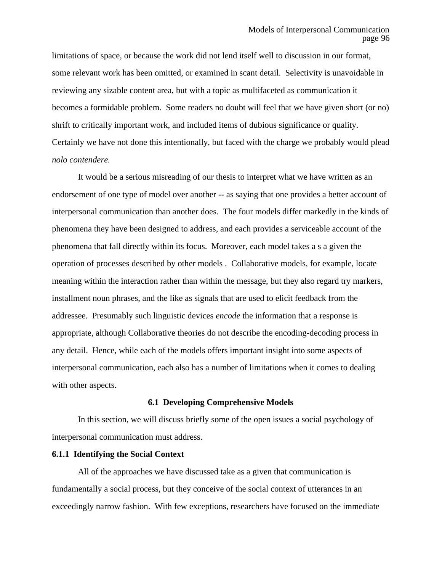limitations of space, or because the work did not lend itself well to discussion in our format, some relevant work has been omitted, or examined in scant detail. Selectivity is unavoidable in reviewing any sizable content area, but with a topic as multifaceted as communication it becomes a formidable problem. Some readers no doubt will feel that we have given short (or no) shrift to critically important work, and included items of dubious significance or quality. Certainly we have not done this intentionally, but faced with the charge we probably would plead *nolo contendere.*

It would be a serious misreading of our thesis to interpret what we have written as an endorsement of one type of model over another -- as saying that one provides a better account of interpersonal communication than another does. The four models differ markedly in the kinds of phenomena they have been designed to address, and each provides a serviceable account of the phenomena that fall directly within its focus. Moreover, each model takes a s a given the operation of processes described by other models . Collaborative models, for example, locate meaning within the interaction rather than within the message, but they also regard try markers, installment noun phrases, and the like as signals that are used to elicit feedback from the addressee. Presumably such linguistic devices *encode* the information that a response is appropriate, although Collaborative theories do not describe the encoding-decoding process in any detail. Hence, while each of the models offers important insight into some aspects of interpersonal communication, each also has a number of limitations when it comes to dealing with other aspects.

# **6.1 Developing Comprehensive Models**

In this section, we will discuss briefly some of the open issues a social psychology of interpersonal communication must address.

# **6.1.1 Identifying the Social Context**

All of the approaches we have discussed take as a given that communication is fundamentally a social process, but they conceive of the social context of utterances in an exceedingly narrow fashion. With few exceptions, researchers have focused on the immediate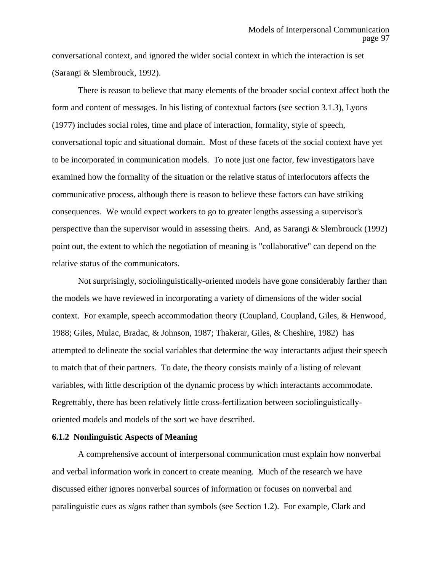conversational context, and ignored the wider social context in which the interaction is set (Sarangi & Slembrouck, 1992).

There is reason to believe that many elements of the broader social context affect both the form and content of messages. In his listing of contextual factors (see section 3.1.3), Lyons (1977) includes social roles, time and place of interaction, formality, style of speech, conversational topic and situational domain. Most of these facets of the social context have yet to be incorporated in communication models. To note just one factor, few investigators have examined how the formality of the situation or the relative status of interlocutors affects the communicative process, although there is reason to believe these factors can have striking consequences. We would expect workers to go to greater lengths assessing a supervisor's perspective than the supervisor would in assessing theirs. And, as Sarangi & Slembrouck (1992) point out, the extent to which the negotiation of meaning is "collaborative" can depend on the relative status of the communicators.

Not surprisingly, sociolinguistically-oriented models have gone considerably farther than the models we have reviewed in incorporating a variety of dimensions of the wider social context. For example, speech accommodation theory (Coupland, Coupland, Giles, & Henwood, 1988; Giles, Mulac, Bradac, & Johnson, 1987; Thakerar, Giles, & Cheshire, 1982) has attempted to delineate the social variables that determine the way interactants adjust their speech to match that of their partners. To date, the theory consists mainly of a listing of relevant variables, with little description of the dynamic process by which interactants accommodate. Regrettably, there has been relatively little cross-fertilization between sociolinguisticallyoriented models and models of the sort we have described.

## **6.1.2 Nonlinguistic Aspects of Meaning**

A comprehensive account of interpersonal communication must explain how nonverbal and verbal information work in concert to create meaning. Much of the research we have discussed either ignores nonverbal sources of information or focuses on nonverbal and paralinguistic cues as *signs* rather than symbols (see Section 1.2). For example, Clark and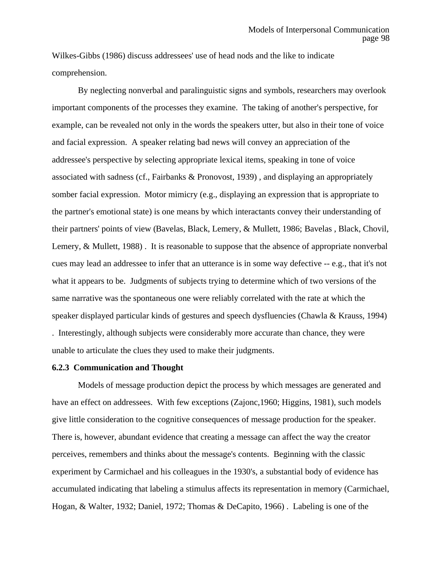Wilkes-Gibbs (1986) discuss addressees' use of head nods and the like to indicate comprehension.

By neglecting nonverbal and paralinguistic signs and symbols, researchers may overlook important components of the processes they examine. The taking of another's perspective, for example, can be revealed not only in the words the speakers utter, but also in their tone of voice and facial expression. A speaker relating bad news will convey an appreciation of the addressee's perspective by selecting appropriate lexical items, speaking in tone of voice associated with sadness (cf., Fairbanks  $\&$  Pronovost, 1939), and displaying an appropriately somber facial expression. Motor mimicry (e.g., displaying an expression that is appropriate to the partner's emotional state) is one means by which interactants convey their understanding of their partners' points of view (Bavelas, Black, Lemery, & Mullett, 1986; Bavelas , Black, Chovil, Lemery, & Mullett, 1988). It is reasonable to suppose that the absence of appropriate nonverbal cues may lead an addressee to infer that an utterance is in some way defective -- e.g., that it's not what it appears to be. Judgments of subjects trying to determine which of two versions of the same narrative was the spontaneous one were reliably correlated with the rate at which the speaker displayed particular kinds of gestures and speech dysfluencies (Chawla & Krauss, 1994) . Interestingly, although subjects were considerably more accurate than chance, they were unable to articulate the clues they used to make their judgments.

# **6.2.3 Communication and Thought**

Models of message production depict the process by which messages are generated and have an effect on addressees. With few exceptions (Zajonc,1960; Higgins, 1981), such models give little consideration to the cognitive consequences of message production for the speaker. There is, however, abundant evidence that creating a message can affect the way the creator perceives, remembers and thinks about the message's contents. Beginning with the classic experiment by Carmichael and his colleagues in the 1930's, a substantial body of evidence has accumulated indicating that labeling a stimulus affects its representation in memory (Carmichael, Hogan, & Walter, 1932; Daniel, 1972; Thomas & DeCapito, 1966) . Labeling is one of the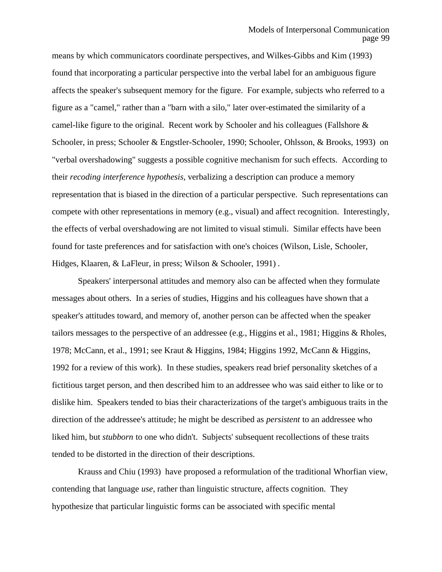means by which communicators coordinate perspectives, and Wilkes-Gibbs and Kim (1993) found that incorporating a particular perspective into the verbal label for an ambiguous figure affects the speaker's subsequent memory for the figure. For example, subjects who referred to a figure as a "camel," rather than a "barn with a silo," later over-estimated the similarity of a camel-like figure to the original. Recent work by Schooler and his colleagues (Fallshore & Schooler, in press; Schooler & Engstler-Schooler, 1990; Schooler, Ohlsson, & Brooks, 1993) on "verbal overshadowing" suggests a possible cognitive mechanism for such effects. According to their *recoding interference hypothesis,* verbalizing a description can produce a memory representation that is biased in the direction of a particular perspective. Such representations can compete with other representations in memory (e.g., visual) and affect recognition. Interestingly, the effects of verbal overshadowing are not limited to visual stimuli. Similar effects have been found for taste preferences and for satisfaction with one's choices (Wilson, Lisle, Schooler, Hidges, Klaaren, & LaFleur, in press; Wilson & Schooler, 1991) .

Speakers' interpersonal attitudes and memory also can be affected when they formulate messages about others. In a series of studies, Higgins and his colleagues have shown that a speaker's attitudes toward, and memory of, another person can be affected when the speaker tailors messages to the perspective of an addressee (e.g., Higgins et al., 1981; Higgins & Rholes, 1978; McCann, et al., 1991; see Kraut & Higgins, 1984; Higgins 1992, McCann & Higgins, 1992 for a review of this work). In these studies, speakers read brief personality sketches of a fictitious target person, and then described him to an addressee who was said either to like or to dislike him. Speakers tended to bias their characterizations of the target's ambiguous traits in the direction of the addressee's attitude; he might be described as *persistent* to an addressee who liked him, but *stubborn* to one who didn't. Subjects' subsequent recollections of these traits tended to be distorted in the direction of their descriptions.

Krauss and Chiu (1993) have proposed a reformulation of the traditional Whorfian view, contending that language *use,* rather than linguistic structure, affects cognition. They hypothesize that particular linguistic forms can be associated with specific mental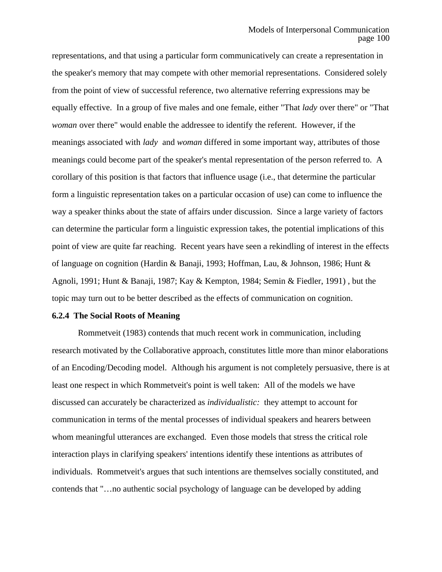representations, and that using a particular form communicatively can create a representation in the speaker's memory that may compete with other memorial representations. Considered solely from the point of view of successful reference, two alternative referring expressions may be equally effective. In a group of five males and one female, either "That *lady* over there" or "That *woman* over there" would enable the addressee to identify the referent. However, if the meanings associated with *lady* and *woman* differed in some important way, attributes of those meanings could become part of the speaker's mental representation of the person referred to. A corollary of this position is that factors that influence usage (i.e., that determine the particular form a linguistic representation takes on a particular occasion of use) can come to influence the way a speaker thinks about the state of affairs under discussion. Since a large variety of factors can determine the particular form a linguistic expression takes, the potential implications of this point of view are quite far reaching. Recent years have seen a rekindling of interest in the effects of language on cognition (Hardin & Banaji, 1993; Hoffman, Lau, & Johnson, 1986; Hunt & Agnoli, 1991; Hunt & Banaji, 1987; Kay & Kempton, 1984; Semin & Fiedler, 1991) , but the topic may turn out to be better described as the effects of communication on cognition.

# **6.2.4 The Social Roots of Meaning**

Rommetveit (1983) contends that much recent work in communication, including research motivated by the Collaborative approach, constitutes little more than minor elaborations of an Encoding/Decoding model. Although his argument is not completely persuasive, there is at least one respect in which Rommetveit's point is well taken: All of the models we have discussed can accurately be characterized as *individualistic:* they attempt to account for communication in terms of the mental processes of individual speakers and hearers between whom meaningful utterances are exchanged. Even those models that stress the critical role interaction plays in clarifying speakers' intentions identify these intentions as attributes of individuals. Rommetveit's argues that such intentions are themselves socially constituted, and contends that "…no authentic social psychology of language can be developed by adding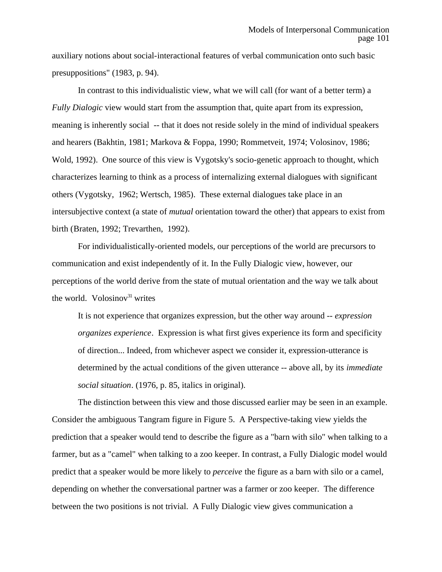auxiliary notions about social-interactional features of verbal communication onto such basic presuppositions" (1983, p. 94).

In contrast to this individualistic view, what we will call (for want of a better term) a *Fully Dialogic* view would start from the assumption that, quite apart from its expression, meaning is inherently social -- that it does not reside solely in the mind of individual speakers and hearers (Bakhtin, 1981; Markova & Foppa, 1990; Rommetveit, 1974; Volosinov, 1986; Wold, 1992). One source of this view is Vygotsky's socio-genetic approach to thought, which characterizes learning to think as a process of internalizing external dialogues with significant others (Vygotsky, 1962; Wertsch, 1985). These external dialogues take place in an intersubjective context (a state of *mutual* orientation toward the other) that appears to exist from birth (Braten, 1992; Trevarthen, 1992).

For individualistically-oriented models, our perceptions of the world are precursors to communication and exist independently of it. In the Fully Dialogic view, however, our perceptions of the world derive from the state of mutual orientation and the way we talk about the world. Volosinov<sup>31</sup> writes

It is not experience that organizes expression, but the other way around -- *expression organizes experience*. Expression is what first gives experience its form and specificity of direction... Indeed, from whichever aspect we consider it, expression-utterance is determined by the actual conditions of the given utterance -- above all, by its *immediate social situation*. (1976, p. 85, italics in original).

The distinction between this view and those discussed earlier may be seen in an example. Consider the ambiguous Tangram figure in Figure 5. A Perspective-taking view yields the prediction that a speaker would tend to describe the figure as a "barn with silo" when talking to a farmer, but as a "camel" when talking to a zoo keeper. In contrast, a Fully Dialogic model would predict that a speaker would be more likely to *perceive* the figure as a barn with silo or a camel, depending on whether the conversational partner was a farmer or zoo keeper. The difference between the two positions is not trivial. A Fully Dialogic view gives communication a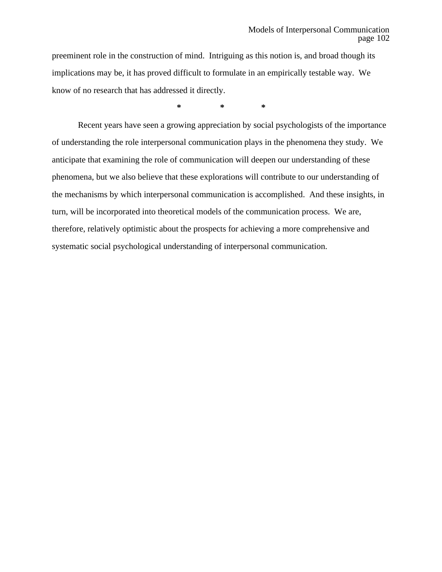preeminent role in the construction of mind. Intriguing as this notion is, and broad though its implications may be, it has proved difficult to formulate in an empirically testable way. We know of no research that has addressed it directly.

**\* \* \***

Recent years have seen a growing appreciation by social psychologists of the importance of understanding the role interpersonal communication plays in the phenomena they study. We anticipate that examining the role of communication will deepen our understanding of these phenomena, but we also believe that these explorations will contribute to our understanding of the mechanisms by which interpersonal communication is accomplished. And these insights, in turn, will be incorporated into theoretical models of the communication process. We are, therefore, relatively optimistic about the prospects for achieving a more comprehensive and systematic social psychological understanding of interpersonal communication.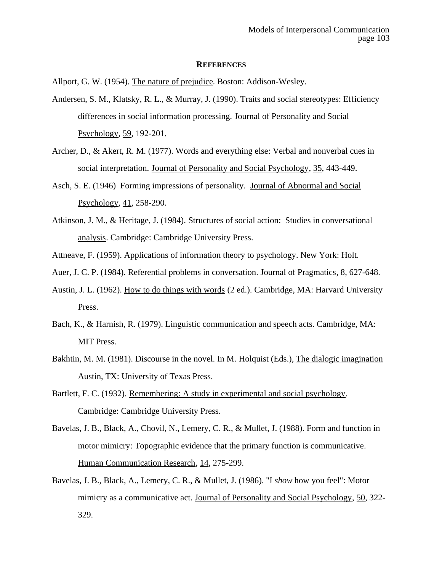#### **REFERENCES**

Allport, G. W. (1954). The nature of prejudice . Boston: Addison-Wesley.

- Andersen, S. M., Klatsky, R. L., & Murray, J. (1990). Traits and social stereotypes: Efficiency differences in social information processing. Journal of Personality and Social Psychology, 59, 192-201.
- Archer, D., & Akert, R. M. (1977). Words and everything else: Verbal and nonverbal cues in social interpretation. Journal of Personality and Social Psychology , 35 , 443-449.
- Asch, S. E. (1946) Forming impressions of personality. Journal of Abnormal and Social Psychology, 41, 258-290.
- Atkinson, J. M., & Heritage, J. (1984). Structures of social action: Studies in conversational analysis. Cambridge: Cambridge University Press.
- Attneave, F. (1959). Applications of information theory to psychology. New York: Holt.
- Auer, J. C. P. (1984). Referential problems in conversation. Journal of Pragmatics , 8 , 627-648.
- Austin, J. L. (1962). How to do things with words (2 ed.). Cambridge, MA: Harvard University Press.
- Bach, K., & Harnish, R. (1979). Linguistic communication and speech acts . Cambridge, MA: MIT Press.
- Bakhtin, M. M. (1981). Discourse in the novel. In M. Holquist (Eds.), The dialogic imagination Austin, TX: University of Texas Press.
- Bartlett, F. C. (1932). Remembering: A study in experimental and social psychology. Cambridge: Cambridge University Press.
- Bavelas, J. B., Black, A., Chovil, N., Lemery, C. R., & Mullet, J. (1988). Form and function in motor mimicry: Topographic evidence that the primary function is communicative. Human Communication Research, 14, 275-299.
- Bavelas, J. B., Black, A., Lemery, C. R., & Mullet, J. (1986). "I *show* how you feel": Motor mimicry as a communicative act. Journal of Personality and Social Psychology, 50, 322-329.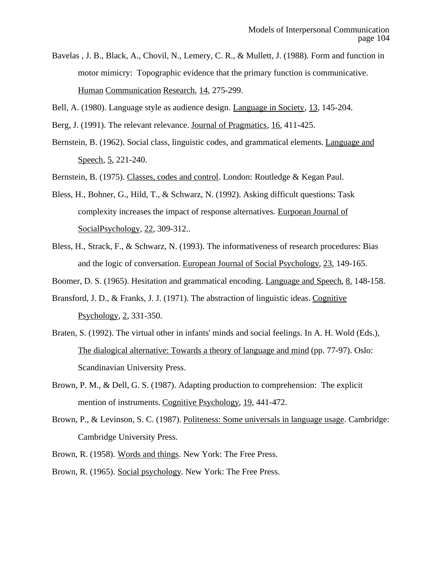Bavelas , J. B., Black, A., Chovil, N., Lemery, C. R., & Mullett, J. (1988). Form and function in motor mimicry: Topographic evidence that the primary function is communicative. Human Communication Research, 14, 275-299.

Bell, A. (1980). Language style as audience design. Language in Society, 13, 145-204.

Berg, J. (1991). The relevant relevance. Journal of Pragmatics, 16, 411-425.

- Bernstein, B. (1962). Social class, linguistic codes, and grammatical elements. Language and Speech, 5, 221-240.
- Bernstein, B. (1975). Classes, codes and control. London: Routledge & Kegan Paul.
- Bless, H., Bohner, G., Hild, T., & Schwarz, N. (1992). Asking difficult questions: Task complexity increases the impact of response alternatives. Eurpoean Journal of SocialPsychology, 22, 309-312..
- Bless, H., Strack, F., & Schwarz, N. (1993). The informativeness of research procedures: Bias and the logic of conversation. European Journal of Social Psychology , 23 , 149-165.
- Boomer, D. S. (1965). Hesitation and grammatical encoding. Language and Speech, 8, 148-158.
- Bransford, J. D., & Franks, J. J. (1971). The abstraction of linguistic ideas. Cognitive Psychology, 2, 331-350.
- Braten, S. (1992). The virtual other in infants' minds and social feelings. In A. H. Wold (Eds.), The dialogical alternative: Towards a theory of language and mind (pp. 77-97). Oslo: Scandinavian University Press.
- Brown, P. M., & Dell, G. S. (1987). Adapting production to comprehension: The explicit mention of instruments. Cognitive Psychology, 19, 441-472.
- Brown, P., & Levinson, S. C. (1987). Politeness: Some universals in language usage . Cambridge: Cambridge University Press.
- Brown, R. (1958). Words and things. New York: The Free Press.
- Brown, R. (1965). Social psychology. New York: The Free Press.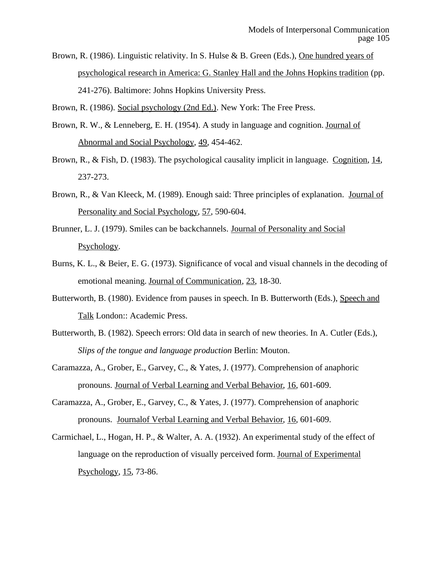- Brown, R. (1986). Linguistic relativity. In S. Hulse & B. Green (Eds.), One hundred years of psychological research in America: G. Stanley Hall and the Johns Hopkins tradition (pp. 241-276). Baltimore: Johns Hopkins University Press.
- Brown, R. (1986). Social psychology (2nd Ed.) . New York: The Free Press.
- Brown, R. W., & Lenneberg, E. H. (1954). A study in language and cognition. Journal of Abnormal and Social Psychology, 49, 454-462.
- Brown, R., & Fish, D. (1983). The psychological causality implicit in language. Cognition, 14, 237-273.
- Brown, R., & Van Kleeck, M. (1989). Enough said: Three principles of explanation. Journal of Personality and Social Psychology, 57, 590-604.
- Brunner, L. J. (1979). Smiles can be backchannels. Journal of Personality and Social Psychology.
- Burns, K. L., & Beier, E. G. (1973). Significance of vocal and visual channels in the decoding of emotional meaning. Journal of Communication, 23, 18-30.
- Butterworth, B. (1980). Evidence from pauses in speech. In B. Butterworth (Eds.), Speech and Talk London:: Academic Press.
- Butterworth, B. (1982). Speech errors: Old data in search of new theories. In A. Cutler (Eds.), *Slips of the tongue and language production* Berlin: Mouton.
- Caramazza, A., Grober, E., Garvey, C., & Yates, J. (1977). Comprehension of anaphoric pronouns. Journal of Verbal Learning and Verbal Behavior, 16, 601-609.
- Caramazza, A., Grober, E., Garvey, C., & Yates, J. (1977). Comprehension of anaphoric pronouns. Journal of Verbal Learning and Verbal Behavior, 16, 601-609.
- Carmichael, L., Hogan, H. P., & Walter, A. A. (1932). An experimental study of the effect of language on the reproduction of visually perceived form. Journal of Experimental Psychology,  $15$ , 73-86.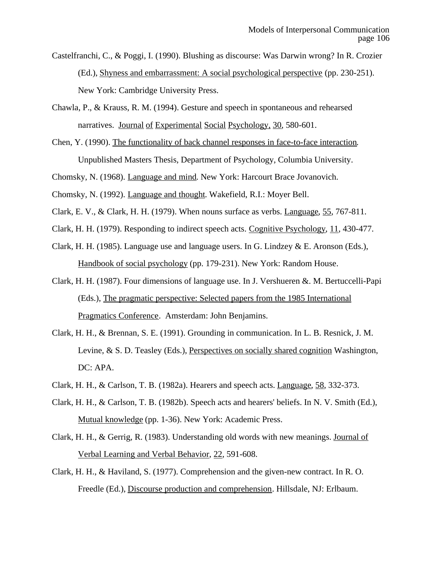- Castelfranchi, C., & Poggi, I. (1990). Blushing as discourse: Was Darwin wrong? In R. Crozier (Ed.), Shyness and embarrassment: A social psychological perspective (pp. 230-251). New York: Cambridge University Press.
- Chawla, P., & Krauss, R. M. (1994). Gesture and speech in spontaneous and rehearsed narratives. Journal of Experimental Social Psychology, 30, 580-601.
- Chen, Y. (1990). The functionality of back channel responses in face-to-face interaction . Unpublished Masters Thesis, Department of Psychology, Columbia University.
- Chomsky, N. (1968). Language and mind . New York: Harcourt Brace Jovanovich.
- Chomsky, N. (1992). Language and thought. Wakefield, R.I.: Moyer Bell.
- Clark, E. V., & Clark, H. H. (1979). When nouns surface as verbs. Language,  $55$ , 767-811.
- Clark, H. H. (1979). Responding to indirect speech acts. Cognitive Psychology , 11 , 430-477.
- Clark, H. H. (1985). Language use and language users. In G. Lindzey & E. Aronson (Eds.), Handbook of social psychology (pp. 179-231). New York: Random House.
- Clark, H. H. (1987). Four dimensions of language use. In J. Vershueren &. M. Bertuccelli-Papi (Eds.), The pragmatic perspective: Selected papers from the 1985 International Pragmatics Conference . Amsterdam: John Benjamins.
- Clark, H. H., & Brennan, S. E. (1991). Grounding in communication. In L. B. Resnick, J. M. Levine, & S. D. Teasley (Eds.), Perspectives on socially shared cognition Washington, DC: APA.
- Clark, H. H., & Carlson, T. B. (1982a). Hearers and speech acts. Language, 58, 332-373.
- Clark, H. H., & Carlson, T. B. (1982b). Speech acts and hearers' beliefs. In N. V. Smith (Ed.), Mutual knowledge (pp. 1-36). New York: Academic Press.
- Clark, H. H., & Gerrig, R. (1983). Understanding old words with new meanings. Journal of Verbal Learning and Verbal Behavior, 22, 591-608.
- Clark, H. H., & Haviland, S. (1977). Comprehension and the given-new contract. In R. O. Freedle (Ed.), Discourse production and comprehension . Hillsdale, NJ: Erlbaum.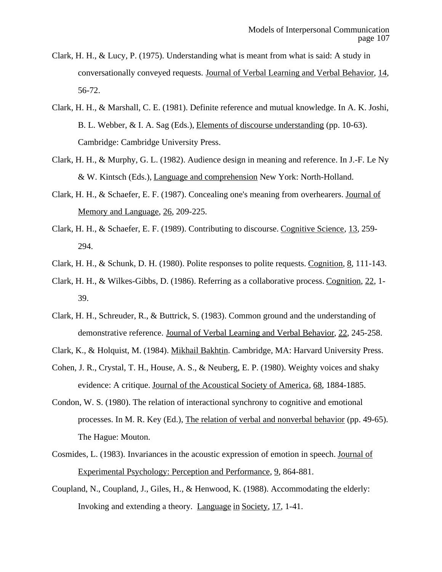- Clark, H. H., & Lucy, P. (1975). Understanding what is meant from what is said: A study in conversationally conveyed requests. Journal of Verbal Learning and Verbal Behavior , 14 , 56-72.
- Clark, H. H., & Marshall, C. E. (1981). Definite reference and mutual knowledge. In A. K. Joshi, B. L. Webber, & I. A. Sag (Eds.), Elements of discourse understanding (pp. 10-63). Cambridge: Cambridge University Press.
- Clark, H. H., & Murphy, G. L. (1982). Audience design in meaning and reference. In J.-F. Le Ny & W. Kintsch (Eds.), Language and comprehension New York: North-Holland.
- Clark, H. H., & Schaefer, E. F. (1987). Concealing one's meaning from overhearers. Journal of Memory and Language, 26, 209-225.
- Clark, H. H., & Schaefer, E. F. (1989). Contributing to discourse. Cognitive Science , 13 , 259- 294.
- Clark, H. H., & Schunk, D. H. (1980). Polite responses to polite requests. Cognition , 8 , 111-143.
- Clark, H. H., & Wilkes-Gibbs, D. (1986). Referring as a collaborative process. Cognition, 22, 1-39.
- Clark, H. H., Schreuder, R., & Buttrick, S. (1983). Common ground and the understanding of demonstrative reference. Journal of Verbal Learning and Verbal Behavior, 22, 245-258.

Clark, K., & Holquist, M. (1984). Mikhail Bakhtin. Cambridge, MA: Harvard University Press.

- Cohen, J. R., Crystal, T. H., House, A. S., & Neuberg, E. P. (1980). Weighty voices and shaky evidence: A critique. Journal of the Acoustical Society of America, 68, 1884-1885.
- Condon, W. S. (1980). The relation of interactional synchrony to cognitive and emotional processes. In M. R. Key (Ed.), The relation of verbal and nonverbal behavior (pp. 49-65). The Hague: Mouton.
- Cosmides, L. (1983). Invariances in the acoustic expression of emotion in speech. Journal of Experimental Psychology: Perception and Performance, 9, 864-881.
- Coupland, N., Coupland, J., Giles, H., & Henwood, K. (1988). Accommodating the elderly: Invoking and extending a theory. Language in Society, 17, 1-41.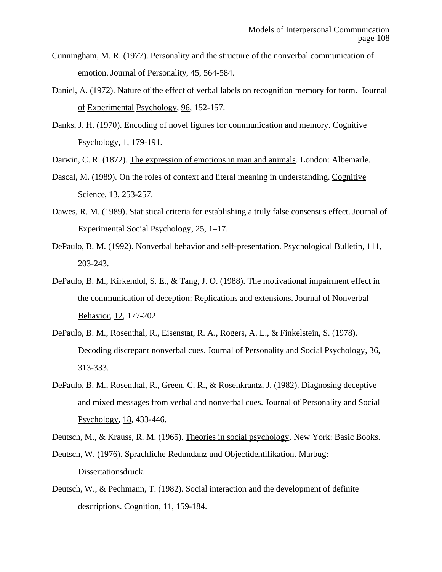- Cunningham, M. R. (1977). Personality and the structure of the nonverbal communication of emotion. Journal of Personality, 45, 564-584.
- Daniel, A. (1972). Nature of the effect of verbal labels on recognition memory for form. Journal of Experimental Psychology , 96 , 152-157.
- Danks, J. H. (1970). Encoding of novel figures for communication and memory. Cognitive Psychology,  $1, 179-191$ .

Darwin, C. R. (1872). The expression of emotions in man and animals . London: Albemarle.

- Dascal, M. (1989). On the roles of context and literal meaning in understanding. Cognitive Science, 13, 253-257.
- Dawes, R. M. (1989). Statistical criteria for establishing a truly false consensus effect. Journal of Experimental Social Psychology,  $25, 1-17$ .
- DePaulo, B. M. (1992). Nonverbal behavior and self-presentation. Psychological Bulletin, 111, 203-243.
- DePaulo, B. M., Kirkendol, S. E., & Tang, J. O. (1988). The motivational impairment effect in the communication of deception: Replications and extensions. Journal of Nonverbal Behavior, 12, 177-202.
- DePaulo, B. M., Rosenthal, R., Eisenstat, R. A., Rogers, A. L., & Finkelstein, S. (1978). Decoding discrepant nonverbal cues. Journal of Personality and Social Psychology, 36, 313-333.
- DePaulo, B. M., Rosenthal, R., Green, C. R., & Rosenkrantz, J. (1982). Diagnosing deceptive and mixed messages from verbal and nonverbal cues. Journal of Personality and Social Psychology,  $18$ , 433-446.
- Deutsch, M., & Krauss, R. M. (1965). Theories in social psychology . New York: Basic Books.
- Deutsch, W. (1976). Sprachliche Redundanz und Objectidentifikation . Marbug: Dissertationsdruck.
- Deutsch, W., & Pechmann, T. (1982). Social interaction and the development of definite descriptions. Cognition, 11, 159-184.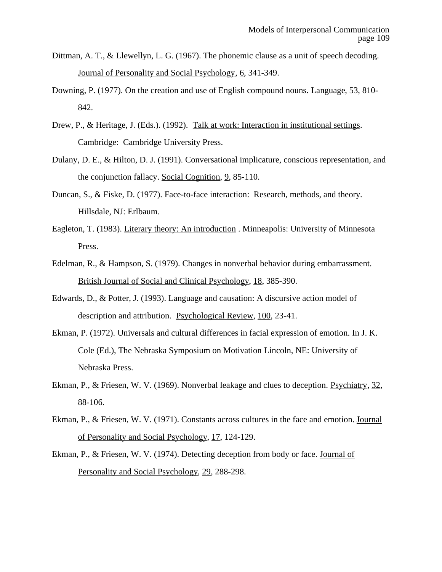- Dittman, A. T., & Llewellyn, L. G. (1967). The phonemic clause as a unit of speech decoding. Journal of Personality and Social Psychology, 6, 341-349.
- Downing, P. (1977). On the creation and use of English compound nouns. Language, 53, 810-842.
- Drew, P., & Heritage, J. (Eds.). (1992). Talk at work: Interaction in institutional settings. Cambridge: Cambridge University Press.
- Dulany, D. E., & Hilton, D. J. (1991). Conversational implicature, conscious representation, and the conjunction fallacy. Social Cognition, 9, 85-110.
- Duncan, S., & Fiske, D. (1977). Face-to-face interaction: Research, methods, and theory. Hillsdale, NJ: Erlbaum.
- Eagleton, T. (1983). Literary theory: An introduction . Minneapolis: University of Minnesota Press.
- Edelman, R., & Hampson, S. (1979). Changes in nonverbal behavior during embarrassment. British Journal of Social and Clinical Psychology, 18, 385-390.
- Edwards, D., & Potter, J. (1993). Language and causation: A discursive action model of description and attribution. Psychological Review, 100, 23-41.
- Ekman, P. (1972). Universals and cultural differences in facial expression of emotion. In J. K. Cole (Ed.), The Nebraska Symposium on Motivation Lincoln, NE: University of Nebraska Press.
- Ekman, P., & Friesen, W. V. (1969). Nonverbal leakage and clues to deception. Psychiatry, 32, 88-106.
- Ekman, P., & Friesen, W. V. (1971). Constants across cultures in the face and emotion. Journal of Personality and Social Psychology, 17, 124-129.
- Ekman, P., & Friesen, W. V. (1974). Detecting deception from body or face. Journal of Personality and Social Psychology, 29, 288-298.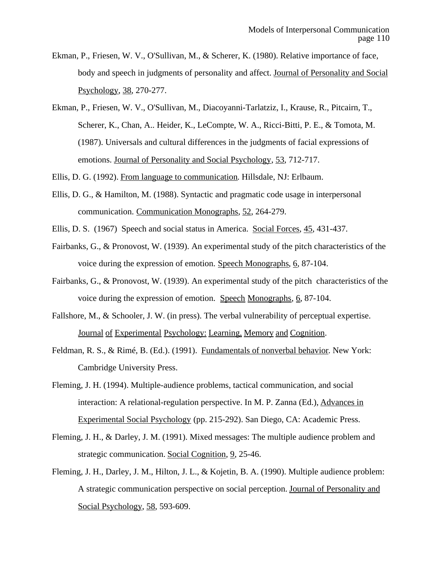- Ekman, P., Friesen, W. V., O'Sullivan, M., & Scherer, K. (1980). Relative importance of face, body and speech in judgments of personality and affect. Journal of Personality and Social Psychology, 38, 270-277.
- Ekman, P., Friesen, W. V., O'Sullivan, M., Diacoyanni-Tarlatziz, I., Krause, R., Pitcairn, T., Scherer, K., Chan, A.. Heider, K., LeCompte, W. A., Ricci-Bitti, P. E., & Tomota, M. (1987). Universals and cultural differences in the judgments of facial expressions of emotions. Journal of Personality and Social Psychology, 53, 712-717.
- Ellis, D. G. (1992). From language to communication . Hillsdale, NJ: Erlbaum.
- Ellis, D. G., & Hamilton, M. (1988). Syntactic and pragmatic code usage in interpersonal communication. Communication Monographs, 52, 264-279.
- Ellis, D. S. (1967) Speech and social status in America. Social Forces , 45 , 431-437.
- Fairbanks, G., & Pronovost, W. (1939). An experimental study of the pitch characteristics of the voice during the expression of emotion. Speech Monographs, 6, 87-104.
- Fairbanks, G., & Pronovost, W. (1939). An experimental study of the pitch characteristics of the voice during the expression of emotion. Speech Monographs, 6, 87-104.
- Fallshore, M., & Schooler, J. W. (in press). The verbal vulnerability of perceptual expertise. Journal of Experimental Psychology: Learning, Memory and Cognition.
- Feldman, R. S., & Rimé, B. (Ed.). (1991). Fundamentals of nonverbal behavior. New York: Cambridge University Press.
- Fleming, J. H. (1994). Multiple-audience problems, tactical communication, and social interaction: A relational-regulation perspective. In M. P. Zanna (Ed.), Advances in Experimental Social Psychology (pp. 215-292). San Diego, CA: Academic Press.
- Fleming, J. H., & Darley, J. M. (1991). Mixed messages: The multiple audience problem and strategic communication. Social Cognition, 9, 25-46.
- Fleming, J. H., Darley, J. M., Hilton, J. L., & Kojetin, B. A. (1990). Multiple audience problem: A strategic communication perspective on social perception. Journal of Personality and Social Psychology, 58, 593-609.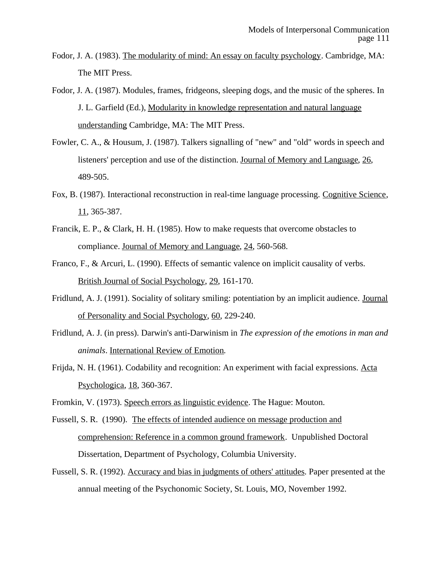- Fodor, J. A. (1983). The modularity of mind: An essay on faculty psychology. Cambridge, MA: The MIT Press.
- Fodor, J. A. (1987). Modules, frames, fridgeons, sleeping dogs, and the music of the spheres. In J. L. Garfield (Ed.), Modularity in knowledge representation and natural language understanding Cambridge, MA: The MIT Press.
- Fowler, C. A., & Housum, J. (1987). Talkers signalling of "new" and "old" words in speech and listeners' perception and use of the distinction. Journal of Memory and Language, 26, 489-505.
- Fox, B. (1987). Interactional reconstruction in real-time language processing. Cognitive Science , 11 , 365-387.
- Francik, E. P., & Clark, H. H. (1985). How to make requests that overcome obstacles to compliance. Journal of Memory and Language, 24, 560-568.
- Franco, F., & Arcuri, L. (1990). Effects of semantic valence on implicit causality of verbs. British Journal of Social Psychology, 29, 161-170.
- Fridlund, A. J. (1991). Sociality of solitary smiling: potentiation by an implicit audience. Journal of Personality and Social Psychology, 60, 229-240.
- Fridlund, A. J. (in press). Darwin's anti-Darwinism in *The expression of the emotions in man and animals*. International Review of Emotion.
- Frijda, N. H. (1961). Codability and recognition: An experiment with facial expressions. Acta Psychologica, 18, 360-367.
- Fromkin, V. (1973). Speech errors as linguistic evidence . The Hague: Mouton.
- Fussell, S. R. (1990). The effects of intended audience on message production and comprehension: Reference in a common ground framework. Unpublished Doctoral Dissertation, Department of Psychology, Columbia University.
- Fussell, S. R. (1992). Accuracy and bias in judgments of others' attitudes. Paper presented at the annual meeting of the Psychonomic Society, St. Louis, MO, November 1992.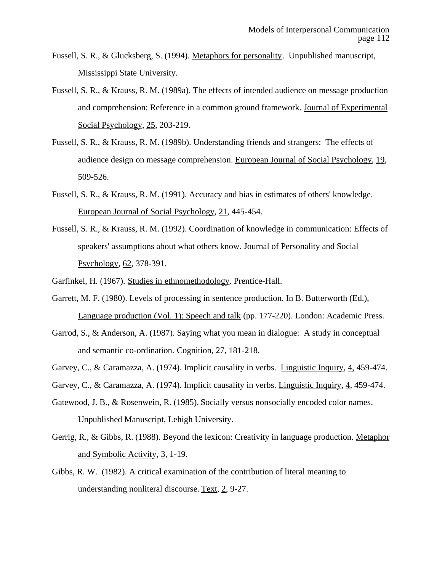- Fussell, S. R., & Glucksberg, S. (1994). Metaphors for personality. Unpublished manuscript, Mississippi State University.
- Fussell, S. R., & Krauss, R. M. (1989a). The effects of intended audience on message production and comprehension: Reference in a common ground framework. Journal of Experimental Social Psychology, 25, 203-219.
- Fussell, S. R., & Krauss, R. M. (1989b). Understanding friends and strangers: The effects of audience design on message comprehension. European Journal of Social Psychology , 19 , 509-526.
- Fussell, S. R., & Krauss, R. M. (1991). Accuracy and bias in estimates of others' knowledge. European Journal of Social Psychology, 21, 445-454.
- Fussell, S. R., & Krauss, R. M. (1992). Coordination of knowledge in communication: Effects of speakers' assumptions about what others know. Journal of Personality and Social Psychology, 62, 378-391.
- Garfinkel, H. (1967). Studies in ethnomethodology. Prentice-Hall.
- Garrett, M. F. (1980). Levels of processing in sentence production. In B. Butterworth (Ed.), Language production (Vol. 1): Speech and talk (pp. 177-220). London: Academic Press.
- Garrod, S., & Anderson, A. (1987). Saying what you mean in dialogue: A study in conceptual and semantic co-ordination. Cognition, 27, 181-218.
- Garvey, C., & Caramazza, A. (1974). Implicit causality in verbs. Linguistic Inquiry , 4,459-474.
- Garvey, C., & Caramazza, A. (1974). Implicit causality in verbs. Linguistic Inquiry, 4, 459-474.
- Gatewood, J. B., & Rosenwein, R. (1985). Socially versus nonsocially encoded color names. Unpublished Manuscript, Lehigh University.
- Gerrig, R., & Gibbs, R. (1988). Beyond the lexicon: Creativity in language production. Metaphor and Symbolic Activity, 3, 1-19.
- Gibbs, R. W. (1982). A critical examination of the contribution of literal meaning to understanding nonliteral discourse. Text, 2, 9-27.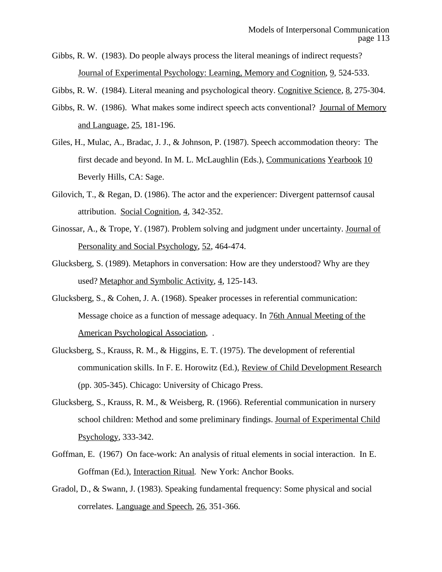Gibbs, R. W. (1983). Do people always process the literal meanings of indirect requests? Journal of Experimental Psychology: Learning, Memory and Cognition , 9 , 524-533.

Gibbs, R. W. (1984). Literal meaning and psychological theory. Cognitive Science, 8, 275-304.

- Gibbs, R. W. (1986). What makes some indirect speech acts conventional? Journal of Memory and Language, 25, 181-196.
- Giles, H., Mulac, A., Bradac, J. J., & Johnson, P. (1987). Speech accommodation theory: The first decade and beyond. In M. L. McLaughlin (Eds.), Communications Yearbook 10 Beverly Hills, CA: Sage.
- Gilovich, T., & Regan, D. (1986). The actor and the experiencer: Divergent patterns of causal attribution. Social Cognition, 4, 342-352.
- Ginossar, A., & Trope, Y. (1987). Problem solving and judgment under uncertainty. Journal of Personality and Social Psychology, 52, 464-474.
- Glucksberg, S. (1989). Metaphors in conversation: How are they understood? Why are they used? Metaphor and Symbolic Activity, 4, 125-143.
- Glucksberg, S., & Cohen, J. A. (1968). Speaker processes in referential communication: Message choice as a function of message adequacy. In 76th Annual Meeting of the American Psychological Association, .
- Glucksberg, S., Krauss, R. M., & Higgins, E. T. (1975). The development of referential communication skills. In F. E. Horowitz (Ed.), **Review of Child Development Research** (pp. 305-345). Chicago: University of Chicago Press.
- Glucksberg, S., Krauss, R. M., & Weisberg, R. (1966). Referential communication in nursery school children: Method and some preliminary findings. Journal of Experimental Child  $Psychology, 333-342.$
- Goffman, E. (1967) On face-work: An analysis of ritual elements in social interaction. In E. Goffman (Ed.), Interaction Ritual. New York: Anchor Books.
- Gradol, D., & Swann, J. (1983). Speaking fundamental frequency: Some physical and social correlates. Language and Speech, 26, 351-366.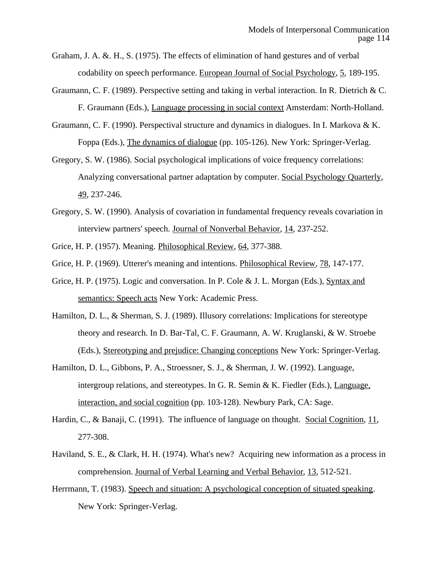- Graham, J. A. &. H., S. (1975). The effects of elimination of hand gestures and of verbal codability on speech performance. European Journal of Social Psychology , 5 , 189-195.
- Graumann, C. F. (1989). Perspective setting and taking in verbal interaction. In R. Dietrich & C. F. Graumann (Eds.), Language processing in social context Amsterdam: North-Holland.
- Graumann, C. F. (1990). Perspectival structure and dynamics in dialogues. In I. Markova & K. Foppa (Eds.), The dynamics of dialogue (pp. 105-126). New York: Springer-Verlag.
- Gregory, S. W. (1986). Social psychological implications of voice frequency correlations: Analyzing conversational partner adaptation by computer. Social Psychology Quarterly, 49, 237-246.
- Gregory, S. W. (1990). Analysis of covariation in fundamental frequency reveals covariation in interview partners' speech. Journal of Nonverbal Behavior, 14, 237-252.
- Grice, H. P. (1957). Meaning. Philosophical Review, 64, 377-388.
- Grice, H. P. (1969). Utterer's meaning and intentions. Philosophical Review, 78, 147-177.
- Grice, H. P. (1975). Logic and conversation. In P. Cole & J. L. Morgan (Eds.), Syntax and semantics: Speech acts New York: Academic Press.
- Hamilton, D. L., & Sherman, S. J. (1989). Illusory correlations: Implications for stereotype theory and research. In D. Bar-Tal, C. F. Graumann, A. W. Kruglanski, & W. Stroebe (Eds.), Stereotyping and prejudice: Changing conceptions New York: Springer-Verlag.
- Hamilton, D. L., Gibbons, P. A., Stroessner, S. J., & Sherman, J. W. (1992). Language, intergroup relations, and stereotypes. In G. R. Semin & K. Fiedler (Eds.), Language, interaction, and social cognition (pp. 103-128). Newbury Park, CA: Sage.
- Hardin, C., & Banaji, C. (1991). The influence of language on thought. Social Cognition, 11, 277-308.
- Haviland, S. E., & Clark, H. H. (1974). What's new? Acquiring new information as a process in comprehension. Journal of Verbal Learning and Verbal Behavior, 13, 512-521.
- Herrmann, T. (1983). Speech and situation: A psychological conception of situated speaking. New York: Springer-Verlag.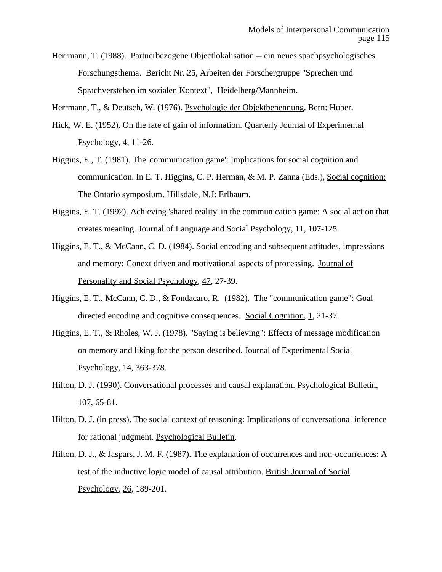Herrmann, T. (1988). Partnerbezogene Objectlokalisation -- ein neues spachpsychologisches Forschungsthema . Bericht Nr. 25, Arbeiten der Forschergruppe "Sprechen und Sprachverstehen im sozialen Kontext", Heidelberg/Mannheim.

Herrmann, T., & Deutsch, W. (1976). Psychologie der Objektbenennung. Bern: Huber.

- Hick, W. E. (1952). On the rate of gain of information. Quarterly Journal of Experimental Psychology,  $4$ , 11-26.
- Higgins, E., T. (1981). The 'communication game': Implications for social cognition and communication. In E. T. Higgins, C. P. Herman, & M. P. Zanna (Eds.), Social cognition: The Ontario symposium. Hillsdale, N.J: Erlbaum.
- Higgins, E. T. (1992). Achieving 'shared reality' in the communication game: A social action that creates meaning. Journal of Language and Social Psychology , 11 , 107-125.
- Higgins, E. T., & McCann, C. D. (1984). Social encoding and subsequent attitudes, impressions and memory: Conext driven and motivational aspects of processing. Journal of Personality and Social Psychology, 47, 27-39.
- Higgins, E. T., McCann, C. D., & Fondacaro, R. (1982). The "communication game": Goal directed encoding and cognitive consequences. Social Cognition, 1, 21-37.
- Higgins, E. T., & Rholes, W. J. (1978). "Saying is believing": Effects of message modification on memory and liking for the person described. Journal of Experimental Social Psychology,  $14, 363-378$ .
- Hilton, D. J. (1990). Conversational processes and causal explanation. Psychological Bulletin, 107 , 65-81.
- Hilton, D. J. (in press). The social context of reasoning: Implications of conversational inference for rational judgment. Psychological Bulletin.
- Hilton, D. J., & Jaspars, J. M. F. (1987). The explanation of occurrences and non-occurrences: A test of the inductive logic model of causal attribution. British Journal of Social Psychology, 26, 189-201.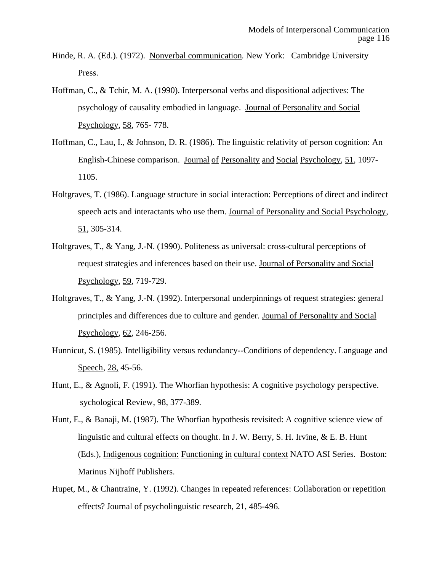- Hinde, R. A. (Ed.). (1972). Nonverbal communication. New York: Cambridge University Press.
- Hoffman, C., & Tchir, M. A. (1990). Interpersonal verbs and dispositional adjectives: The psychology of causality embodied in language. Journal of Personality and Social Psychology, 58, 765-778.
- Hoffman, C., Lau, I., & Johnson, D. R. (1986). The linguistic relativity of person cognition: An English-Chinese comparison. Journal of Personality and Social Psychology , 51 , 1097- 1105.
- Holtgraves, T. (1986). Language structure in social interaction: Perceptions of direct and indirect speech acts and interactants who use them. Journal of Personality and Social Psychology ,  $51, 305-314.$
- Holtgraves, T., & Yang, J.-N. (1990). Politeness as universal: cross-cultural perceptions of request strategies and inferences based on their use. Journal of Personality and Social Psychology, 59, 719-729.
- Holtgraves, T., & Yang, J.-N. (1992). Interpersonal underpinnings of request strategies: general principles and differences due to culture and gender. Journal of Personality and Social Psychology, 62, 246-256.
- Hunnicut, S. (1985). Intelligibility versus redundancy--Conditions of dependency. Language and Speech, 28, 45-56.
- Hunt, E., & Agnoli, F. (1991). The Whorfian hypothesis: A cognitive psychology perspective. sychological Review, 98, 377-389.
- Hunt, E., & Banaji, M. (1987). The Whorfian hypothesis revisited: A cognitive science view of linguistic and cultural effects on thought. In J. W. Berry, S. H. Irvine, & E. B. Hunt (Eds.), Indigenous cognition: Functioning in cultural context NATO ASI Series. Boston: Marinus Nijhoff Publishers.
- Hupet, M., & Chantraine, Y. (1992). Changes in repeated references: Collaboration or repetition effects? Journal of psycholinguistic research, 21, 485-496.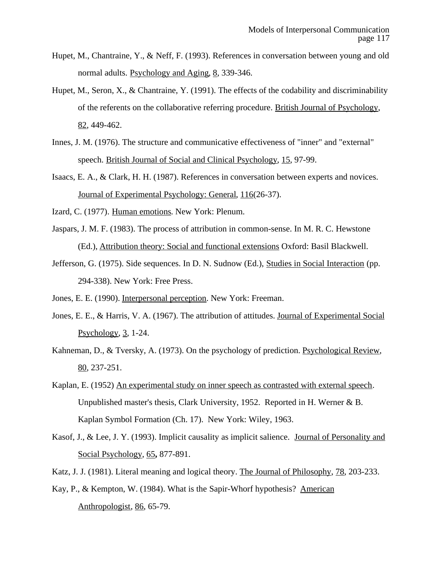- Hupet, M., Chantraine, Y., & Neff, F. (1993). References in conversation between young and old normal adults. Psychology and Aging, 8, 339-346.
- Hupet, M., Seron, X., & Chantraine, Y. (1991). The effects of the codability and discriminability of the referents on the collaborative referring procedure. British Journal of Psychology ,  $82,449-462.$
- Innes, J. M. (1976). The structure and communicative effectiveness of "inner" and "external" speech. British Journal of Social and Clinical Psychology, 15, 97-99.
- Isaacs, E. A., & Clark, H. H. (1987). References in conversation between experts and novices. Journal of Experimental Psychology: General, 116(26-37).
- Izard, C. (1977). Human emotions . New York: Plenum.
- Jaspars, J. M. F. (1983). The process of attribution in common-sense. In M. R. C. Hewstone (Ed.), Attribution theory: Social and functional extensions Oxford: Basil Blackwell.
- Jefferson, G. (1975). Side sequences. In D. N. Sudnow (Ed.), Studies in Social Interaction (pp. 294-338). New York: Free Press.
- Jones, E. E. (1990). Interpersonal perception. New York: Freeman.
- Jones, E. E., & Harris, V. A. (1967). The attribution of attitudes. Journal of Experimental Social Psychology,  $3, 1-24$ .
- Kahneman, D., & Tversky, A. (1973). On the psychology of prediction. Psychological Review, 80 , 237-251.
- Kaplan, E. (1952) An experimental study on inner speech as contrasted with external speech. Unpublished master's thesis, Clark University, 1952. Reported in H. Werner & B. Kaplan Symbol Formation (Ch. 17). New York: Wiley, 1963.
- Kasof, J., & Lee, J. Y. (1993). Implicit causality as implicit salience. Journal of Personality and Social Psychology , 65 **,** 877-891.
- Katz, J. J. (1981). Literal meaning and logical theory. The Journal of Philosophy, 78, 203-233.
- Kay, P., & Kempton, W. (1984). What is the Sapir-Whorf hypothesis? American Anthropologist, 86, 65-79.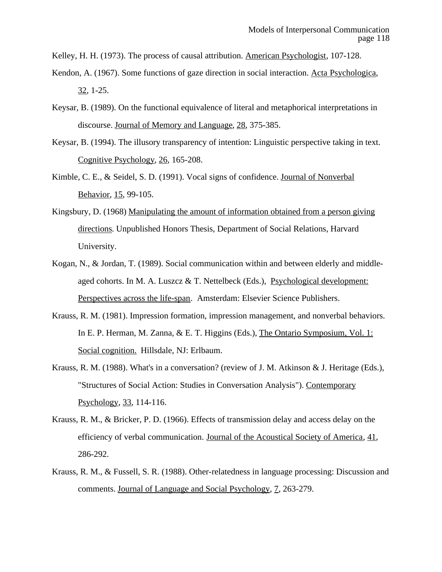Kelley, H. H. (1973). The process of causal attribution. American Psychologist, 107-128.

- Kendon, A. (1967). Some functions of gaze direction in social interaction. Acta Psychologica, 32, 1-25.
- Keysar, B. (1989). On the functional equivalence of literal and metaphorical interpretations in discourse. Journal of Memory and Language, 28, 375-385.
- Keysar, B. (1994). The illusory transparency of intention: Linguistic perspective taking in text. Cognitive Psychology, 26, 165-208.
- Kimble, C. E., & Seidel, S. D. (1991). Vocal signs of confidence. Journal of Nonverbal Behavior, 15, 99-105.
- Kingsbury, D. (1968) Manipulating the amount of information obtained from a person giving directions. Unpublished Honors Thesis, Department of Social Relations, Harvard University.
- Kogan, N., & Jordan, T. (1989). Social communication within and between elderly and middleaged cohorts. In M. A. Luszcz & T. Nettelbeck (Eds.), Psychological development: Perspectives across the life-span. Amsterdam: Elsevier Science Publishers.
- Krauss, R. M. (1981). Impression formation, impression management, and nonverbal behaviors. In E. P. Herman, M. Zanna, & E. T. Higgins (Eds.), The Ontario Symposium, Vol. 1: Social cognition. Hillsdale, NJ: Erlbaum.
- Krauss, R. M. (1988). What's in a conversation? (review of J. M. Atkinson & J. Heritage (Eds.), "Structures of Social Action: Studies in Conversation Analysis"). Contemporary Psychology, 33, 114-116.
- Krauss, R. M., & Bricker, P. D. (1966). Effects of transmission delay and access delay on the efficiency of verbal communication. Journal of the Acoustical Society of America, 41, 286-292.
- Krauss, R. M., & Fussell, S. R. (1988). Other-relatedness in language processing: Discussion and comments. Journal of Language and Social Psychology, 7, 263-279.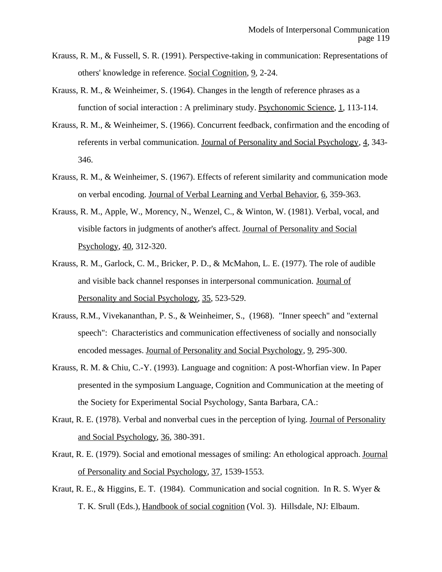- Krauss, R. M., & Fussell, S. R. (1991). Perspective-taking in communication: Representations of others' knowledge in reference. Social Cognition, 9, 2-24.
- Krauss, R. M., & Weinheimer, S. (1964). Changes in the length of reference phrases as a function of social interaction : A preliminary study. Psychonomic Science, 1, 113-114.
- Krauss, R. M., & Weinheimer, S. (1966). Concurrent feedback, confirmation and the encoding of referents in verbal communication. Journal of Personality and Social Psychology, 4, 343-346.
- Krauss, R. M., & Weinheimer, S. (1967). Effects of referent similarity and communication mode on verbal encoding. Journal of Verbal Learning and Verbal Behavior, 6, 359-363.
- Krauss, R. M., Apple, W., Morency, N., Wenzel, C., & Winton, W. (1981). Verbal, vocal, and visible factors in judgments of another's affect. Journal of Personality and Social Psychology,  $40$ , 312-320.
- Krauss, R. M., Garlock, C. M., Bricker, P. D., & McMahon, L. E. (1977). The role of audible and visible back channel responses in interpersonal communication. Journal of Personality and Social Psychology, 35, 523-529.
- Krauss, R.M., Vivekananthan, P. S., & Weinheimer, S., (1968). "Inner speech" and "external speech": Characteristics and communication effectiveness of socially and nonsocially encoded messages. Journal of Personality and Social Psychology, 9, 295-300.
- Krauss, R. M. & Chiu, C.-Y. (1993). Language and cognition: A post-Whorfian view. In Paper presented in the symposium Language, Cognition and Communication at the meeting of the Society for Experimental Social Psychology, Santa Barbara, CA.:
- Kraut, R. E. (1978). Verbal and nonverbal cues in the perception of lying. Journal of Personality and Social Psychology, 36, 380-391.
- Kraut, R. E. (1979). Social and emotional messages of smiling: An ethological approach. Journal of Personality and Social Psychology, 37, 1539-1553.
- Kraut, R. E., & Higgins, E. T. (1984). Communication and social cognition. In R. S. Wyer & T. K. Srull (Eds.), Handbook of social cognition (Vol. 3). Hillsdale, NJ: Elbaum.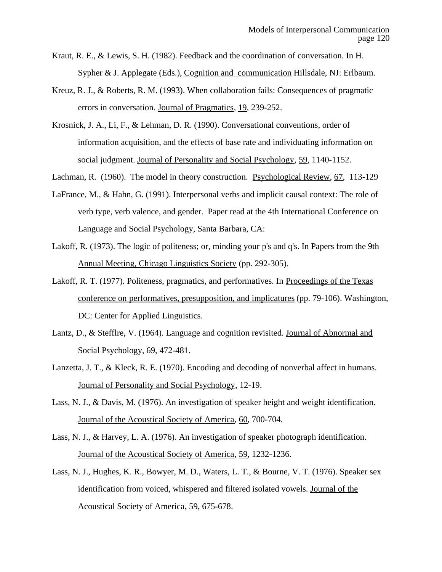- Kraut, R. E., & Lewis, S. H. (1982). Feedback and the coordination of conversation. In H. Sypher & J. Applegate (Eds.), Cognition and communication Hillsdale, NJ: Erlbaum.
- Kreuz, R. J., & Roberts, R. M. (1993). When collaboration fails: Consequences of pragmatic errors in conversation. Journal of Pragmatics, 19, 239-252.
- Krosnick, J. A., Li, F., & Lehman, D. R. (1990). Conversational conventions, order of information acquisition, and the effects of base rate and individuating information on social judgment. Journal of Personality and Social Psychology, 59, 1140-1152.
- Lachman, R. (1960). The model in theory construction. Psychological Review, 67, 113-129
- LaFrance, M., & Hahn, G. (1991). Interpersonal verbs and implicit causal context: The role of verb type, verb valence, and gender. Paper read at the 4th International Conference on Language and Social Psychology, Santa Barbara, CA:
- Lakoff, R. (1973). The logic of politeness; or, minding your p's and q's. In Papers from the 9th Annual Meeting, Chicago Linguistics Society (pp. 292-305).
- Lakoff, R. T. (1977). Politeness, pragmatics, and performatives. In Proceedings of the Texas conference on performatives, presupposition, and implicatures (pp. 79-106). Washington, DC: Center for Applied Linguistics.
- Lantz, D., & Stefflre, V. (1964). Language and cognition revisited. Journal of Abnormal and Social Psychology, 69, 472-481.
- Lanzetta, J. T., & Kleck, R. E. (1970). Encoding and decoding of nonverbal affect in humans. Journal of Personality and Social Psychology, 12-19.
- Lass, N. J., & Davis, M. (1976). An investigation of speaker height and weight identification. Journal of the Acoustical Society of America, 60, 700-704.
- Lass, N. J., & Harvey, L. A. (1976). An investigation of speaker photograph identification. Journal of the Acoustical Society of America, 59, 1232-1236.
- Lass, N. J., Hughes, K. R., Bowyer, M. D., Waters, L. T., & Bourne, V. T. (1976). Speaker sex identification from voiced, whispered and filtered isolated vowels. Journal of the Acoustical Society of America, 59, 675-678.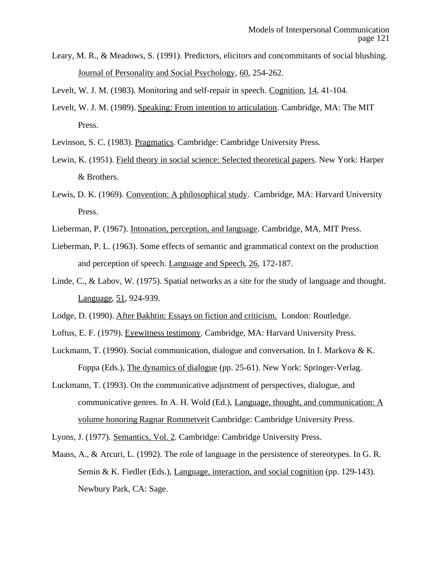- Leary, M. R., & Meadows, S. (1991). Predictors, elicitors and concommitants of social blushing. Journal of Personality and Social Psychology, 60, 254-262.
- Levelt, W. J. M. (1983). Monitoring and self-repair in speech. Cognition, 14, 41-104.
- Levelt, W. J. M. (1989). Speaking: From intention to articulation . Cambridge, MA: The MIT Press.
- Levinson, S. C. (1983). Pragmatics. Cambridge: Cambridge University Press.
- Lewin, K. (1951). Field theory in social science: Selected theoretical papers . New York: Harper & Brothers.
- Lewis, D. K. (1969). Convention: A philosophical study. Cambridge, MA: Harvard University Press.
- Lieberman, P. (1967). Intonation, perception, and language . Cambridge, MA, MIT Press.
- Lieberman, P. L. (1963). Some effects of semantic and grammatical context on the production and perception of speech. Language and Speech, 26, 172-187.
- Linde, C., & Labov, W. (1975). Spatial networks as a site for the study of language and thought. Language, 51, 924-939.
- Lodge, D. (1990). After Bakhtin: Essays on fiction and criticism. London: Routledge.
- Loftus, E. F. (1979). Eyewitness testimony . Cambridge, MA: Harvard University Press.
- Luckmann, T. (1990). Social communication, dialogue and conversation. In I. Markova & K. Foppa (Eds.), The dynamics of dialogue (pp. 25-61). New York: Springer-Verlag.
- Luckmann, T. (1993). On the communicative adjustment of perspectives, dialogue, and communicative genres. In A. H. Wold (Ed.), Language, thought, and communication: A volume honoring Ragnar Rommetveit Cambridge: Cambridge University Press.
- Lyons, J. (1977). Semantics, Vol. 2. Cambridge: Cambridge University Press.
- Maass, A., & Arcuri, L. (1992). The role of language in the persistence of stereotypes. In G. R. Semin & K. Fiedler (Eds.), Language, interaction, and social cognition (pp. 129-143). Newbury Park, CA: Sage.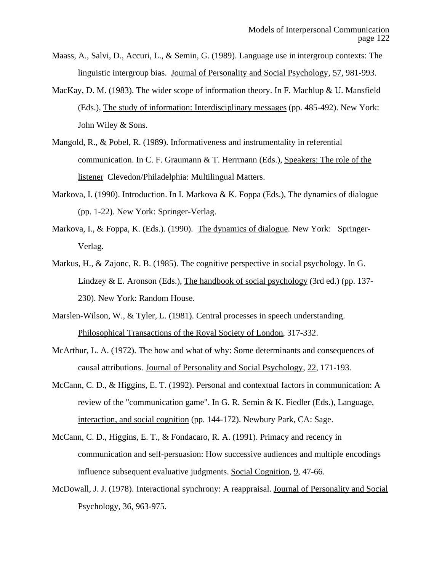- Maass, A., Salvi, D., Accuri, L., & Semin, G. (1989). Language use in intergroup contexts: The linguistic intergroup bias. Journal of Personality and Social Psychology , 57 , 981-993.
- MacKay, D. M. (1983). The wider scope of information theory. In F. Machlup & U. Mansfield (Eds.), The study of information: Interdisciplinary messages (pp. 485-492). New York: John Wiley & Sons.
- Mangold, R., & Pobel, R. (1989). Informativeness and instrumentality in referential communication. In C. F. Graumann & T. Herrmann (Eds.), Speakers: The role of the listener Clevedon/Philadelphia: Multilingual Matters.
- Markova, I. (1990). Introduction. In I. Markova & K. Foppa (Eds.), The dynamics of dialogue (pp. 1-22). New York: Springer-Verlag.
- Markova, I., & Foppa, K. (Eds.). (1990). The dynamics of dialogue. New York: Springer-Verlag.
- Markus, H., & Zajonc, R. B. (1985). The cognitive perspective in social psychology. In G. Lindzey & E. Aronson (Eds.), The handbook of social psychology (3rd ed.) (pp. 137- 230). New York: Random House.
- Marslen-Wilson, W., & Tyler, L. (1981). Central processes in speech understanding. Philosophical Transactions of the Royal Society of London, 317-332.
- McArthur, L. A. (1972). The how and what of why: Some determinants and consequences of causal attributions. Journal of Personality and Social Psychology , 22 , 171-193.
- McCann, C. D., & Higgins, E. T. (1992). Personal and contextual factors in communication: A review of the "communication game". In G. R. Semin & K. Fiedler (Eds.), Language, interaction, and social cognition (pp. 144-172). Newbury Park, CA: Sage.
- McCann, C. D., Higgins, E. T., & Fondacaro, R. A. (1991). Primacy and recency in communication and self-persuasion: How successive audiences and multiple encodings influence subsequent evaluative judgments. Social Cognition, 9, 47-66.
- McDowall, J. J. (1978). Interactional synchrony: A reappraisal. Journal of Personality and Social Psychology, 36, 963-975.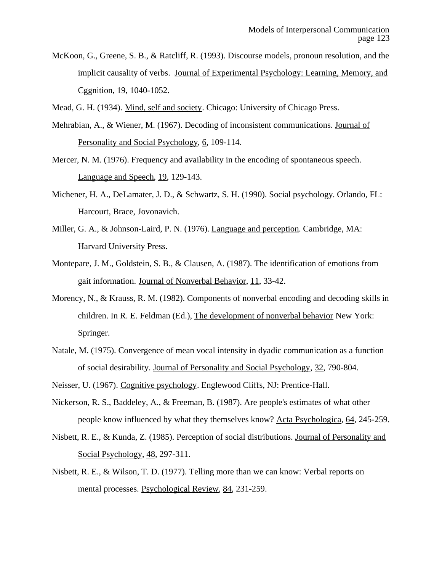- McKoon, G., Greene, S. B., & Ratcliff, R. (1993). Discourse models, pronoun resolution, and the implicit causality of verbs. Journal of Experimental Psychology: Learning, Memory, and Cggnition, 19, 1040-1052.
- Mead, G. H. (1934). Mind, self and society . Chicago: University of Chicago Press.
- Mehrabian, A., & Wiener, M. (1967). Decoding of inconsistent communications. Journal of Personality and Social Psychology, 6, 109-114.
- Mercer, N. M. (1976). Frequency and availability in the encoding of spontaneous speech. Language and Speech, 19, 129-143.
- Michener, H. A., DeLamater, J. D., & Schwartz, S. H. (1990). Social psychology. Orlando, FL: Harcourt, Brace, Jovonavich.
- Miller, G. A., & Johnson-Laird, P. N. (1976). Language and perception . Cambridge, MA: Harvard University Press.
- Montepare, J. M., Goldstein, S. B., & Clausen, A. (1987). The identification of emotions from gait information. Journal of Nonverbal Behavior, 11, 33-42.
- Morency, N., & Krauss, R. M. (1982). Components of nonverbal encoding and decoding skills in children. In R. E. Feldman (Ed.), The development of nonverbal behavior New York: Springer.
- Natale, M. (1975). Convergence of mean vocal intensity in dyadic communication as a function of social desirability. Journal of Personality and Social Psychology , 32 , 790-804.
- Neisser, U. (1967). Cognitive psychology . Englewood Cliffs, NJ: Prentice-Hall.
- Nickerson, R. S., Baddeley, A., & Freeman, B. (1987). Are people's estimates of what other people know influenced by what they themselves know? Acta Psychologica, 64, 245-259.
- Nisbett, R. E., & Kunda, Z. (1985). Perception of social distributions. Journal of Personality and Social Psychology, 48, 297-311.
- Nisbett, R. E., & Wilson, T. D. (1977). Telling more than we can know: Verbal reports on mental processes. Psychological Review, 84, 231-259.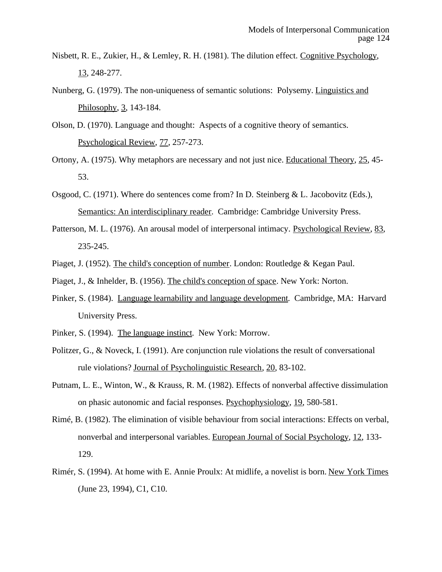- Nisbett, R. E., Zukier, H., & Lemley, R. H. (1981). The dilution effect. Cognitive Psychology, 13 , 248-277.
- Nunberg, G. (1979). The non-uniqueness of semantic solutions: Polysemy. Linguistics and Philosophy, 3, 143-184.
- Olson, D. (1970). Language and thought: Aspects of a cognitive theory of semantics. Psychological Review, 77, 257-273.
- Ortony, A. (1975). Why metaphors are necessary and not just nice. Educational Theory, 25, 45-53.
- Osgood, C. (1971). Where do sentences come from? In D. Steinberg & L. Jacobovitz (Eds.), Semantics: An interdisciplinary reader . Cambridge: Cambridge University Press.
- Patterson, M. L. (1976). An arousal model of interpersonal intimacy. Psychological Review, 83, 235-245.
- Piaget, J. (1952). The child's conception of number. London: Routledge & Kegan Paul.
- Piaget, J., & Inhelder, B. (1956). The child's conception of space. New York: Norton.
- Pinker, S. (1984). Language learnability and language development. Cambridge, MA: Harvard University Press.
- Pinker, S. (1994). The language instinct. New York: Morrow.
- Politzer, G., & Noveck, I. (1991). Are conjunction rule violations the result of conversational rule violations? Journal of Psycholinguistic Research, 20, 83-102.
- Putnam, L. E., Winton, W., & Krauss, R. M. (1982). Effects of nonverbal affective dissimulation on phasic autonomic and facial responses. Psychophysiology, 19, 580-581.
- Rimé, B. (1982). The elimination of visible behaviour from social interactions: Effects on verbal, nonverbal and interpersonal variables. European Journal of Social Psychology, 12, 133-129.
- Rimér, S. (1994). At home with E. Annie Proulx: At midlife, a novelist is born. New York Times (June 23, 1994), C1, C10.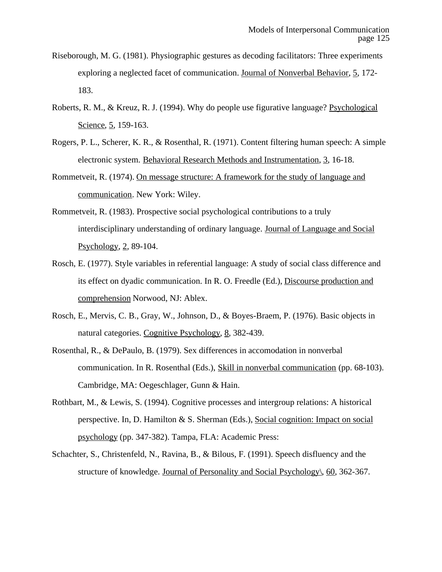- Riseborough, M. G. (1981). Physiographic gestures as decoding facilitators: Three experiments exploring a neglected facet of communication. Journal of Nonverbal Behavior , 5 , 172- 183.
- Roberts, R. M., & Kreuz, R. J. (1994). Why do people use figurative language? Psychological Science, 5, 159-163.
- Rogers, P. L., Scherer, K. R., & Rosenthal, R. (1971). Content filtering human speech: A simple electronic system. Behavioral Research Methods and Instrumentation, 3, 16-18.
- Rommetveit, R. (1974). On message structure: A framework for the study of language and communication . New York: Wiley.
- Rommetveit, R. (1983). Prospective social psychological contributions to a truly interdisciplinary understanding of ordinary language. Journal of Language and Social Psychology,  $2$ , 89-104.
- Rosch, E. (1977). Style variables in referential language: A study of social class difference and its effect on dyadic communication. In R. O. Freedle (Ed.), Discourse production and comprehension Norwood, NJ: Ablex.
- Rosch, E., Mervis, C. B., Gray, W., Johnson, D., & Boyes-Braem, P. (1976). Basic objects in natural categories. Cognitive Psychology, 8, 382-439.
- Rosenthal, R., & DePaulo, B. (1979). Sex differences in accomodation in nonverbal communication. In R. Rosenthal (Eds.), Skill in nonverbal communication (pp. 68-103). Cambridge, MA: Oegeschlager, Gunn & Hain.
- Rothbart, M., & Lewis, S. (1994). Cognitive processes and intergroup relations: A historical perspective. In, D. Hamilton & S. Sherman (Eds.), Social cognition: Impact on social psychology (pp. 347-382). Tampa, FLA: Academic Press:
- Schachter, S., Christenfeld, N., Ravina, B., & Bilous, F. (1991). Speech disfluency and the structure of knowledge. Journal of Personality and Social Psychology\, 60, 362-367.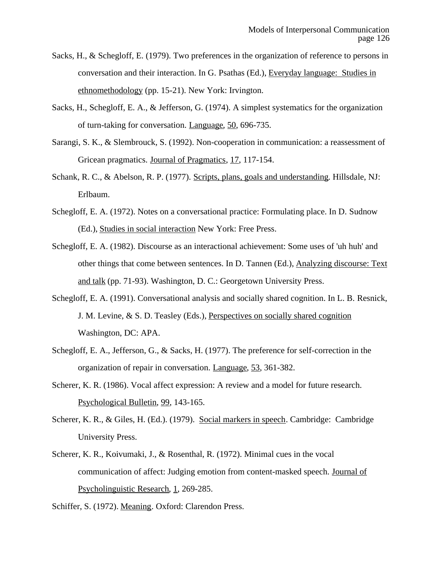- Sacks, H., & Schegloff, E. (1979). Two preferences in the organization of reference to persons in conversation and their interaction. In G. Psathas (Ed.), Everyday language: Studies in ethnomethodology (pp. 15-21). New York: Irvington.
- Sacks, H., Schegloff, E. A., & Jefferson, G. (1974). A simplest systematics for the organization of turn-taking for conversation. Language, 50, 696-735.
- Sarangi, S. K., & Slembrouck, S. (1992). Non-cooperation in communication: a reassessment of Gricean pragmatics. Journal of Pragmatics, 17, 117-154.
- Schank, R. C., & Abelson, R. P. (1977). Scripts, plans, goals and understanding. Hillsdale, NJ: Erlbaum.
- Schegloff, E. A. (1972). Notes on a conversational practice: Formulating place. In D. Sudnow (Ed.), Studies in social interaction New York: Free Press.
- Schegloff, E. A. (1982). Discourse as an interactional achievement: Some uses of 'uh huh' and other things that come between sentences. In D. Tannen (Ed.), Analyzing discourse: Text and talk (pp. 71-93). Washington, D. C.: Georgetown University Press.
- Schegloff, E. A. (1991). Conversational analysis and socially shared cognition. In L. B. Resnick, J. M. Levine, & S. D. Teasley (Eds.), Perspectives on socially shared cognition Washington, DC: APA.
- Schegloff, E. A., Jefferson, G., & Sacks, H. (1977). The preference for self-correction in the organization of repair in conversation. Language, 53, 361-382.
- Scherer, K. R. (1986). Vocal affect expression: A review and a model for future research. Psychological Bulletin, 99, 143-165.
- Scherer, K. R., & Giles, H. (Ed.). (1979). Social markers in speech. Cambridge: Cambridge University Press.
- Scherer, K. R., Koivumaki, J., & Rosenthal, R. (1972). Minimal cues in the vocal communication of affect: Judging emotion from content-masked speech. Journal of Psycholinguistic Research, 1, 269-285.

Schiffer, S. (1972). Meaning. Oxford: Clarendon Press.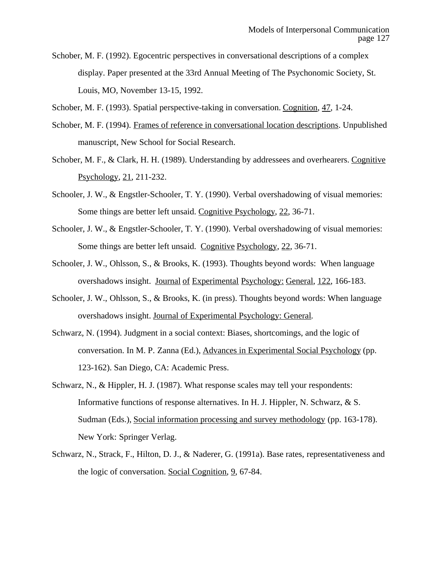- Schober, M. F. (1992). Egocentric perspectives in conversational descriptions of a complex display. Paper presented at the 33rd Annual Meeting of The Psychonomic Society, St. Louis, MO, November 13-15, 1992.
- Schober, M. F. (1993). Spatial perspective-taking in conversation. Cognition, 47, 1-24.
- Schober, M. F. (1994). Frames of reference in conversational location descriptions . Unpublished manuscript, New School for Social Research.
- Schober, M. F., & Clark, H. H. (1989). Understanding by addressees and overhearers. Cognitive Psychology, 21, 211-232.
- Schooler, J. W., & Engstler-Schooler, T. Y. (1990). Verbal overshadowing of visual memories: Some things are better left unsaid. Cognitive Psychology, 22, 36-71.
- Schooler, J. W., & Engstler-Schooler, T. Y. (1990). Verbal overshadowing of visual memories: Some things are better left unsaid. Cognitive Psychology, 22, 36-71.
- Schooler, J. W., Ohlsson, S., & Brooks, K. (1993). Thoughts beyond words: When language overshadows insight. Journal of Experimental Psychology: General, 122, 166-183.
- Schooler, J. W., Ohlsson, S., & Brooks, K. (in press). Thoughts beyond words: When language overshadows insight. Journal of Experimental Psychology: General .
- Schwarz, N. (1994). Judgment in a social context: Biases, shortcomings, and the logic of conversation. In M. P. Zanna (Ed.), Advances in Experimental Social Psychology (pp. 123-162). San Diego, CA: Academic Press.
- Schwarz, N., & Hippler, H. J. (1987). What response scales may tell your respondents: Informative functions of response alternatives. In H. J. Hippler, N. Schwarz, & S. Sudman (Eds.), Social information processing and survey methodology (pp. 163-178). New York: Springer Verlag.
- Schwarz, N., Strack, F., Hilton, D. J., & Naderer, G. (1991a). Base rates, representativeness and the logic of conversation. Social Cognition,  $9, 67-84$ .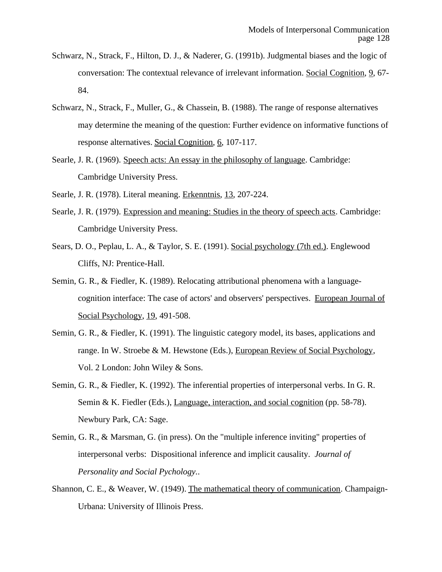- Schwarz, N., Strack, F., Hilton, D. J., & Naderer, G. (1991b). Judgmental biases and the logic of conversation: The contextual relevance of irrelevant information. Social Cognition, 9, 67-84.
- Schwarz, N., Strack, F., Muller, G., & Chassein, B. (1988). The range of response alternatives may determine the meaning of the question: Further evidence on informative functions of response alternatives. Social Cognition, 6, 107-117.
- Searle, J. R. (1969). Speech acts: An essay in the philosophy of language. Cambridge: Cambridge University Press.
- Searle, J. R. (1978). Literal meaning. Erkenntnis, 13, 207-224.
- Searle, J. R. (1979). Expression and meaning: Studies in the theory of speech acts . Cambridge: Cambridge University Press.
- Sears, D. O., Peplau, L. A., & Taylor, S. E. (1991). Social psychology (7th ed.). Englewood Cliffs, NJ: Prentice-Hall.
- Semin, G. R., & Fiedler, K. (1989). Relocating attributional phenomena with a languagecognition interface: The case of actors' and observers' perspectives. European Journal of Social Psychology, 19, 491-508.
- Semin, G. R., & Fiedler, K. (1991). The linguistic category model, its bases, applications and range. In W. Stroebe & M. Hewstone (Eds.), European Review of Social Psychology, Vol. 2 London: John Wiley & Sons.
- Semin, G. R., & Fiedler, K. (1992). The inferential properties of interpersonal verbs. In G. R. Semin & K. Fiedler (Eds.), Language, interaction, and social cognition (pp. 58-78). Newbury Park, CA: Sage.
- Semin, G. R., & Marsman, G. (in press). On the "multiple inference inviting" properties of interpersonal verbs: Dispositional inference and implicit causality. *Journal of Personality and Social Pychology.*.
- Shannon, C. E., & Weaver, W. (1949). The mathematical theory of communication . Champaign-Urbana: University of Illinois Press.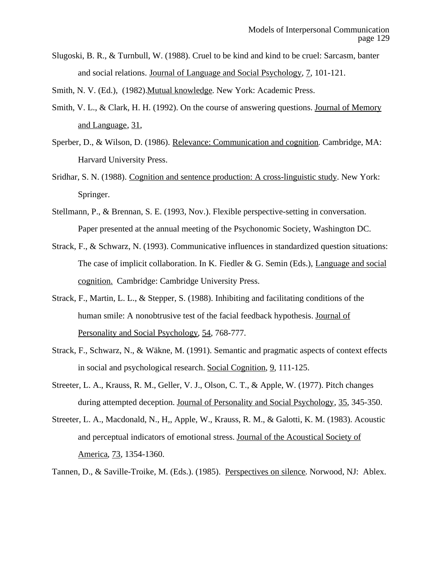- Slugoski, B. R., & Turnbull, W. (1988). Cruel to be kind and kind to be cruel: Sarcasm, banter and social relations. Journal of Language and Social Psychology, 7, 101-121.
- Smith, N. V. (Ed.), (1982). Mutual knowledge. New York: Academic Press.
- Smith, V. L., & Clark, H. H. (1992). On the course of answering questions. Journal of Memory and Language, 31,
- Sperber, D., & Wilson, D. (1986). Relevance: Communication and cognition . Cambridge, MA: Harvard University Press.
- Sridhar, S. N. (1988). Cognition and sentence production: A cross-linguistic study . New York: Springer.
- Stellmann, P., & Brennan, S. E. (1993, Nov.). Flexible perspective-setting in conversation. Paper presented at the annual meeting of the Psychonomic Society, Washington DC.
- Strack, F., & Schwarz, N. (1993). Communicative influences in standardized question situations: The case of implicit collaboration. In K. Fiedler & G. Semin (Eds.), Language and social cognition. Cambridge: Cambridge University Press.
- Strack, F., Martin, L. L., & Stepper, S. (1988). Inhibiting and facilitating conditions of the human smile: A nonobtrusive test of the facial feedback hypothesis. Journal of Personality and Social Psychology, 54, 768-777.
- Strack, F., Schwarz, N., & Wäkne, M. (1991). Semantic and pragmatic aspects of context effects in social and psychological research. Social Cognition, 9, 111-125.
- Streeter, L. A., Krauss, R. M., Geller, V. J., Olson, C. T., & Apple, W. (1977). Pitch changes during attempted deception. Journal of Personality and Social Psychology, 35, 345-350.
- Streeter, L. A., Macdonald, N., H,, Apple, W., Krauss, R. M., & Galotti, K. M. (1983). Acoustic and perceptual indicators of emotional stress. Journal of the Acoustical Society of America, 73, 1354-1360.
- Tannen, D., & Saville-Troike, M. (Eds.). (1985). Perspectives on silence. Norwood, NJ: Ablex.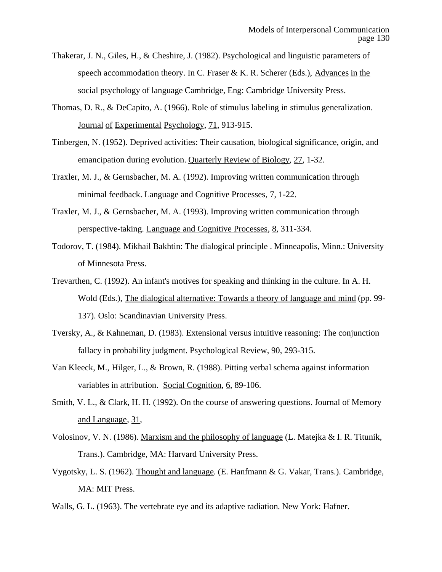- Thakerar, J. N., Giles, H., & Cheshire, J. (1982). Psychological and linguistic parameters of speech accommodation theory. In C. Fraser & K. R. Scherer (Eds.), Advances in the social psychology of language Cambridge, Eng: Cambridge University Press.
- Thomas, D. R., & DeCapito, A. (1966). Role of stimulus labeling in stimulus generalization. Journal of Experimental Psychology, 71, 913-915.
- Tinbergen, N. (1952). Deprived activities: Their causation, biological significance, origin, and emancipation during evolution. Quarterly Review of Biology, 27, 1-32.
- Traxler, M. J., & Gernsbacher, M. A. (1992). Improving written communication through minimal feedback. Language and Cognitive Processes, 7, 1-22.
- Traxler, M. J., & Gernsbacher, M. A. (1993). Improving written communication through perspective-taking. Language and Cognitive Processes , 8 , 311-334.
- Todorov, T. (1984). Mikhail Bakhtin: The dialogical principle . Minneapolis, Minn.: University of Minnesota Press.
- Trevarthen, C. (1992). An infant's motives for speaking and thinking in the culture. In A. H. Wold (Eds.), The dialogical alternative: Towards a theory of language and mind (pp. 99- 137). Oslo: Scandinavian University Press.
- Tversky, A., & Kahneman, D. (1983). Extensional versus intuitive reasoning: The conjunction fallacy in probability judgment. Psychological Review, 90, 293-315.
- Van Kleeck, M., Hilger, L., & Brown, R. (1988). Pitting verbal schema against information variables in attribution. Social Cognition, 6, 89-106.
- Smith, V. L., & Clark, H. H. (1992). On the course of answering questions. Journal of Memory and Language, 31,
- Volosinov, V. N. (1986). Marxism and the philosophy of language (L. Matejka & I. R. Titunik, Trans.). Cambridge, MA: Harvard University Press.
- Vygotsky, L. S. (1962). Thought and language . (E. Hanfmann & G. Vakar, Trans.). Cambridge, MA: MIT Press.
- Walls, G. L. (1963). The vertebrate eye and its adaptive radiation. New York: Hafner.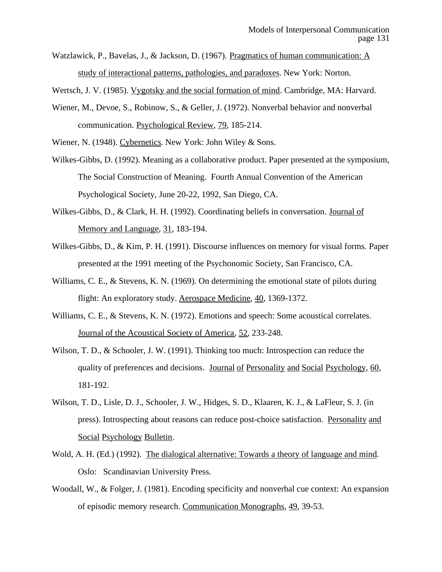Watzlawick, P., Bavelas, J., & Jackson, D. (1967). Pragmatics of human communication: A study of interactional patterns, pathologies, and paradoxes . New York: Norton.

Wertsch, J. V. (1985). *Vygotsky and the social formation of mind*. Cambridge, MA: Harvard.

- Wiener, M., Devoe, S., Robinow, S., & Geller, J. (1972). Nonverbal behavior and nonverbal communication. Psychological Review, 79, 185-214.
- Wiener, N. (1948). Cybernetics. New York: John Wiley & Sons.
- Wilkes-Gibbs, D. (1992). Meaning as a collaborative product. Paper presented at the symposium, The Social Construction of Meaning. Fourth Annual Convention of the American Psychological Society, June 20-22, 1992, San Diego, CA.
- Wilkes-Gibbs, D., & Clark, H. H. (1992). Coordinating beliefs in conversation. Journal of Memory and Language, 31, 183-194.
- Wilkes-Gibbs, D., & Kim, P. H. (1991). Discourse influences on memory for visual forms. Paper presented at the 1991 meeting of the Psychonomic Society, San Francisco, CA.
- Williams, C. E., & Stevens, K. N. (1969). On determining the emotional state of pilots during flight: An exploratory study. Aerospace Medicine, 40, 1369-1372.
- Williams, C. E., & Stevens, K. N. (1972). Emotions and speech: Some acoustical correlates. Journal of the Acoustical Society of America, 52, 233-248.
- Wilson, T. D., & Schooler, J. W. (1991). Thinking too much: Introspection can reduce the quality of preferences and decisions. Journal of Personality and Social Psychology, 60, 181-192.
- Wilson, T. D., Lisle, D. J., Schooler, J. W., Hidges, S. D., Klaaren, K. J., & LaFleur, S. J. (in press). Introspecting about reasons can reduce post-choice satisfaction. Personality and Social Psychology Bulletin.
- Wold, A. H. (Ed.) (1992). The dialogical alternative: Towards a theory of language and mind. Oslo: Scandinavian University Press.
- Woodall, W., & Folger, J. (1981). Encoding specificity and nonverbal cue context: An expansion of episodic memory research. Communication Monographs , 49 , 39-53.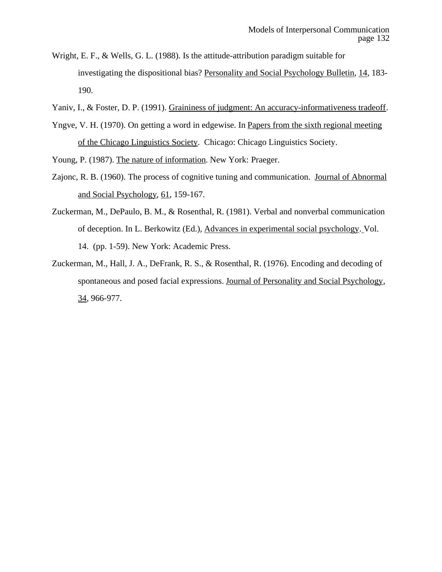- Wright, E. F., & Wells, G. L. (1988). Is the attitude-attribution paradigm suitable for investigating the dispositional bias? Personality and Social Psychology Bulletin, 14, 183-190.
- Yaniv, I., & Foster, D. P. (1991). Graininess of judgment: An accuracy-informativeness tradeoff.
- Yngve, V. H. (1970). On getting a word in edgewise. In Papers from the sixth regional meeting of the Chicago Linguistics Society. Chicago: Chicago Linguistics Society.
- Young, P. (1987). The nature of information . New York: Praeger.
- Zajonc, R. B. (1960). The process of cognitive tuning and communication. Journal of Abnormal and Social Psychology, 61, 159-167.
- Zuckerman, M., DePaulo, B. M., & Rosenthal, R. (1981). Verbal and nonverbal communication of deception. In L. Berkowitz (Ed.), Advances in experimental social psychology . Vol. 14. (pp. 1-59). New York: Academic Press.
- Zuckerman, M., Hall, J. A., DeFrank, R. S., & Rosenthal, R. (1976). Encoding and decoding of spontaneous and posed facial expressions. Journal of Personality and Social Psychology, 34 , 966-977.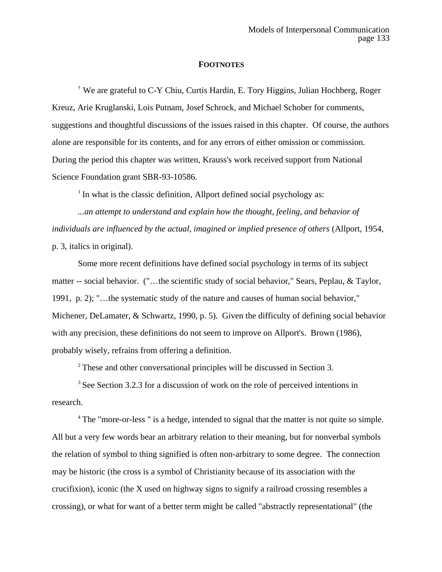## **FOOTNOTES**

† We are grateful to C-Y Chiu, Curtis Hardin, E. Tory Higgins, Julian Hochberg, Roger Kreuz, Arie Kruglanski, Lois Putnam, Josef Schrock, and Michael Schober for comments, suggestions and thoughtful discussions of the issues raised in this chapter. Of course, the authors alone are responsible for its contents, and for any errors of either omission or commission. During the period this chapter was written, Krauss's work received support from National Science Foundation grant SBR-93-10586.

<sup>1</sup> In what is the classic definition, Allport defined social psychology as:

*...an attempt to understand and explain how the thought, feeling, and behavior of individuals are influenced by the actual, imagined or implied presence of others* (Allport, 1954, p. 3, italics in original).

Some more recent definitions have defined social psychology in terms of its subject matter -- social behavior. ("…the scientific study of social behavior," Sears, Peplau, & Taylor, 1991, p. 2); "…the systematic study of the nature and causes of human social behavior," Michener, DeLamater, & Schwartz, 1990, p. 5). Given the difficulty of defining social behavior with any precision, these definitions do not seem to improve on Allport's. Brown (1986), probably wisely, refrains from offering a definition.

<sup>2</sup> These and other conversational principles will be discussed in Section 3.

<sup>3</sup> See Section 3.2.3 for a discussion of work on the role of perceived intentions in research.

<sup>4</sup> The "more-or-less" is a hedge, intended to signal that the matter is not quite so simple. All but a very few words bear an arbitrary relation to their meaning, but for nonverbal symbols the relation of symbol to thing signified is often non-arbitrary to some degree. The connection may be historic (the cross is a symbol of Christianity because of its association with the crucifixion), iconic (the X used on highway signs to signify a railroad crossing resembles a crossing), or what for want of a better term might be called "abstractly representational" (the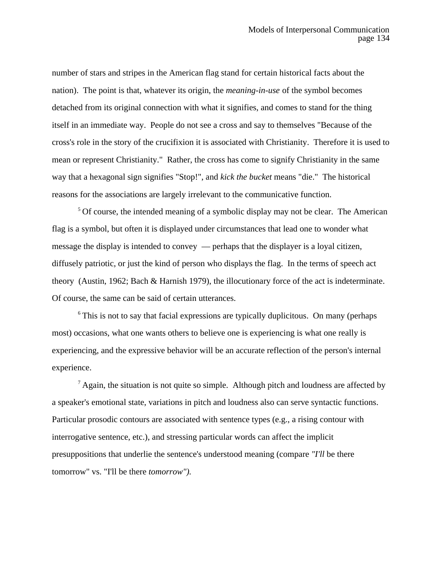number of stars and stripes in the American flag stand for certain historical facts about the nation). The point is that, whatever its origin, the *meaning-in-use* of the symbol becomes detached from its original connection with what it signifies, and comes to stand for the thing itself in an immediate way. People do not see a cross and say to themselves "Because of the cross's role in the story of the crucifixion it is associated with Christianity. Therefore it is used to mean or represent Christianity." Rather, the cross has come to signify Christianity in the same way that a hexagonal sign signifies "Stop!", and *kick the bucket* means "die." The historical reasons for the associations are largely irrelevant to the communicative function.

<sup>5</sup> Of course, the intended meaning of a symbolic display may not be clear. The American flag is a symbol, but often it is displayed under circumstances that lead one to wonder what message the display is intended to convey — perhaps that the displayer is a loyal citizen, diffusely patriotic, or just the kind of person who displays the flag. In the terms of speech act theory (Austin, 1962; Bach & Harnish 1979), the illocutionary force of the act is indeterminate. Of course, the same can be said of certain utterances.

<sup>6</sup> This is not to say that facial expressions are typically duplicitous. On many (perhaps most) occasions, what one wants others to believe one is experiencing is what one really is experiencing, and the expressive behavior will be an accurate reflection of the person's internal experience.

 $<sup>7</sup>$  Again, the situation is not quite so simple. Although pitch and loudness are affected by</sup> a speaker's emotional state, variations in pitch and loudness also can serve syntactic functions. Particular prosodic contours are associated with sentence types (e.g., a rising contour with interrogative sentence, etc.), and stressing particular words can affect the implicit presuppositions that underlie the sentence's understood meaning (compare *"I'll* be there tomorrow" vs. "I'll be there *tomorrow").*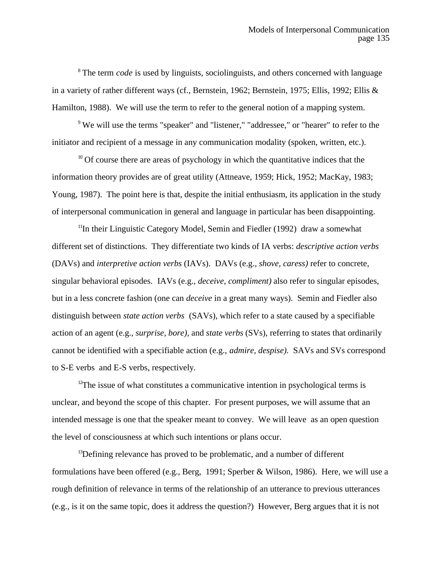<sup>8</sup> The term *code* is used by linguists, sociolinguists, and others concerned with language in a variety of rather different ways (cf., Bernstein, 1962; Bernstein, 1975; Ellis, 1992; Ellis & Hamilton, 1988). We will use the term to refer to the general notion of a mapping system.

<sup>9</sup> We will use the terms "speaker" and "listener," "addressee," or "hearer" to refer to the initiator and recipient of a message in any communication modality (spoken, written, etc.).

<sup>10</sup> Of course there are areas of psychology in which the quantitative indices that the information theory provides are of great utility (Attneave, 1959; Hick, 1952; MacKay, 1983; Young, 1987). The point here is that, despite the initial enthusiasm, its application in the study of interpersonal communication in general and language in particular has been disappointing.

<sup>11</sup>In their Linguistic Category Model, Semin and Fiedler (1992) draw a somewhat different set of distinctions. They differentiate two kinds of IA verbs: *descriptive action verbs* (DAVs) and *interpretive action verbs* (IAVs). DAVs (e.g., *shove, caress)* refer to concrete, singular behavioral episodes. IAVs (e.g., *deceive, compliment)* also refer to singular episodes, but in a less concrete fashion (one can *deceive* in a great many ways). Semin and Fiedler also distinguish between *state action verbs* (SAVs), which refer to a state caused by a specifiable action of an agent (e.g., *surprise, bore),* and *state verbs* (SVs), referring to states that ordinarily cannot be identified with a specifiable action (e.g., *admire, despise).* SAVs and SVs correspond to S-E verbs and E-S verbs, respectively*.*

 $12$ The issue of what constitutes a communicative intention in psychological terms is unclear, and beyond the scope of this chapter. For present purposes, we will assume that an intended message is one that the speaker meant to convey. We will leave as an open question the level of consciousness at which such intentions or plans occur.

<sup>13</sup>Defining relevance has proved to be problematic, and a number of different formulations have been offered (e.g., Berg, 1991; Sperber & Wilson, 1986). Here, we will use a rough definition of relevance in terms of the relationship of an utterance to previous utterances (e.g., is it on the same topic, does it address the question?) However, Berg argues that it is not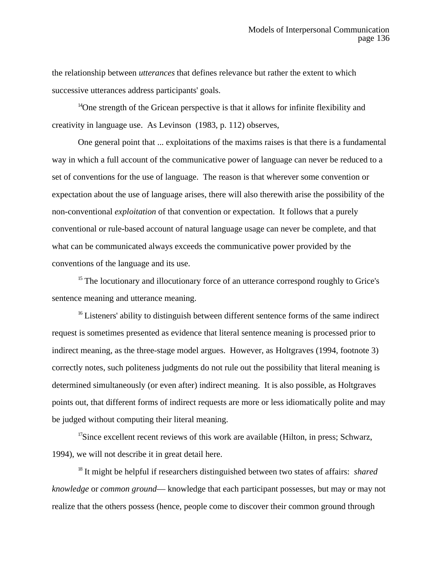the relationship between *utterances* that defines relevance but rather the extent to which successive utterances address participants' goals.

<sup>14</sup>One strength of the Gricean perspective is that it allows for infinite flexibility and creativity in language use. As Levinson (1983, p. 112) observes,

One general point that ... exploitations of the maxims raises is that there is a fundamental way in which a full account of the communicative power of language can never be reduced to a set of conventions for the use of language. The reason is that wherever some convention or expectation about the use of language arises, there will also therewith arise the possibility of the non-conventional *exploitation* of that convention or expectation. It follows that a purely conventional or rule-based account of natural language usage can never be complete, and that what can be communicated always exceeds the communicative power provided by the conventions of the language and its use.

<sup>15</sup> The locutionary and illocutionary force of an utterance correspond roughly to Grice's sentence meaning and utterance meaning.

<sup>16</sup> Listeners' ability to distinguish between different sentence forms of the same indirect request is sometimes presented as evidence that literal sentence meaning is processed prior to indirect meaning, as the three-stage model argues. However, as Holtgraves (1994, footnote 3) correctly notes, such politeness judgments do not rule out the possibility that literal meaning is determined simultaneously (or even after) indirect meaning. It is also possible, as Holtgraves points out, that different forms of indirect requests are more or less idiomatically polite and may be judged without computing their literal meaning.

<sup>17</sup>Since excellent recent reviews of this work are available (Hilton, in press; Schwarz, 1994), we will not describe it in great detail here.

<sup>18</sup> It might be helpful if researchers distinguished between two states of affairs: *shared knowledge* or *common ground*— knowledge that each participant possesses, but may or may not realize that the others possess (hence, people come to discover their common ground through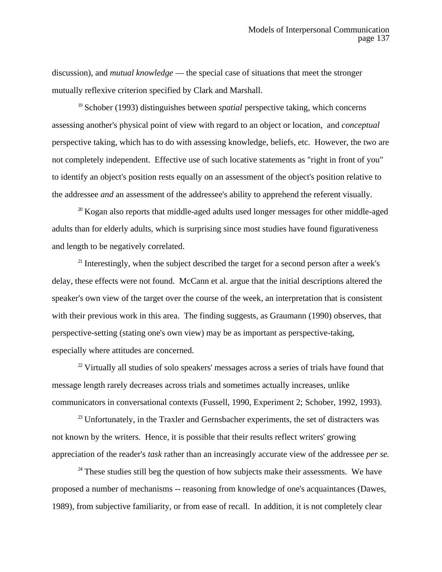discussion), and *mutual knowledge* — the special case of situations that meet the stronger mutually reflexive criterion specified by Clark and Marshall.

<sup>19</sup> Schober (1993) distinguishes between *spatial* perspective taking, which concerns assessing another's physical point of view with regard to an object or location, and *conceptual* perspective taking, which has to do with assessing knowledge, beliefs, etc. However, the two are not completely independent. Effective use of such locative statements as "right in front of you" to identify an object's position rests equally on an assessment of the object's position relative to the addressee *and* an assessment of the addressee's ability to apprehend the referent visually.

 $20$  Kogan also reports that middle-aged adults used longer messages for other middle-aged adults than for elderly adults, which is surprising since most studies have found figurativeness and length to be negatively correlated.

<sup>21</sup> Interestingly, when the subject described the target for a second person after a week's delay, these effects were not found. McCann et al. argue that the initial descriptions altered the speaker's own view of the target over the course of the week, an interpretation that is consistent with their previous work in this area. The finding suggests, as Graumann (1990) observes, that perspective-setting (stating one's own view) may be as important as perspective-taking, especially where attitudes are concerned.

 $2<sup>22</sup>$  Virtually all studies of solo speakers' messages across a series of trials have found that message length rarely decreases across trials and sometimes actually increases, unlike communicators in conversational contexts (Fussell, 1990, Experiment 2; Schober, 1992, 1993).

 $2<sup>23</sup>$  Unfortunately, in the Traxler and Gernsbacher experiments, the set of distracters was not known by the writers. Hence, it is possible that their results reflect writers' growing appreciation of the reader's *task* rather than an increasingly accurate view of the addressee *per se*.

 $24$  These studies still beg the question of how subjects make their assessments. We have proposed a number of mechanisms -- reasoning from knowledge of one's acquaintances (Dawes, 1989), from subjective familiarity, or from ease of recall. In addition, it is not completely clear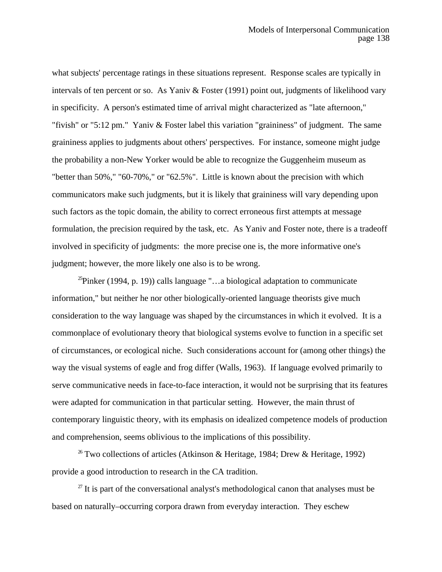what subjects' percentage ratings in these situations represent. Response scales are typically in intervals of ten percent or so. As Yaniv & Foster (1991) point out, judgments of likelihood vary in specificity. A person's estimated time of arrival might characterized as "late afternoon," "fivish" or "5:12 pm." Yaniv & Foster label this variation "graininess" of judgment. The same graininess applies to judgments about others' perspectives. For instance, someone might judge the probability a non-New Yorker would be able to recognize the Guggenheim museum as "better than 50%," "60-70%," or "62.5%". Little is known about the precision with which communicators make such judgments, but it is likely that graininess will vary depending upon such factors as the topic domain, the ability to correct erroneous first attempts at message formulation, the precision required by the task, etc. As Yaniv and Foster note, there is a tradeoff involved in specificity of judgments: the more precise one is, the more informative one's judgment; however, the more likely one also is to be wrong.

<sup>25</sup>Pinker (1994, p. 19)) calls language "...a biological adaptation to communicate information," but neither he nor other biologically-oriented language theorists give much consideration to the way language was shaped by the circumstances in which it evolved. It is a commonplace of evolutionary theory that biological systems evolve to function in a specific set of circumstances, or ecological niche. Such considerations account for (among other things) the way the visual systems of eagle and frog differ (Walls, 1963). If language evolved primarily to serve communicative needs in face-to-face interaction, it would not be surprising that its features were adapted for communication in that particular setting. However, the main thrust of contemporary linguistic theory, with its emphasis on idealized competence models of production and comprehension, seems oblivious to the implications of this possibility.

<sup>26</sup> Two collections of articles (Atkinson & Heritage, 1984; Drew & Heritage, 1992) provide a good introduction to research in the CA tradition.

 $27$  It is part of the conversational analyst's methodological canon that analyses must be based on naturally–occurring corpora drawn from everyday interaction. They eschew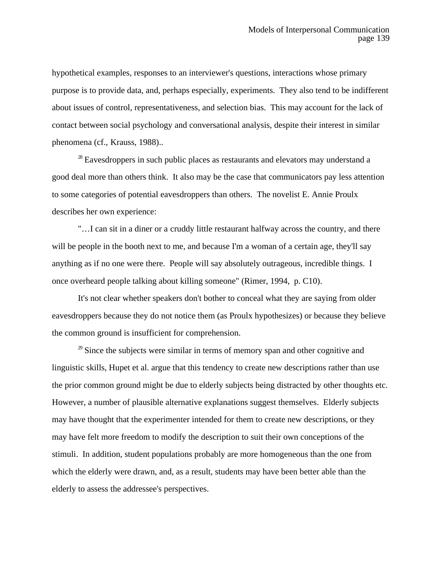hypothetical examples, responses to an interviewer's questions, interactions whose primary purpose is to provide data, and, perhaps especially, experiments. They also tend to be indifferent about issues of control, representativeness, and selection bias. This may account for the lack of contact between social psychology and conversational analysis, despite their interest in similar phenomena (cf., Krauss, 1988)..

 $28$  Eavesdroppers in such public places as restaurants and elevators may understand a good deal more than others think. It also may be the case that communicators pay less attention to some categories of potential eavesdroppers than others. The novelist E. Annie Proulx describes her own experience:

"…I can sit in a diner or a cruddy little restaurant halfway across the country, and there will be people in the booth next to me, and because I'm a woman of a certain age, they'll say anything as if no one were there. People will say absolutely outrageous, incredible things. I once overheard people talking about killing someone" (Rimer, 1994, p. C10).

It's not clear whether speakers don't bother to conceal what they are saying from older eavesdroppers because they do not notice them (as Proulx hypothesizes) or because they believe the common ground is insufficient for comprehension.

 $29$  Since the subjects were similar in terms of memory span and other cognitive and linguistic skills, Hupet et al. argue that this tendency to create new descriptions rather than use the prior common ground might be due to elderly subjects being distracted by other thoughts etc. However, a number of plausible alternative explanations suggest themselves. Elderly subjects may have thought that the experimenter intended for them to create new descriptions, or they may have felt more freedom to modify the description to suit their own conceptions of the stimuli. In addition, student populations probably are more homogeneous than the one from which the elderly were drawn, and, as a result, students may have been better able than the elderly to assess the addressee's perspectives.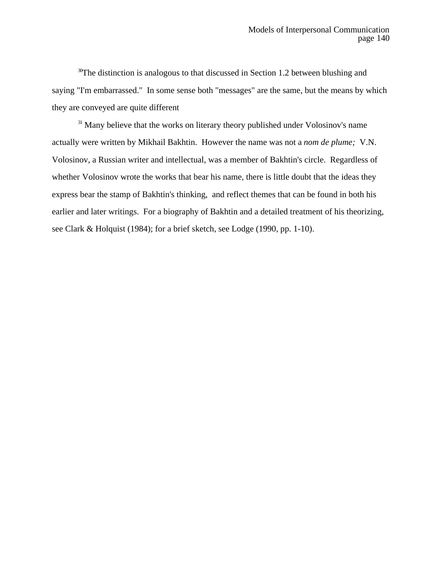$30$ The distinction is analogous to that discussed in Section 1.2 between blushing and saying "I'm embarrassed." In some sense both "messages" are the same, but the means by which they are conveyed are quite different

<sup>31</sup> Many believe that the works on literary theory published under Volosinov's name actually were written by Mikhail Bakhtin. However the name was not a *nom de plume;* V.N. Volosinov, a Russian writer and intellectual, was a member of Bakhtin's circle. Regardless of whether Volosinov wrote the works that bear his name, there is little doubt that the ideas they express bear the stamp of Bakhtin's thinking, and reflect themes that can be found in both his earlier and later writings. For a biography of Bakhtin and a detailed treatment of his theorizing, see Clark & Holquist (1984); for a brief sketch, see Lodge (1990, pp. 1-10).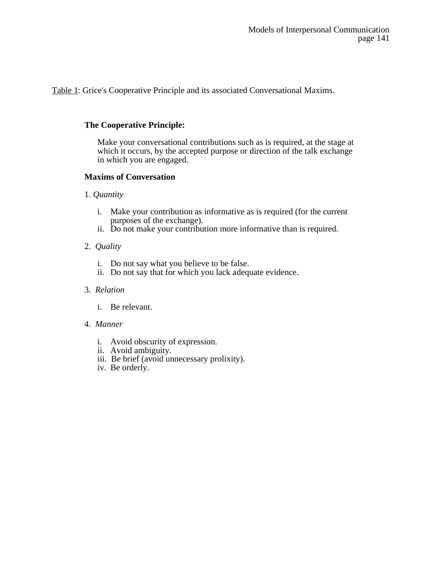Table 1: Grice's Cooperative Principle and its associated Conversational Maxims.

## **The Cooperative Principle:**

Make your conversational contributions such as is required, at the stage at which it occurs, by the accepted purpose or direction of the talk exchange in which you are engaged.

## **Maxims of Conversation**

- 1. *Quantity*
	- i. Make your contribution as informative as is required (for the current purposes of the exchange).
	- ii. Do not make your contribution more informative than is required.
- 2. *Quality*
	- i. Do not say what you believe to be false.
	- ii. Do not say that for which you lack adequate evidence.
- 3. *Relation*
	- i. Be relevant.
- 4. *Manner*
	- i. Avoid obscurity of expression.
	- ii. Avoid ambiguity.
	- iii. Be brief (avoid unnecessary prolixity).
	- iv. Be orderly.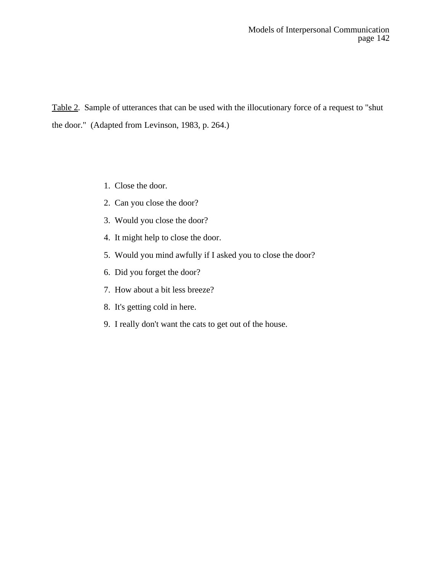Table 2. Sample of utterances that can be used with the illocutionary force of a request to "shut" the door." (Adapted from Levinson, 1983, p. 264.)

- 1. Close the door.
- 2. Can you close the door?
- 3. Would you close the door?
- 4. It might help to close the door.
- 5. Would you mind awfully if I asked you to close the door?
- 6. Did you forget the door?
- 7. How about a bit less breeze?
- 8. It's getting cold in here.
- 9. I really don't want the cats to get out of the house.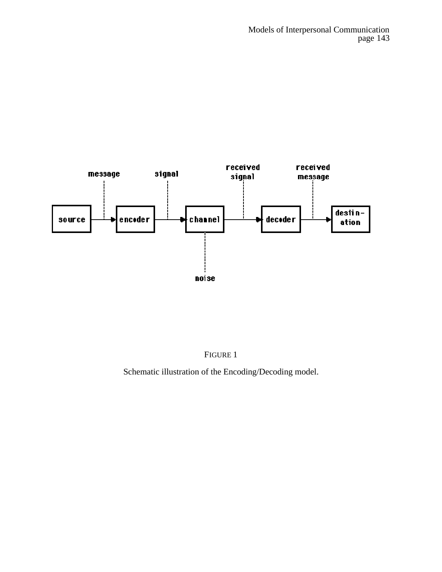



Schematic illustration of the Encoding/Decoding model.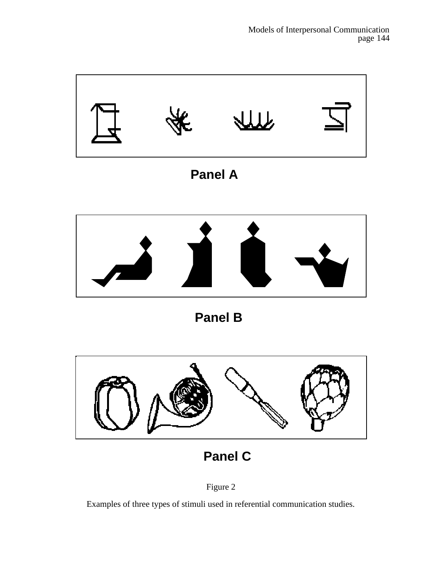

Examples of three types of stimuli used in referential communication studies.